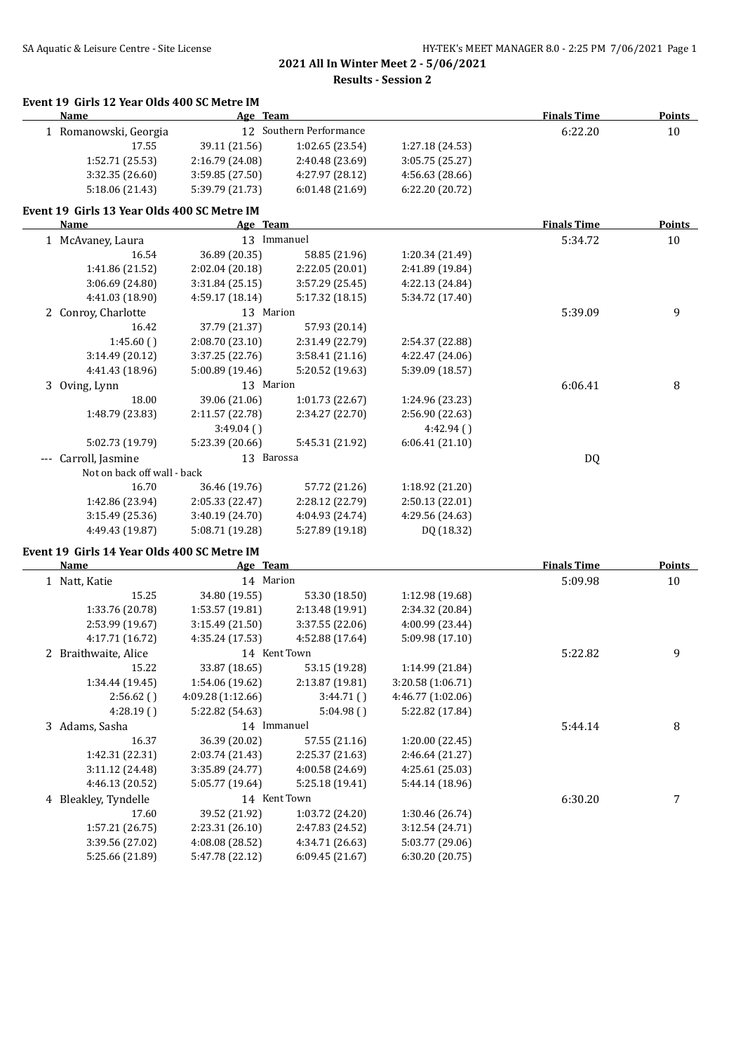#### **Event 19 Girls 12 Year Olds 400 SC Metre IM**

| <b>Name</b>                                 | Age Team        |                         |                 | <b>Finals Time</b> | <b>Points</b> |
|---------------------------------------------|-----------------|-------------------------|-----------------|--------------------|---------------|
| 1 Romanowski, Georgia                       |                 | 12 Southern Performance |                 | 6:22.20            | 10            |
| 17.55                                       | 39.11 (21.56)   | 1:02.65(23.54)          | 1:27.18 (24.53) |                    |               |
| 1:52.71 (25.53)                             | 2:16.79 (24.08) | 2:40.48 (23.69)         | 3:05.75 (25.27) |                    |               |
| 3:32.35 (26.60)                             | 3:59.85 (27.50) | 4:27.97 (28.12)         | 4:56.63 (28.66) |                    |               |
| 5:18.06 (21.43)                             | 5:39.79 (21.73) | 6:01.48(21.69)          | 6:22.20 (20.72) |                    |               |
| Event 19 Girls 13 Year Olds 400 SC Metre IM |                 |                         |                 |                    |               |
| Name                                        | Age Team        |                         |                 | <b>Finals Time</b> | <b>Points</b> |
| 1 McAvaney, Laura                           | 13 Immanuel     |                         |                 | 5:34.72            | 10            |
| 16.54                                       | 36.89 (20.35)   | 58.85 (21.96)           | 1:20.34 (21.49) |                    |               |
| 1:41.86 (21.52)                             | 2:02.04 (20.18) | 2:22.05 (20.01)         | 2:41.89 (19.84) |                    |               |
| 3:06.69 (24.80)                             | 3:31.84 (25.15) | 3:57.29 (25.45)         | 4:22.13 (24.84) |                    |               |
| 4:41.03 (18.90)                             | 4:59.17 (18.14) | 5:17.32 (18.15)         | 5:34.72 (17.40) |                    |               |
| 2 Conroy, Charlotte                         | 13 Marion       |                         |                 | 5:39.09            | 9             |
| 16.42                                       | 37.79 (21.37)   | 57.93 (20.14)           |                 |                    |               |
| 1:45.60()                                   | 2:08.70 (23.10) | 2:31.49 (22.79)         | 2:54.37 (22.88) |                    |               |
| 3:14.49 (20.12)                             | 3:37.25 (22.76) | 3:58.41(21.16)          | 4:22.47 (24.06) |                    |               |
| 4:41.43 (18.96)                             | 5:00.89 (19.46) | 5:20.52 (19.63)         | 5:39.09 (18.57) |                    |               |
| 3 Oving, Lynn                               | 13 Marion       |                         |                 | 6:06.41            | 8             |
| 18.00                                       | 39.06 (21.06)   | 1:01.73 (22.67)         | 1:24.96 (23.23) |                    |               |
| 1:48.79 (23.83)                             | 2:11.57 (22.78) | 2:34.27 (22.70)         | 2:56.90 (22.63) |                    |               |
|                                             | 3:49.04(        |                         | 4:42.94()       |                    |               |
| 5:02.73 (19.79)                             | 5:23.39 (20.66) | 5:45.31 (21.92)         | 6:06.41(21.10)  |                    |               |
| Carroll, Jasmine                            | 13 Barossa      |                         |                 | DQ                 |               |
| Not on back off wall - back                 |                 |                         |                 |                    |               |
| 16.70                                       | 36.46 (19.76)   | 57.72 (21.26)           | 1:18.92 (21.20) |                    |               |
| 1:42.86 (23.94)                             | 2:05.33 (22.47) | 2:28.12 (22.79)         | 2:50.13(22.01)  |                    |               |
| 3:15.49(25.36)                              | 3:40.19 (24.70) | 4:04.93 (24.74)         | 4:29.56 (24.63) |                    |               |
| 4:49.43 (19.87)                             | 5:08.71 (19.28) | 5:27.89 (19.18)         | DQ (18.32)      |                    |               |
| Event 19 Girls 14 Year Olds 400 SC Metre IM |                 |                         |                 |                    |               |
| <b>Name</b>                                 | Age Team        |                         |                 | <b>Finals Time</b> | <b>Points</b> |

| 1 Natt, Katie        | 14 Marion        |                 |                   | 5:09.98 | 10 |
|----------------------|------------------|-----------------|-------------------|---------|----|
| 15.25                | 34.80 (19.55)    | 53.30 (18.50)   | 1:12.98 (19.68)   |         |    |
| 1:33.76 (20.78)      | 1:53.57(19.81)   | 2:13.48 (19.91) | 2:34.32 (20.84)   |         |    |
| 2:53.99 (19.67)      | 3:15.49(21.50)   | 3:37.55 (22.06) | 4:00.99 (23.44)   |         |    |
| 4:17.71 (16.72)      | 4:35.24 (17.53)  | 4:52.88 (17.64) | 5:09.98 (17.10)   |         |    |
| 2 Braithwaite, Alice | 14 Kent Town     |                 |                   | 5:22.82 | 9  |
| 15.22                | 33.87 (18.65)    | 53.15 (19.28)   | 1:14.99 (21.84)   |         |    |
| 1:34.44 (19.45)      | 1:54.06 (19.62)  | 2:13.87 (19.81) | 3:20.58 (1:06.71) |         |    |
| 2:56.62()            | 4:09.28(1:12.66) | 3:44.71()       | 4:46.77 (1:02.06) |         |    |
| 4:28.19(             | 5:22.82 (54.63)  | 5:04.98()       | 5:22.82 (17.84)   |         |    |
| 3 Adams, Sasha       | 14 Immanuel      |                 |                   | 5:44.14 | 8  |
| 16.37                | 36.39 (20.02)    | 57.55 (21.16)   | 1:20.00 (22.45)   |         |    |
| 1:42.31 (22.31)      | 2:03.74 (21.43)  | 2:25.37 (21.63) | 2:46.64 (21.27)   |         |    |
| 3:11.12(24.48)       | 3:35.89 (24.77)  | 4:00.58 (24.69) | 4:25.61 (25.03)   |         |    |
| 4:46.13 (20.52)      | 5:05.77 (19.64)  | 5:25.18 (19.41) | 5:44.14 (18.96)   |         |    |
| 4 Bleakley, Tyndelle | 14 Kent Town     |                 |                   | 6:30.20 |    |
| 17.60                | 39.52 (21.92)    | 1:03.72 (24.20) | 1:30.46 (26.74)   |         |    |
| 1:57.21(26.75)       | 2:23.31 (26.10)  | 2:47.83 (24.52) | 3:12.54 (24.71)   |         |    |
| 3:39.56 (27.02)      | 4:08.08 (28.52)  | 4:34.71 (26.63) | 5:03.77 (29.06)   |         |    |
| 5:25.66 (21.89)      | 5:47.78 (22.12)  | 6:09.45(21.67)  | 6:30.20(20.75)    |         |    |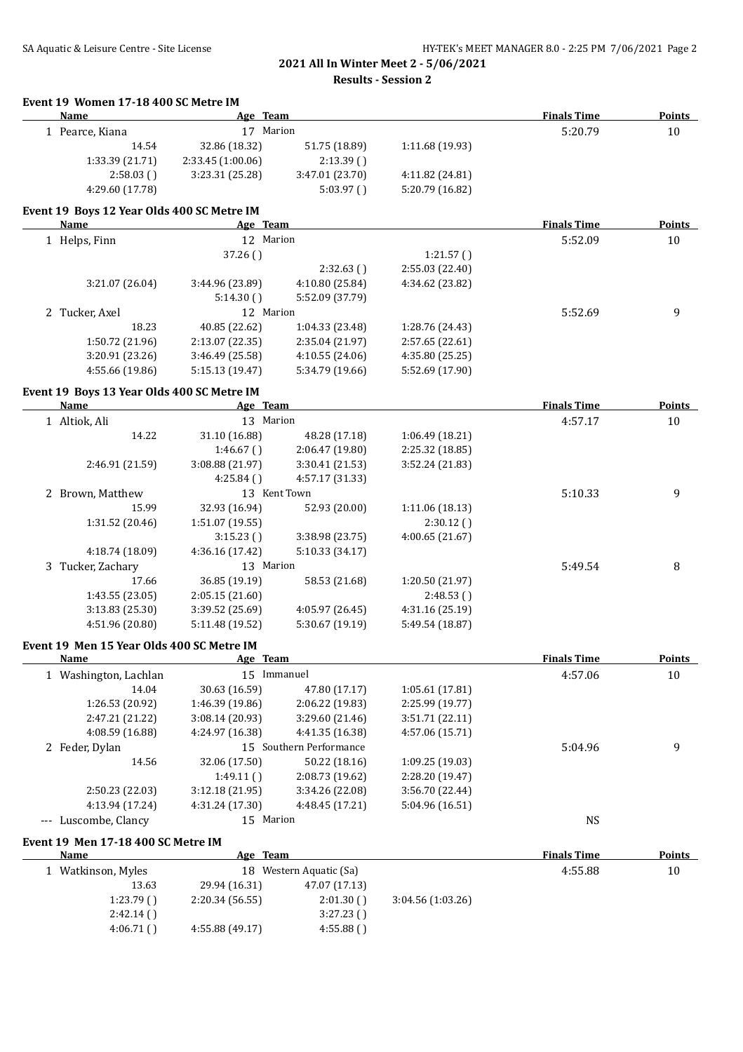**Results - Session 2**

| 1 Pearce, Kiana<br>14.54<br>1:33.39 (21.71)<br>2:58.03()<br>4:29.60 (17.78)<br>Event 19 Boys 12 Year Olds 400 SC Metre IM<br><b>Name</b> | 17 Marion<br>32.86 (18.32)<br>2:33.45 (1:00.06)<br>3:23.31 (25.28)                                                                                                                                                                                                                                                                                                                                                                                                                                                                                            | 51.75 (18.89)<br>2:13.39()                                                                                                                                                                                                                                                                                                                                                                                                                                                                                                                                                                                         | 1:11.68 (19.93)                                                                                                                                                                                                                                                                                                                                                                                                                                                                                                                                                                                                                                           | 5:20.79                                                                                                                                                                                                                                                                                                                                                                                               | $10\,$                                                                                                                                                   |
|------------------------------------------------------------------------------------------------------------------------------------------|---------------------------------------------------------------------------------------------------------------------------------------------------------------------------------------------------------------------------------------------------------------------------------------------------------------------------------------------------------------------------------------------------------------------------------------------------------------------------------------------------------------------------------------------------------------|--------------------------------------------------------------------------------------------------------------------------------------------------------------------------------------------------------------------------------------------------------------------------------------------------------------------------------------------------------------------------------------------------------------------------------------------------------------------------------------------------------------------------------------------------------------------------------------------------------------------|-----------------------------------------------------------------------------------------------------------------------------------------------------------------------------------------------------------------------------------------------------------------------------------------------------------------------------------------------------------------------------------------------------------------------------------------------------------------------------------------------------------------------------------------------------------------------------------------------------------------------------------------------------------|-------------------------------------------------------------------------------------------------------------------------------------------------------------------------------------------------------------------------------------------------------------------------------------------------------------------------------------------------------------------------------------------------------|----------------------------------------------------------------------------------------------------------------------------------------------------------|
|                                                                                                                                          |                                                                                                                                                                                                                                                                                                                                                                                                                                                                                                                                                               |                                                                                                                                                                                                                                                                                                                                                                                                                                                                                                                                                                                                                    |                                                                                                                                                                                                                                                                                                                                                                                                                                                                                                                                                                                                                                                           |                                                                                                                                                                                                                                                                                                                                                                                                       |                                                                                                                                                          |
|                                                                                                                                          |                                                                                                                                                                                                                                                                                                                                                                                                                                                                                                                                                               |                                                                                                                                                                                                                                                                                                                                                                                                                                                                                                                                                                                                                    |                                                                                                                                                                                                                                                                                                                                                                                                                                                                                                                                                                                                                                                           |                                                                                                                                                                                                                                                                                                                                                                                                       |                                                                                                                                                          |
|                                                                                                                                          |                                                                                                                                                                                                                                                                                                                                                                                                                                                                                                                                                               |                                                                                                                                                                                                                                                                                                                                                                                                                                                                                                                                                                                                                    |                                                                                                                                                                                                                                                                                                                                                                                                                                                                                                                                                                                                                                                           |                                                                                                                                                                                                                                                                                                                                                                                                       |                                                                                                                                                          |
|                                                                                                                                          |                                                                                                                                                                                                                                                                                                                                                                                                                                                                                                                                                               | 3:47.01 (23.70)                                                                                                                                                                                                                                                                                                                                                                                                                                                                                                                                                                                                    | 4:11.82 (24.81)                                                                                                                                                                                                                                                                                                                                                                                                                                                                                                                                                                                                                                           |                                                                                                                                                                                                                                                                                                                                                                                                       |                                                                                                                                                          |
|                                                                                                                                          |                                                                                                                                                                                                                                                                                                                                                                                                                                                                                                                                                               | 5:03.97(                                                                                                                                                                                                                                                                                                                                                                                                                                                                                                                                                                                                           | 5:20.79 (16.82)                                                                                                                                                                                                                                                                                                                                                                                                                                                                                                                                                                                                                                           |                                                                                                                                                                                                                                                                                                                                                                                                       |                                                                                                                                                          |
|                                                                                                                                          |                                                                                                                                                                                                                                                                                                                                                                                                                                                                                                                                                               |                                                                                                                                                                                                                                                                                                                                                                                                                                                                                                                                                                                                                    |                                                                                                                                                                                                                                                                                                                                                                                                                                                                                                                                                                                                                                                           |                                                                                                                                                                                                                                                                                                                                                                                                       |                                                                                                                                                          |
|                                                                                                                                          | Age Team                                                                                                                                                                                                                                                                                                                                                                                                                                                                                                                                                      |                                                                                                                                                                                                                                                                                                                                                                                                                                                                                                                                                                                                                    |                                                                                                                                                                                                                                                                                                                                                                                                                                                                                                                                                                                                                                                           | <b>Finals Time</b>                                                                                                                                                                                                                                                                                                                                                                                    | <b>Points</b>                                                                                                                                            |
| 1 Helps, Finn                                                                                                                            | 12 Marion                                                                                                                                                                                                                                                                                                                                                                                                                                                                                                                                                     |                                                                                                                                                                                                                                                                                                                                                                                                                                                                                                                                                                                                                    |                                                                                                                                                                                                                                                                                                                                                                                                                                                                                                                                                                                                                                                           | 5:52.09                                                                                                                                                                                                                                                                                                                                                                                               | 10                                                                                                                                                       |
|                                                                                                                                          | 37.26()                                                                                                                                                                                                                                                                                                                                                                                                                                                                                                                                                       |                                                                                                                                                                                                                                                                                                                                                                                                                                                                                                                                                                                                                    | 1:21.57()                                                                                                                                                                                                                                                                                                                                                                                                                                                                                                                                                                                                                                                 |                                                                                                                                                                                                                                                                                                                                                                                                       |                                                                                                                                                          |
|                                                                                                                                          |                                                                                                                                                                                                                                                                                                                                                                                                                                                                                                                                                               | 2:32.63()                                                                                                                                                                                                                                                                                                                                                                                                                                                                                                                                                                                                          | 2:55.03 (22.40)                                                                                                                                                                                                                                                                                                                                                                                                                                                                                                                                                                                                                                           |                                                                                                                                                                                                                                                                                                                                                                                                       |                                                                                                                                                          |
|                                                                                                                                          |                                                                                                                                                                                                                                                                                                                                                                                                                                                                                                                                                               |                                                                                                                                                                                                                                                                                                                                                                                                                                                                                                                                                                                                                    |                                                                                                                                                                                                                                                                                                                                                                                                                                                                                                                                                                                                                                                           |                                                                                                                                                                                                                                                                                                                                                                                                       |                                                                                                                                                          |
|                                                                                                                                          |                                                                                                                                                                                                                                                                                                                                                                                                                                                                                                                                                               |                                                                                                                                                                                                                                                                                                                                                                                                                                                                                                                                                                                                                    |                                                                                                                                                                                                                                                                                                                                                                                                                                                                                                                                                                                                                                                           |                                                                                                                                                                                                                                                                                                                                                                                                       |                                                                                                                                                          |
|                                                                                                                                          |                                                                                                                                                                                                                                                                                                                                                                                                                                                                                                                                                               |                                                                                                                                                                                                                                                                                                                                                                                                                                                                                                                                                                                                                    |                                                                                                                                                                                                                                                                                                                                                                                                                                                                                                                                                                                                                                                           |                                                                                                                                                                                                                                                                                                                                                                                                       | 9                                                                                                                                                        |
|                                                                                                                                          |                                                                                                                                                                                                                                                                                                                                                                                                                                                                                                                                                               |                                                                                                                                                                                                                                                                                                                                                                                                                                                                                                                                                                                                                    |                                                                                                                                                                                                                                                                                                                                                                                                                                                                                                                                                                                                                                                           |                                                                                                                                                                                                                                                                                                                                                                                                       |                                                                                                                                                          |
|                                                                                                                                          |                                                                                                                                                                                                                                                                                                                                                                                                                                                                                                                                                               |                                                                                                                                                                                                                                                                                                                                                                                                                                                                                                                                                                                                                    |                                                                                                                                                                                                                                                                                                                                                                                                                                                                                                                                                                                                                                                           |                                                                                                                                                                                                                                                                                                                                                                                                       |                                                                                                                                                          |
|                                                                                                                                          |                                                                                                                                                                                                                                                                                                                                                                                                                                                                                                                                                               |                                                                                                                                                                                                                                                                                                                                                                                                                                                                                                                                                                                                                    |                                                                                                                                                                                                                                                                                                                                                                                                                                                                                                                                                                                                                                                           |                                                                                                                                                                                                                                                                                                                                                                                                       |                                                                                                                                                          |
|                                                                                                                                          |                                                                                                                                                                                                                                                                                                                                                                                                                                                                                                                                                               |                                                                                                                                                                                                                                                                                                                                                                                                                                                                                                                                                                                                                    |                                                                                                                                                                                                                                                                                                                                                                                                                                                                                                                                                                                                                                                           |                                                                                                                                                                                                                                                                                                                                                                                                       |                                                                                                                                                          |
|                                                                                                                                          |                                                                                                                                                                                                                                                                                                                                                                                                                                                                                                                                                               |                                                                                                                                                                                                                                                                                                                                                                                                                                                                                                                                                                                                                    |                                                                                                                                                                                                                                                                                                                                                                                                                                                                                                                                                                                                                                                           |                                                                                                                                                                                                                                                                                                                                                                                                       | <b>Points</b>                                                                                                                                            |
|                                                                                                                                          |                                                                                                                                                                                                                                                                                                                                                                                                                                                                                                                                                               |                                                                                                                                                                                                                                                                                                                                                                                                                                                                                                                                                                                                                    |                                                                                                                                                                                                                                                                                                                                                                                                                                                                                                                                                                                                                                                           |                                                                                                                                                                                                                                                                                                                                                                                                       | 10                                                                                                                                                       |
|                                                                                                                                          |                                                                                                                                                                                                                                                                                                                                                                                                                                                                                                                                                               |                                                                                                                                                                                                                                                                                                                                                                                                                                                                                                                                                                                                                    |                                                                                                                                                                                                                                                                                                                                                                                                                                                                                                                                                                                                                                                           |                                                                                                                                                                                                                                                                                                                                                                                                       |                                                                                                                                                          |
|                                                                                                                                          |                                                                                                                                                                                                                                                                                                                                                                                                                                                                                                                                                               |                                                                                                                                                                                                                                                                                                                                                                                                                                                                                                                                                                                                                    |                                                                                                                                                                                                                                                                                                                                                                                                                                                                                                                                                                                                                                                           |                                                                                                                                                                                                                                                                                                                                                                                                       |                                                                                                                                                          |
|                                                                                                                                          |                                                                                                                                                                                                                                                                                                                                                                                                                                                                                                                                                               |                                                                                                                                                                                                                                                                                                                                                                                                                                                                                                                                                                                                                    |                                                                                                                                                                                                                                                                                                                                                                                                                                                                                                                                                                                                                                                           |                                                                                                                                                                                                                                                                                                                                                                                                       |                                                                                                                                                          |
|                                                                                                                                          |                                                                                                                                                                                                                                                                                                                                                                                                                                                                                                                                                               |                                                                                                                                                                                                                                                                                                                                                                                                                                                                                                                                                                                                                    |                                                                                                                                                                                                                                                                                                                                                                                                                                                                                                                                                                                                                                                           |                                                                                                                                                                                                                                                                                                                                                                                                       |                                                                                                                                                          |
|                                                                                                                                          |                                                                                                                                                                                                                                                                                                                                                                                                                                                                                                                                                               |                                                                                                                                                                                                                                                                                                                                                                                                                                                                                                                                                                                                                    |                                                                                                                                                                                                                                                                                                                                                                                                                                                                                                                                                                                                                                                           |                                                                                                                                                                                                                                                                                                                                                                                                       | 9                                                                                                                                                        |
|                                                                                                                                          |                                                                                                                                                                                                                                                                                                                                                                                                                                                                                                                                                               |                                                                                                                                                                                                                                                                                                                                                                                                                                                                                                                                                                                                                    |                                                                                                                                                                                                                                                                                                                                                                                                                                                                                                                                                                                                                                                           |                                                                                                                                                                                                                                                                                                                                                                                                       |                                                                                                                                                          |
|                                                                                                                                          |                                                                                                                                                                                                                                                                                                                                                                                                                                                                                                                                                               |                                                                                                                                                                                                                                                                                                                                                                                                                                                                                                                                                                                                                    |                                                                                                                                                                                                                                                                                                                                                                                                                                                                                                                                                                                                                                                           |                                                                                                                                                                                                                                                                                                                                                                                                       |                                                                                                                                                          |
|                                                                                                                                          |                                                                                                                                                                                                                                                                                                                                                                                                                                                                                                                                                               |                                                                                                                                                                                                                                                                                                                                                                                                                                                                                                                                                                                                                    |                                                                                                                                                                                                                                                                                                                                                                                                                                                                                                                                                                                                                                                           |                                                                                                                                                                                                                                                                                                                                                                                                       |                                                                                                                                                          |
|                                                                                                                                          |                                                                                                                                                                                                                                                                                                                                                                                                                                                                                                                                                               |                                                                                                                                                                                                                                                                                                                                                                                                                                                                                                                                                                                                                    |                                                                                                                                                                                                                                                                                                                                                                                                                                                                                                                                                                                                                                                           |                                                                                                                                                                                                                                                                                                                                                                                                       |                                                                                                                                                          |
|                                                                                                                                          |                                                                                                                                                                                                                                                                                                                                                                                                                                                                                                                                                               |                                                                                                                                                                                                                                                                                                                                                                                                                                                                                                                                                                                                                    |                                                                                                                                                                                                                                                                                                                                                                                                                                                                                                                                                                                                                                                           |                                                                                                                                                                                                                                                                                                                                                                                                       | 8                                                                                                                                                        |
| 17.66                                                                                                                                    |                                                                                                                                                                                                                                                                                                                                                                                                                                                                                                                                                               |                                                                                                                                                                                                                                                                                                                                                                                                                                                                                                                                                                                                                    |                                                                                                                                                                                                                                                                                                                                                                                                                                                                                                                                                                                                                                                           |                                                                                                                                                                                                                                                                                                                                                                                                       |                                                                                                                                                          |
|                                                                                                                                          |                                                                                                                                                                                                                                                                                                                                                                                                                                                                                                                                                               |                                                                                                                                                                                                                                                                                                                                                                                                                                                                                                                                                                                                                    | 2:48.53()                                                                                                                                                                                                                                                                                                                                                                                                                                                                                                                                                                                                                                                 |                                                                                                                                                                                                                                                                                                                                                                                                       |                                                                                                                                                          |
| 3:13.83 (25.30)                                                                                                                          | 3:39.52 (25.69)                                                                                                                                                                                                                                                                                                                                                                                                                                                                                                                                               | 4:05.97 (26.45)                                                                                                                                                                                                                                                                                                                                                                                                                                                                                                                                                                                                    | 4:31.16 (25.19)                                                                                                                                                                                                                                                                                                                                                                                                                                                                                                                                                                                                                                           |                                                                                                                                                                                                                                                                                                                                                                                                       |                                                                                                                                                          |
| 4:51.96 (20.80)                                                                                                                          | 5:11.48 (19.52)                                                                                                                                                                                                                                                                                                                                                                                                                                                                                                                                               | 5:30.67 (19.19)                                                                                                                                                                                                                                                                                                                                                                                                                                                                                                                                                                                                    | 5:49.54 (18.87)                                                                                                                                                                                                                                                                                                                                                                                                                                                                                                                                                                                                                                           |                                                                                                                                                                                                                                                                                                                                                                                                       |                                                                                                                                                          |
|                                                                                                                                          |                                                                                                                                                                                                                                                                                                                                                                                                                                                                                                                                                               |                                                                                                                                                                                                                                                                                                                                                                                                                                                                                                                                                                                                                    |                                                                                                                                                                                                                                                                                                                                                                                                                                                                                                                                                                                                                                                           |                                                                                                                                                                                                                                                                                                                                                                                                       |                                                                                                                                                          |
|                                                                                                                                          |                                                                                                                                                                                                                                                                                                                                                                                                                                                                                                                                                               |                                                                                                                                                                                                                                                                                                                                                                                                                                                                                                                                                                                                                    |                                                                                                                                                                                                                                                                                                                                                                                                                                                                                                                                                                                                                                                           |                                                                                                                                                                                                                                                                                                                                                                                                       | <b>Points</b>                                                                                                                                            |
|                                                                                                                                          |                                                                                                                                                                                                                                                                                                                                                                                                                                                                                                                                                               |                                                                                                                                                                                                                                                                                                                                                                                                                                                                                                                                                                                                                    |                                                                                                                                                                                                                                                                                                                                                                                                                                                                                                                                                                                                                                                           |                                                                                                                                                                                                                                                                                                                                                                                                       | 10                                                                                                                                                       |
|                                                                                                                                          |                                                                                                                                                                                                                                                                                                                                                                                                                                                                                                                                                               |                                                                                                                                                                                                                                                                                                                                                                                                                                                                                                                                                                                                                    |                                                                                                                                                                                                                                                                                                                                                                                                                                                                                                                                                                                                                                                           |                                                                                                                                                                                                                                                                                                                                                                                                       |                                                                                                                                                          |
|                                                                                                                                          |                                                                                                                                                                                                                                                                                                                                                                                                                                                                                                                                                               |                                                                                                                                                                                                                                                                                                                                                                                                                                                                                                                                                                                                                    |                                                                                                                                                                                                                                                                                                                                                                                                                                                                                                                                                                                                                                                           |                                                                                                                                                                                                                                                                                                                                                                                                       |                                                                                                                                                          |
|                                                                                                                                          |                                                                                                                                                                                                                                                                                                                                                                                                                                                                                                                                                               |                                                                                                                                                                                                                                                                                                                                                                                                                                                                                                                                                                                                                    |                                                                                                                                                                                                                                                                                                                                                                                                                                                                                                                                                                                                                                                           |                                                                                                                                                                                                                                                                                                                                                                                                       |                                                                                                                                                          |
|                                                                                                                                          |                                                                                                                                                                                                                                                                                                                                                                                                                                                                                                                                                               |                                                                                                                                                                                                                                                                                                                                                                                                                                                                                                                                                                                                                    |                                                                                                                                                                                                                                                                                                                                                                                                                                                                                                                                                                                                                                                           |                                                                                                                                                                                                                                                                                                                                                                                                       |                                                                                                                                                          |
|                                                                                                                                          |                                                                                                                                                                                                                                                                                                                                                                                                                                                                                                                                                               |                                                                                                                                                                                                                                                                                                                                                                                                                                                                                                                                                                                                                    |                                                                                                                                                                                                                                                                                                                                                                                                                                                                                                                                                                                                                                                           |                                                                                                                                                                                                                                                                                                                                                                                                       | 9                                                                                                                                                        |
|                                                                                                                                          |                                                                                                                                                                                                                                                                                                                                                                                                                                                                                                                                                               |                                                                                                                                                                                                                                                                                                                                                                                                                                                                                                                                                                                                                    |                                                                                                                                                                                                                                                                                                                                                                                                                                                                                                                                                                                                                                                           |                                                                                                                                                                                                                                                                                                                                                                                                       |                                                                                                                                                          |
|                                                                                                                                          |                                                                                                                                                                                                                                                                                                                                                                                                                                                                                                                                                               |                                                                                                                                                                                                                                                                                                                                                                                                                                                                                                                                                                                                                    |                                                                                                                                                                                                                                                                                                                                                                                                                                                                                                                                                                                                                                                           |                                                                                                                                                                                                                                                                                                                                                                                                       |                                                                                                                                                          |
|                                                                                                                                          |                                                                                                                                                                                                                                                                                                                                                                                                                                                                                                                                                               |                                                                                                                                                                                                                                                                                                                                                                                                                                                                                                                                                                                                                    |                                                                                                                                                                                                                                                                                                                                                                                                                                                                                                                                                                                                                                                           |                                                                                                                                                                                                                                                                                                                                                                                                       |                                                                                                                                                          |
|                                                                                                                                          |                                                                                                                                                                                                                                                                                                                                                                                                                                                                                                                                                               |                                                                                                                                                                                                                                                                                                                                                                                                                                                                                                                                                                                                                    |                                                                                                                                                                                                                                                                                                                                                                                                                                                                                                                                                                                                                                                           |                                                                                                                                                                                                                                                                                                                                                                                                       |                                                                                                                                                          |
|                                                                                                                                          |                                                                                                                                                                                                                                                                                                                                                                                                                                                                                                                                                               |                                                                                                                                                                                                                                                                                                                                                                                                                                                                                                                                                                                                                    |                                                                                                                                                                                                                                                                                                                                                                                                                                                                                                                                                                                                                                                           |                                                                                                                                                                                                                                                                                                                                                                                                       |                                                                                                                                                          |
|                                                                                                                                          |                                                                                                                                                                                                                                                                                                                                                                                                                                                                                                                                                               |                                                                                                                                                                                                                                                                                                                                                                                                                                                                                                                                                                                                                    |                                                                                                                                                                                                                                                                                                                                                                                                                                                                                                                                                                                                                                                           |                                                                                                                                                                                                                                                                                                                                                                                                       | <b>Points</b>                                                                                                                                            |
|                                                                                                                                          |                                                                                                                                                                                                                                                                                                                                                                                                                                                                                                                                                               |                                                                                                                                                                                                                                                                                                                                                                                                                                                                                                                                                                                                                    |                                                                                                                                                                                                                                                                                                                                                                                                                                                                                                                                                                                                                                                           |                                                                                                                                                                                                                                                                                                                                                                                                       | 10                                                                                                                                                       |
|                                                                                                                                          |                                                                                                                                                                                                                                                                                                                                                                                                                                                                                                                                                               |                                                                                                                                                                                                                                                                                                                                                                                                                                                                                                                                                                                                                    |                                                                                                                                                                                                                                                                                                                                                                                                                                                                                                                                                                                                                                                           |                                                                                                                                                                                                                                                                                                                                                                                                       |                                                                                                                                                          |
|                                                                                                                                          |                                                                                                                                                                                                                                                                                                                                                                                                                                                                                                                                                               |                                                                                                                                                                                                                                                                                                                                                                                                                                                                                                                                                                                                                    |                                                                                                                                                                                                                                                                                                                                                                                                                                                                                                                                                                                                                                                           |                                                                                                                                                                                                                                                                                                                                                                                                       |                                                                                                                                                          |
|                                                                                                                                          |                                                                                                                                                                                                                                                                                                                                                                                                                                                                                                                                                               |                                                                                                                                                                                                                                                                                                                                                                                                                                                                                                                                                                                                                    |                                                                                                                                                                                                                                                                                                                                                                                                                                                                                                                                                                                                                                                           |                                                                                                                                                                                                                                                                                                                                                                                                       |                                                                                                                                                          |
|                                                                                                                                          |                                                                                                                                                                                                                                                                                                                                                                                                                                                                                                                                                               |                                                                                                                                                                                                                                                                                                                                                                                                                                                                                                                                                                                                                    |                                                                                                                                                                                                                                                                                                                                                                                                                                                                                                                                                                                                                                                           |                                                                                                                                                                                                                                                                                                                                                                                                       |                                                                                                                                                          |
|                                                                                                                                          | 3:21.07 (26.04)<br>2 Tucker, Axel<br>18.23<br>1:50.72 (21.96)<br>3:20.91 (23.26)<br>4:55.66 (19.86)<br><b>Name</b><br>1 Altiok, Ali<br>14.22<br>2:46.91 (21.59)<br>2 Brown, Matthew<br>15.99<br>1:31.52 (20.46)<br>4:18.74 (18.09)<br>3 Tucker, Zachary<br>1:43.55 (23.05)<br><b>Name</b><br>1 Washington, Lachlan<br>14.04<br>1:26.53 (20.92)<br>2:47.21 (21.22)<br>4:08.59 (16.88)<br>2 Feder, Dylan<br>14.56<br>2:50.23 (22.03)<br>4:13.94 (17.24)<br>Luscombe, Clancy<br><b>Name</b><br>1 Watkinson, Myles<br>13.63<br>1:23.79(<br>2:42.14()<br>4:06.71() | 3:44.96 (23.89)<br>5:14.30()<br>40.85 (22.62)<br>2:13.07 (22.35)<br>3:46.49 (25.58)<br>5:15.13 (19.47)<br>Event 19 Boys 13 Year Olds 400 SC Metre IM<br>31.10 (16.88)<br>1:46.67()<br>3:08.88 (21.97)<br>4:25.84()<br>32.93 (16.94)<br>1:51.07 (19.55)<br>3:15.23()<br>4:36.16 (17.42)<br>36.85 (19.19)<br>2:05.15 (21.60)<br>Event 19 Men 15 Year Olds 400 SC Metre IM<br>30.63 (16.59)<br>1:46.39 (19.86)<br>3:08.14 (20.93)<br>4:24.97 (16.38)<br>32.06 (17.50)<br>1:49.11()<br>3:12.18 (21.95)<br>4:31.24 (17.30)<br>Event 19 Men 17-18 400 SC Metre IM<br>29.94 (16.31)<br>2:20.34 (56.55)<br>4:55.88 (49.17) | 4:10.80 (25.84)<br>5:52.09 (37.79)<br>12 Marion<br>1:04.33 (23.48)<br>2:35.04 (21.97)<br>4:10.55 (24.06)<br>5:34.79 (19.66)<br>Age Team<br>13 Marion<br>48.28 (17.18)<br>2:06.47 (19.80)<br>3:30.41 (21.53)<br>4:57.17 (31.33)<br>13 Kent Town<br>52.93 (20.00)<br>3:38.98 (23.75)<br>5:10.33 (34.17)<br>13 Marion<br>58.53 (21.68)<br>Age Team<br>15 Immanuel<br>47.80 (17.17)<br>2:06.22 (19.83)<br>3:29.60 (21.46)<br>4:41.35 (16.38)<br>15 Southern Performance<br>50.22 (18.16)<br>2:08.73 (19.62)<br>3:34.26 (22.08)<br>4:48.45 (17.21)<br>15 Marion<br>Age Team<br>18 Western Aquatic (Sa)<br>47.07 (17.13)<br>2:01.30()<br>3:27.23()<br>4:55.88() | 4:34.62 (23.82)<br>1:28.76 (24.43)<br>2:57.65 (22.61)<br>4:35.80 (25.25)<br>5:52.69 (17.90)<br>1:06.49 (18.21)<br>2:25.32 (18.85)<br>3:52.24 (21.83)<br>1:11.06 (18.13)<br>2:30.12(<br>4:00.65(21.67)<br>1:20.50 (21.97)<br>1:05.61 (17.81)<br>2:25.99 (19.77)<br>3:51.71 (22.11)<br>4:57.06 (15.71)<br>1:09.25 (19.03)<br>2:28.20 (19.47)<br>3:56.70 (22.44)<br>5:04.96 (16.51)<br>3:04.56 (1:03.26) | 5:52.69<br><b>Finals Time</b><br>4:57.17<br>5:10.33<br>5:49.54<br><b>Finals Time</b><br>4:57.06<br>5:04.96<br><b>NS</b><br><b>Finals Time</b><br>4:55.88 |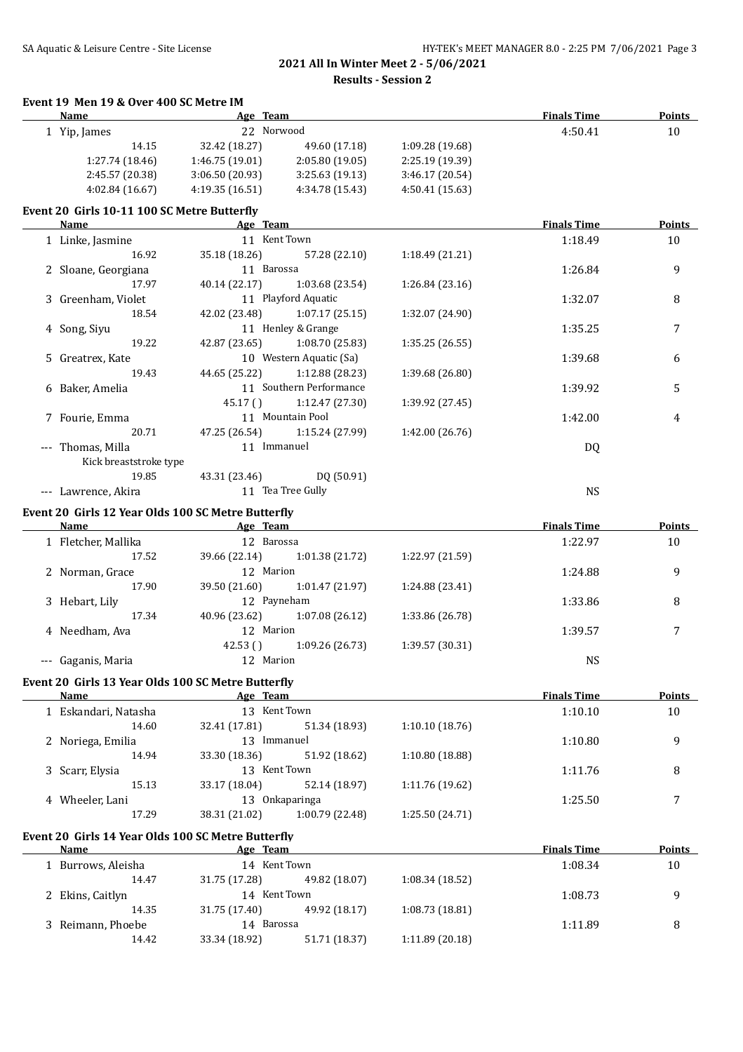**Event 19 Men 19 & Over 400 SC Metre IM**

| Name                                               |                 | Age Team                |                 | <b>Finals Time</b> | <b>Points</b> |
|----------------------------------------------------|-----------------|-------------------------|-----------------|--------------------|---------------|
| 1 Yip, James                                       |                 | 22 Norwood              |                 | 4:50.41            | 10            |
| 14.15                                              | 32.42 (18.27)   | 49.60 (17.18)           | 1:09.28 (19.68) |                    |               |
| 1:27.74 (18.46)                                    | 1:46.75 (19.01) | 2:05.80 (19.05)         | 2:25.19 (19.39) |                    |               |
| 2:45.57 (20.38)                                    | 3:06.50 (20.93) | 3:25.63(19.13)          | 3:46.17 (20.54) |                    |               |
| 4:02.84 (16.67)                                    | 4:19.35 (16.51) | 4:34.78 (15.43)         | 4:50.41(15.63)  |                    |               |
| Event 20 Girls 10-11 100 SC Metre Butterfly        |                 |                         |                 |                    |               |
| Name                                               |                 | Age Team                |                 | <b>Finals Time</b> | <b>Points</b> |
| 1 Linke, Jasmine                                   |                 | 11 Kent Town            |                 | 1:18.49            | 10            |
| 16.92                                              | 35.18 (18.26)   | 57.28 (22.10)           | 1:18.49 (21.21) |                    |               |
| 2 Sloane, Georgiana                                |                 | 11 Barossa              |                 | 1:26.84            | 9             |
| 17.97                                              | 40.14 (22.17)   | 1:03.68 (23.54)         | 1:26.84 (23.16) |                    |               |
| 3 Greenham, Violet                                 |                 | 11 Playford Aquatic     |                 | 1:32.07            | 8             |
| 18.54                                              | 42.02 (23.48)   | 1:07.17(25.15)          | 1:32.07 (24.90) |                    |               |
| 4 Song, Siyu                                       |                 | 11 Henley & Grange      |                 | 1:35.25            | 7             |
| 19.22                                              | 42.87 (23.65)   | 1:08.70 (25.83)         | 1:35.25 (26.55) |                    |               |
|                                                    |                 | 10 Western Aquatic (Sa) |                 |                    |               |
| 5 Greatrex, Kate                                   |                 |                         |                 | 1:39.68            | 6             |
| 19.43                                              | 44.65 (25.22)   | 1:12.88(28.23)          | 1:39.68 (26.80) |                    |               |
| 6 Baker, Amelia                                    |                 | 11 Southern Performance |                 | 1:39.92            | 5             |
|                                                    | 45.17()         | 1:12.47 (27.30)         | 1:39.92 (27.45) |                    |               |
| 7 Fourie, Emma                                     |                 | 11 Mountain Pool        |                 | 1:42.00            | 4             |
| 20.71                                              | 47.25 (26.54)   | 1:15.24 (27.99)         | 1:42.00 (26.76) |                    |               |
| --- Thomas, Milla                                  |                 | 11 Immanuel             |                 | DQ                 |               |
| Kick breaststroke type                             |                 |                         |                 |                    |               |
| 19.85                                              | 43.31 (23.46)   | DQ (50.91)              |                 |                    |               |
| --- Lawrence, Akira                                |                 | 11 Tea Tree Gully       |                 | <b>NS</b>          |               |
| Event 20 Girls 12 Year Olds 100 SC Metre Butterfly |                 |                         |                 |                    |               |
| Name                                               |                 | Age Team                |                 | <b>Finals Time</b> | <b>Points</b> |
| 1 Fletcher, Mallika                                |                 | 12 Barossa              |                 | 1:22.97            | $10\,$        |
| 17.52                                              | 39.66 (22.14)   | 1:01.38 (21.72)         | 1:22.97 (21.59) |                    |               |
| 2 Norman, Grace                                    |                 | 12 Marion               |                 | 1:24.88            | 9             |
| 17.90                                              | 39.50 (21.60)   | 1:01.47 (21.97)         | 1:24.88 (23.41) |                    |               |
| 3 Hebart, Lily                                     |                 | 12 Payneham             |                 | 1:33.86            | 8             |
| 17.34                                              | 40.96 (23.62)   | 1:07.08 (26.12)         | 1:33.86 (26.78) |                    |               |
| 4 Needham, Ava                                     |                 | 12 Marion               |                 | 1:39.57            | 7             |
|                                                    | 42.53()         | 1:09.26 (26.73)         | 1:39.57 (30.31) |                    |               |
| --- Gaganis, Maria                                 |                 | 12 Marion               |                 | <b>NS</b>          |               |
|                                                    |                 |                         |                 |                    |               |
| Event 20 Girls 13 Year Olds 100 SC Metre Butterfly |                 |                         |                 |                    |               |
| Name                                               |                 | Age Team                |                 | <b>Finals Time</b> | Points        |
| 1 Eskandari, Natasha                               |                 | 13 Kent Town            |                 | 1:10.10            | 10            |
| 14.60                                              | 32.41 (17.81)   | 51.34 (18.93)           | 1:10.10(18.76)  |                    |               |
| 2 Noriega, Emilia                                  |                 | 13 Immanuel             |                 | 1:10.80            | 9             |
| 14.94                                              | 33.30 (18.36)   | 51.92 (18.62)           | 1:10.80 (18.88) |                    |               |
| 3 Scarr, Elysia                                    |                 | 13 Kent Town            |                 | 1:11.76            | 8             |
| 15.13                                              | 33.17 (18.04)   | 52.14 (18.97)           | 1:11.76 (19.62) |                    |               |
| 4 Wheeler, Lani                                    |                 | 13 Onkaparinga          |                 | 1:25.50            | 7             |
| 17.29                                              | 38.31 (21.02)   | 1:00.79 (22.48)         | 1:25.50 (24.71) |                    |               |
| Event 20 Girls 14 Year Olds 100 SC Metre Butterfly |                 |                         |                 |                    |               |
| Name                                               |                 | Age Team                |                 | <b>Finals Time</b> | <b>Points</b> |
| 1 Burrows, Aleisha                                 |                 | 14 Kent Town            |                 | 1:08.34            | 10            |
| 14.47                                              | 31.75 (17.28)   | 49.82 (18.07)           | 1:08.34 (18.52) |                    |               |
| 2 Ekins, Caitlyn                                   |                 | 14 Kent Town            |                 | 1:08.73            | 9             |
|                                                    |                 |                         |                 |                    |               |
| 14.35                                              | 31.75 (17.40)   | 49.92 (18.17)           | 1:08.73 (18.81) |                    |               |
| 3 Reimann, Phoebe                                  |                 | 14 Barossa              |                 | 1:11.89            | 8             |
| 14.42                                              | 33.34 (18.92)   | 51.71 (18.37)           | 1:11.89 (20.18) |                    |               |
|                                                    |                 |                         |                 |                    |               |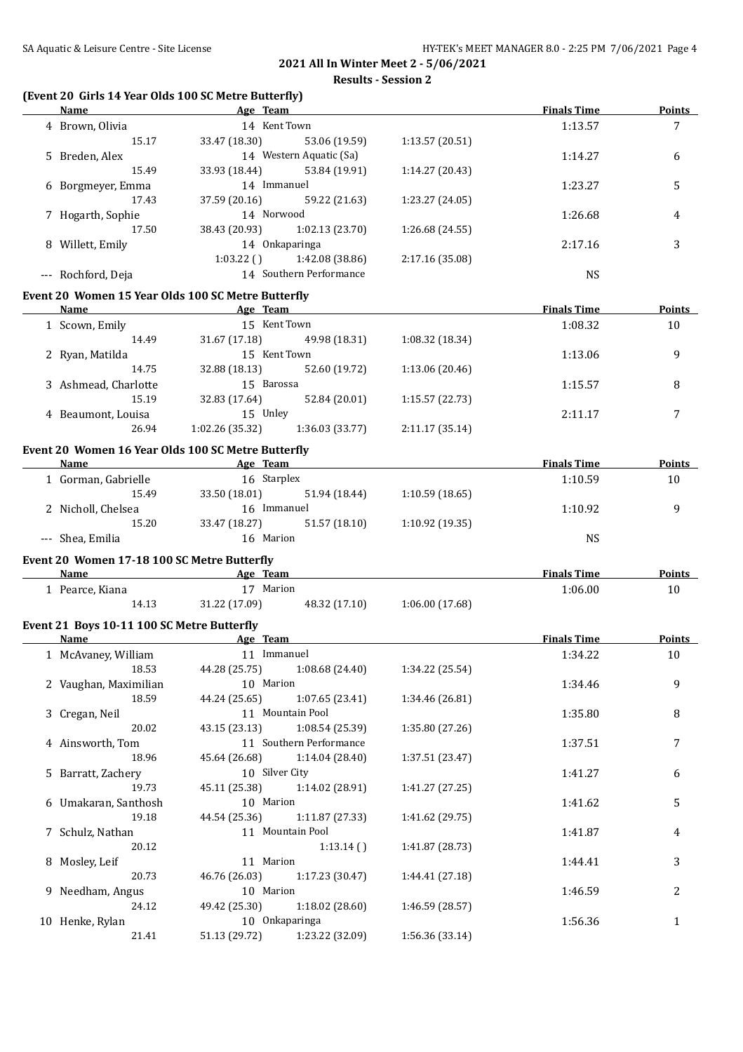# **(Event 20 Girls 14 Year Olds 100 SC Metre Butterfly)**

| <b>Name</b>                                 | Age Team                                           |                                    | <b>Finals Time</b> | <b>Points</b> |
|---------------------------------------------|----------------------------------------------------|------------------------------------|--------------------|---------------|
| 4 Brown, Olivia                             | 14 Kent Town                                       |                                    | 1:13.57            | 7             |
| 15.17                                       | 33.47 (18.30)                                      | 1:13.57 (20.51)<br>53.06 (19.59)   |                    |               |
| 5 Breden, Alex                              | 14 Western Aquatic (Sa)                            |                                    | 1:14.27            | 6             |
| 15.49                                       | 33.93 (18.44)                                      | 53.84 (19.91)<br>1:14.27 (20.43)   |                    |               |
| 6 Borgmeyer, Emma                           | 14 Immanuel                                        |                                    | 1:23.27            | 5             |
| 17.43                                       | 37.59 (20.16) 59.22 (21.63)                        | 1:23.27 (24.05)                    |                    |               |
| 7 Hogarth, Sophie                           | 14 Norwood                                         |                                    | 1:26.68            | 4             |
| 17.50                                       | 38.43 (20.93) 1:02.13 (23.70)                      | 1:26.68 (24.55)                    |                    |               |
| 8 Willett, Emily                            | 14 Onkaparinga                                     |                                    | 2:17.16            | 3             |
|                                             | $1:03.22$ ()<br>1:42.08 (38.86)                    | 2:17.16 (35.08)                    |                    |               |
| --- Rochford, Deja                          | 14 Southern Performance                            |                                    | <b>NS</b>          |               |
|                                             |                                                    |                                    |                    |               |
|                                             | Event 20 Women 15 Year Olds 100 SC Metre Butterfly |                                    |                    |               |
| <b>Name</b>                                 | <b>Example 2018</b> Age Team                       |                                    | <b>Finals Time</b> | <b>Points</b> |
| 1 Scown, Emily                              | 15 Kent Town                                       |                                    | 1:08.32            | 10            |
| 14.49                                       | 31.67 (17.18)                                      | 49.98 (18.31)<br>1:08.32 (18.34)   |                    |               |
| 2 Ryan, Matilda                             | 15 Kent Town                                       |                                    | 1:13.06            | 9             |
| 14.75                                       | 32.88 (18.13)                                      | 52.60 (19.72)<br>1:13.06 (20.46)   |                    |               |
| 3 Ashmead, Charlotte                        | 15 Barossa                                         |                                    | 1:15.57            | 8             |
| 15.19                                       | 32.83 (17.64)                                      | 52.84 (20.01)<br>1:15.57 (22.73)   |                    |               |
| 4 Beaumont, Louisa                          | 15 Unley                                           |                                    | 2:11.17            | 7             |
| 26.94                                       | 1:02.26 (35.32)<br>1:36.03 (33.77)                 | 2:11.17(35.14)                     |                    |               |
|                                             | Event 20 Women 16 Year Olds 100 SC Metre Butterfly |                                    |                    |               |
| Name                                        | <b>Example 2018</b> Age Team                       |                                    | <b>Finals Time</b> | Points        |
| 1 Gorman, Gabrielle                         | 16 Starplex                                        |                                    | 1:10.59            | 10            |
| 15.49                                       | 33.50 (18.01)                                      | 51.94 (18.44)<br>1:10.59(18.65)    |                    |               |
| 2 Nicholl, Chelsea                          | 16 Immanuel                                        |                                    | 1:10.92            | 9             |
| 15.20                                       | 33.47 (18.27)                                      | 51.57(18.10)<br>1:10.92 (19.35)    |                    |               |
| --- Shea, Emilia                            | 16 Marion                                          |                                    | <b>NS</b>          |               |
|                                             |                                                    |                                    |                    |               |
| Event 20 Women 17-18 100 SC Metre Butterfly |                                                    |                                    |                    |               |
| Name                                        | <b>Example 2016</b> Age Team                       |                                    | <b>Finals Time</b> | Points        |
| 1 Pearce, Kiana                             | 17 Marion                                          |                                    | 1:06.00            | 10            |
| 14.13                                       | 31.22 (17.09)<br>48.32 (17.10)                     | 1:06.00(17.68)                     |                    |               |
| Event 21 Boys 10-11 100 SC Metre Butterfly  |                                                    |                                    |                    |               |
| Name                                        | <b>Example 2</b> Age Team                          |                                    | <b>Finals Time</b> | <b>Points</b> |
| 1 McAvaney, William                         | 11 Immanuel                                        |                                    | 1:34.22            | 10            |
|                                             | 18.53 44.28 (25.75) 1:08.68 (24.40)                | 1:34.22 (25.54)                    |                    |               |
| 2 Vaughan, Maximilian                       | 10 Marion                                          |                                    | 1:34.46            | 9             |
| 18.59                                       | 44.24 (25.65)                                      | 1:07.65 (23.41)<br>1:34.46 (26.81) |                    |               |
| 3 Cregan, Neil                              | 11 Mountain Pool                                   |                                    | 1:35.80            | 8             |
| 20.02                                       | 43.15 (23.13)                                      | 1:08.54 (25.39)<br>1:35.80 (27.26) |                    |               |
| 4 Ainsworth, Tom                            | 11 Southern Performance                            |                                    | 1:37.51            | 7             |
| 18.96                                       | 45.64 (26.68)                                      | 1:14.04 (28.40)<br>1:37.51 (23.47) |                    |               |
| 5 Barratt, Zachery                          | 10 Silver City                                     |                                    | 1:41.27            | 6             |
| 19.73                                       | 45.11 (25.38)                                      | 1:14.02 (28.91)<br>1:41.27 (27.25) |                    |               |
| 6 Umakaran, Santhosh                        | 10 Marion                                          |                                    | 1:41.62            | 5             |
| 19.18                                       | 44.54 (25.36)                                      | 1:11.87 (27.33)<br>1:41.62 (29.75) |                    |               |
| 7 Schulz, Nathan                            | 11 Mountain Pool                                   |                                    | 1:41.87            | 4             |
| 20.12                                       |                                                    | 1:41.87 (28.73)<br>1:13.14()       |                    |               |
| 8 Mosley, Leif                              | 11 Marion                                          |                                    | 1:44.41            | 3             |
| 20.73                                       | 46.76 (26.03)                                      | 1:44.41 (27.18)<br>1:17.23 (30.47) |                    |               |
| 9 Needham, Angus                            | 10 Marion                                          |                                    | 1:46.59            | 2             |
| 24.12                                       | 49.42 (25.30)                                      | 1:18.02 (28.60)<br>1:46.59 (28.57) |                    |               |
| 10 Henke, Rylan                             | 10 Onkaparinga                                     |                                    | 1:56.36            | $\mathbf{1}$  |
| 21.41                                       | 51.13 (29.72) 1:23.22 (32.09)                      | 1:56.36 (33.14)                    |                    |               |
|                                             |                                                    |                                    |                    |               |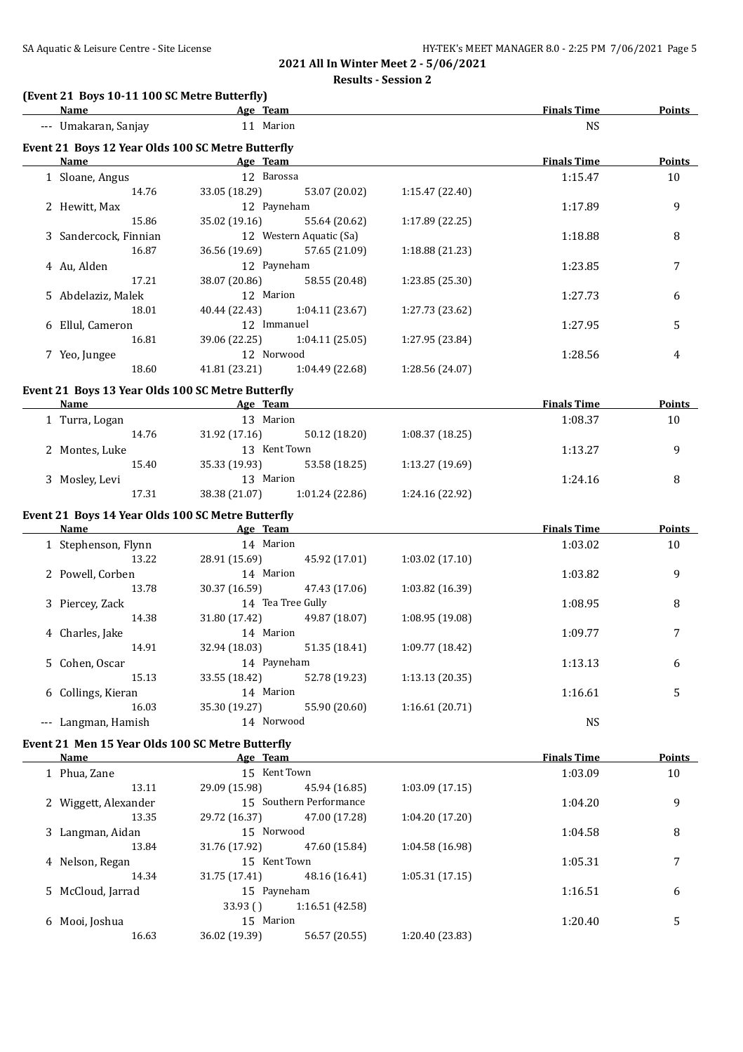# **(Event 21 Boys 10-11 100 SC Metre Butterfly)**

| <b>Name</b>                                       | <b>Example 2</b> Age Team    |                               |                 | <b>Finals Time</b> | <b>Points</b> |
|---------------------------------------------------|------------------------------|-------------------------------|-----------------|--------------------|---------------|
| --- Umakaran, Sanjay                              |                              | 11 Marion                     |                 | <b>NS</b>          |               |
| Event 21 Boys 12 Year Olds 100 SC Metre Butterfly |                              |                               |                 |                    |               |
| <b>Name</b>                                       | <b>Example 20</b> Age Team   |                               |                 | <b>Finals Time</b> | <b>Points</b> |
| 1 Sloane, Angus                                   |                              | 12 Barossa                    |                 | 1:15.47            | 10            |
| 14.76                                             | 33.05 (18.29)                | 53.07 (20.02)                 | 1:15.47 (22.40) |                    |               |
| 2 Hewitt, Max                                     |                              | 12 Payneham                   |                 | 1:17.89            | 9             |
| 15.86                                             | 35.02 (19.16)                | 55.64 (20.62)                 | 1:17.89 (22.25) |                    |               |
| 3 Sandercock, Finnian                             |                              | 12 Western Aquatic (Sa)       |                 | 1:18.88            | 8             |
| 16.87                                             | 36.56 (19.69)                | 57.65 (21.09)                 | 1:18.88 (21.23) |                    |               |
| 4 Au, Alden                                       |                              | 12 Payneham                   |                 | 1:23.85            | 7             |
| 17.21                                             | 38.07 (20.86)                | 58.55 (20.48)                 | 1:23.85 (25.30) |                    |               |
| 5 Abdelaziz, Malek                                |                              | 12 Marion                     |                 | 1:27.73            | 6             |
| 18.01                                             | 40.44 (22.43)                | 1:04.11 (23.67)               | 1:27.73 (23.62) |                    |               |
| 6 Ellul, Cameron                                  |                              | 12 Immanuel                   |                 | 1:27.95            | 5             |
| 16.81                                             | 39.06 (22.25)                | 1:04.11(25.05)                | 1:27.95 (23.84) |                    |               |
| 7 Yeo, Jungee                                     |                              | 12 Norwood                    |                 | 1:28.56            | 4             |
| 18.60                                             | 41.81 (23.21)                | 1:04.49 (22.68)               | 1:28.56 (24.07) |                    |               |
|                                                   |                              |                               |                 |                    |               |
| Event 21 Boys 13 Year Olds 100 SC Metre Butterfly |                              |                               |                 |                    |               |
| <b>Name</b>                                       | <b>Example 2016</b> Age Team |                               |                 | <b>Finals Time</b> | <b>Points</b> |
| 1 Turra, Logan                                    |                              | 13 Marion                     |                 | 1:08.37            | 10            |
| 14.76                                             | 31.92 (17.16)                | 50.12 (18.20)                 | 1:08.37 (18.25) |                    |               |
| 2 Montes, Luke                                    |                              | 13 Kent Town                  |                 | 1:13.27            | 9             |
| 15.40                                             | 35.33 (19.93)                | 53.58 (18.25)                 | 1:13.27 (19.69) |                    |               |
| 3 Mosley, Levi                                    |                              | 13 Marion                     |                 | 1:24.16            | 8             |
| 17.31                                             |                              | 38.38 (21.07) 1:01.24 (22.86) | 1:24.16 (22.92) |                    |               |
| Event 21 Boys 14 Year Olds 100 SC Metre Butterfly |                              |                               |                 |                    |               |
| Name Age Team                                     |                              |                               |                 | <b>Finals Time</b> | <b>Points</b> |
| 1 Stephenson, Flynn                               |                              | 14 Marion                     |                 | 1:03.02            | 10            |
| 13.22                                             |                              | 28.91 (15.69) 45.92 (17.01)   | 1:03.02 (17.10) |                    |               |
| 2 Powell, Corben                                  |                              | 14 Marion                     |                 | 1:03.82            | 9             |
| 13.78                                             | 30.37 (16.59)                | 47.43 (17.06)                 | 1:03.82 (16.39) |                    |               |
| 3 Piercey, Zack                                   |                              | 14 Tea Tree Gully             |                 | 1:08.95            | 8             |
| 14.38                                             |                              | 31.80 (17.42) 49.87 (18.07)   | 1:08.95 (19.08) |                    |               |
| 4 Charles, Jake                                   |                              | 14 Marion                     |                 | 1:09.77            | 7             |
| 14.91                                             | 32.94 (18.03)                | 51.35 (18.41)                 | 1:09.77 (18.42) |                    |               |
|                                                   |                              |                               |                 |                    |               |
| 5 Cohen, Oscar<br>15.13                           | 14 Payneham                  |                               |                 | 1:13.13            | 6             |
|                                                   | 33.55 (18.42)                | 52.78 (19.23)                 | 1:13.13 (20.35) |                    |               |
| 6 Collings, Kieran<br>16.03                       | 35.30 (19.27)                | 14 Marion<br>55.90 (20.60)    |                 | 1:16.61            | 5             |
|                                                   |                              |                               | 1:16.61 (20.71) |                    |               |
| --- Langman, Hamish                               |                              | 14 Norwood                    |                 | <b>NS</b>          |               |
| Event 21 Men 15 Year Olds 100 SC Metre Butterfly  |                              |                               |                 |                    |               |
| <b>Name</b>                                       |                              | Age Team                      |                 | <b>Finals Time</b> | <b>Points</b> |
| 1 Phua, Zane                                      |                              | 15 Kent Town                  |                 | 1:03.09            | 10            |
| 13.11                                             | 29.09 (15.98)                | 45.94 (16.85)                 | 1:03.09 (17.15) |                    |               |
| 2 Wiggett, Alexander                              |                              | 15 Southern Performance       |                 | 1:04.20            | 9             |
| 13.35                                             | 29.72 (16.37)                | 47.00 (17.28)                 | 1:04.20 (17.20) |                    |               |
| 3 Langman, Aidan                                  |                              | 15 Norwood                    |                 | 1:04.58            | 8             |
| 13.84                                             | 31.76 (17.92)                | 47.60 (15.84)                 | 1:04.58 (16.98) |                    |               |
| 4 Nelson, Regan                                   |                              | 15 Kent Town                  |                 | 1:05.31            | 7             |
| 14.34                                             | 31.75 (17.41)                | 48.16 (16.41)                 | 1:05.31(17.15)  |                    |               |
| 5 McCloud, Jarrad                                 |                              | 15 Payneham                   |                 | 1:16.51            | 6             |
|                                                   | 33.93()                      | 1:16.51 (42.58)               |                 |                    |               |
| 6 Mooi, Joshua                                    |                              | 15 Marion                     |                 | 1:20.40            | 5             |
| 16.63                                             | 36.02 (19.39)                | 56.57 (20.55)                 | 1:20.40 (23.83) |                    |               |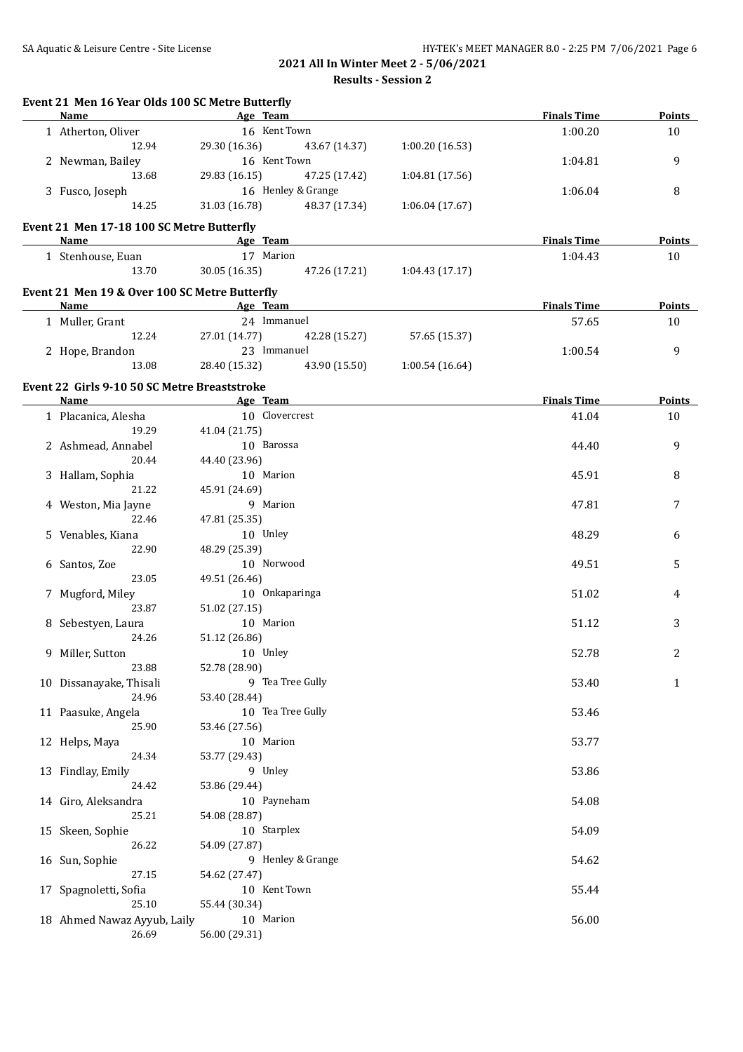| Event 21 Men 16 Year Olds 100 SC Metre Butterfly<br><b>Name</b> |               | Age Team           |                | <b>Finals Time</b> | Points           |
|-----------------------------------------------------------------|---------------|--------------------|----------------|--------------------|------------------|
| 1 Atherton, Oliver                                              |               | 16 Kent Town       |                | 1:00.20            | 10               |
| 12.94                                                           | 29.30 (16.36) | 43.67 (14.37)      | 1:00.20(16.53) |                    |                  |
| 2 Newman, Bailey                                                |               | 16 Kent Town       |                | 1:04.81            | 9                |
| 13.68                                                           | 29.83 (16.15) | 47.25 (17.42)      | 1:04.81(17.56) |                    |                  |
| 3 Fusco, Joseph                                                 |               | 16 Henley & Grange |                | 1:06.04            | 8                |
| 14.25                                                           | 31.03 (16.78) | 48.37 (17.34)      | 1:06.04(17.67) |                    |                  |
|                                                                 |               |                    |                |                    |                  |
| Event 21 Men 17-18 100 SC Metre Butterfly                       |               |                    |                | <b>Finals Time</b> |                  |
| Name<br><b>Example 2</b> Age Team                               |               |                    |                |                    | Points           |
| 1 Stenhouse, Euan<br>13.70                                      | 30.05(16.35)  | 17 Marion          |                | 1:04.43            | 10               |
|                                                                 |               | 47.26 (17.21)      | 1:04.43(17.17) |                    |                  |
| Event 21 Men 19 & Over 100 SC Metre Butterfly                   |               |                    |                |                    |                  |
| Name<br><b>Example 2</b> Age Team                               |               |                    |                | <b>Finals Time</b> | Points           |
| 1 Muller, Grant                                                 |               | 24 Immanuel        |                | 57.65              | 10               |
| 12.24                                                           | 27.01 (14.77) | 42.28 (15.27)      | 57.65 (15.37)  |                    |                  |
| 2 Hope, Brandon                                                 |               | 23 Immanuel        |                | 1:00.54            | 9                |
| 13.08                                                           | 28.40 (15.32) | 43.90 (15.50)      | 1:00.54(16.64) |                    |                  |
| Event 22 Girls 9-10 50 SC Metre Breaststroke                    |               |                    |                |                    |                  |
| Name                                                            |               | Age Team           |                | <b>Finals Time</b> | Points           |
| 1 Placanica, Alesha                                             |               | 10 Clovercrest     |                | 41.04              | 10               |
| 19.29                                                           | 41.04 (21.75) |                    |                |                    |                  |
| 2 Ashmead, Annabel                                              |               | 10 Barossa         |                | 44.40              | 9                |
| 20.44                                                           | 44.40 (23.96) |                    |                |                    |                  |
| 3 Hallam, Sophia                                                |               | 10 Marion          |                | 45.91              | 8                |
| 21.22                                                           | 45.91 (24.69) |                    |                |                    |                  |
| 4 Weston, Mia Jayne                                             |               | 9 Marion           |                | 47.81              | 7                |
| 22.46                                                           | 47.81 (25.35) |                    |                |                    |                  |
| 5 Venables, Kiana                                               |               | 10 Unley           |                | 48.29              | 6                |
| 22.90                                                           | 48.29 (25.39) |                    |                |                    |                  |
| 6 Santos, Zoe                                                   |               | 10 Norwood         |                | 49.51              | 5                |
| 23.05                                                           | 49.51 (26.46) |                    |                |                    |                  |
| 7 Mugford, Miley                                                |               | 10 Onkaparinga     |                | 51.02              | 4                |
| 23.87                                                           | 51.02 (27.15) |                    |                |                    |                  |
| 8 Sebestyen, Laura                                              |               | 10 Marion          |                | 51.12              | 3                |
| 24.26                                                           | 51.12 (26.86) |                    |                |                    |                  |
| 9 Miller, Sutton                                                | 10 Unley      |                    |                | 52.78              | $\boldsymbol{2}$ |
| 23.88                                                           | 52.78 (28.90) |                    |                |                    |                  |
| 10 Dissanayake, Thisali                                         |               | 9 Tea Tree Gully   |                | 53.40              | 1                |
| 24.96                                                           | 53.40 (28.44) |                    |                |                    |                  |
| 11 Paasuke, Angela                                              |               | 10 Tea Tree Gully  |                | 53.46              |                  |
| 25.90                                                           | 53.46 (27.56) |                    |                |                    |                  |
| 12 Helps, Maya                                                  |               | 10 Marion          |                | 53.77              |                  |
| 24.34                                                           | 53.77 (29.43) |                    |                |                    |                  |
| 13 Findlay, Emily                                               |               | 9 Unley            |                | 53.86              |                  |
| 24.42                                                           | 53.86 (29.44) |                    |                |                    |                  |
| 14 Giro, Aleksandra                                             |               | 10 Payneham        |                | 54.08              |                  |
| 25.21                                                           | 54.08 (28.87) |                    |                |                    |                  |
| 15 Skeen, Sophie                                                |               | 10 Starplex        |                | 54.09              |                  |
| 26.22                                                           | 54.09 (27.87) |                    |                |                    |                  |
| 16 Sun, Sophie                                                  |               | 9 Henley & Grange  |                | 54.62              |                  |
| 27.15                                                           | 54.62 (27.47) |                    |                |                    |                  |
| 17 Spagnoletti, Sofia                                           |               | 10 Kent Town       |                | 55.44              |                  |
| 25.10                                                           | 55.44 (30.34) |                    |                |                    |                  |
|                                                                 |               |                    |                |                    |                  |
| 18 Ahmed Nawaz Ayyub, Laily                                     |               | 10 Marion          |                | 56.00              |                  |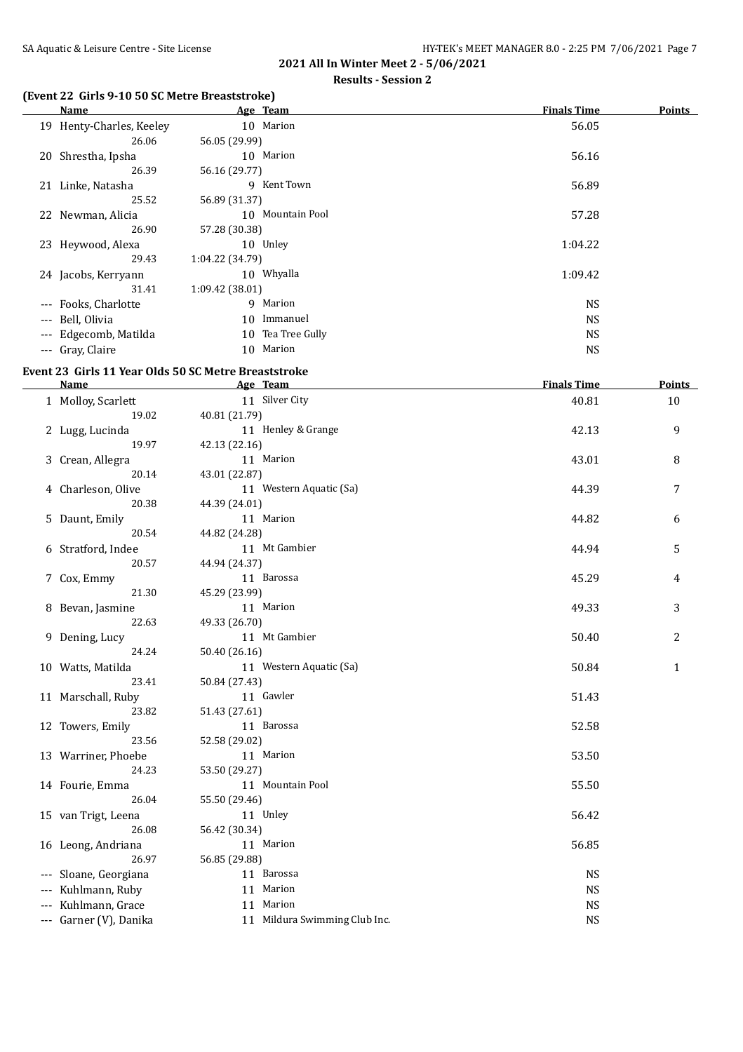#### **Results - Session 2**

# **(Event 22 Girls 9-10 50 SC Metre Breaststroke)**

| Name                     |                 | Age Team          | <b>Finals Time</b> | <b>Points</b> |
|--------------------------|-----------------|-------------------|--------------------|---------------|
| 19 Henty-Charles, Keeley |                 | 10 Marion         | 56.05              |               |
| 26.06                    | 56.05 (29.99)   |                   |                    |               |
| 20 Shrestha, Ipsha       |                 | 10 Marion         | 56.16              |               |
| 26.39                    | 56.16 (29.77)   |                   |                    |               |
| 21 Linke, Natasha        |                 | 9 Kent Town       | 56.89              |               |
| 25.52                    | 56.89 (31.37)   |                   |                    |               |
| 22 Newman, Alicia        |                 | 10 Mountain Pool  | 57.28              |               |
| 26.90                    | 57.28 (30.38)   |                   |                    |               |
| 23 Heywood, Alexa        |                 | 10 Unley          | 1:04.22            |               |
| 29.43                    | 1:04.22 (34.79) |                   |                    |               |
| 24 Jacobs, Kerryann      |                 | 10 Whyalla        | 1:09.42            |               |
| 31.41                    | 1:09.42 (38.01) |                   |                    |               |
| --- Fooks, Charlotte     |                 | 9 Marion          | NS.                |               |
| --- Bell, Olivia         | 10              | Immanuel          | <b>NS</b>          |               |
| --- Edgecomb, Matilda    |                 | 10 Tea Tree Gully | NS.                |               |
| --- Gray, Claire         |                 | 10 Marion         | <b>NS</b>          |               |

#### **Event 23 Girls 11 Year Olds 50 SC Metre Breaststroke**

| Name                   | Age Team                      | <b>Finals Time</b> | <b>Points</b> |
|------------------------|-------------------------------|--------------------|---------------|
| 1 Molloy, Scarlett     | 11 Silver City                | 40.81              | 10            |
| 19.02                  | 40.81 (21.79)                 |                    |               |
| 2 Lugg, Lucinda        | 11 Henley & Grange            | 42.13              | 9             |
| 19.97                  | 42.13 (22.16)                 |                    |               |
| 3 Crean, Allegra       | 11 Marion                     | 43.01              | 8             |
| 20.14                  | 43.01 (22.87)                 |                    |               |
| 4 Charleson, Olive     | 11 Western Aquatic (Sa)       | 44.39              | 7             |
| 20.38                  | 44.39 (24.01)                 |                    |               |
| 5 Daunt, Emily         | 11 Marion                     | 44.82              | 6             |
| 20.54                  | 44.82 (24.28)                 |                    |               |
| 6 Stratford, Indee     | 11 Mt Gambier                 | 44.94              | 5             |
| 20.57                  | 44.94 (24.37)                 |                    |               |
| 7 Cox, Emmy            | 11 Barossa                    | 45.29              | 4             |
| 21.30                  | 45.29 (23.99)                 |                    |               |
| 8 Bevan, Jasmine       | 11 Marion                     | 49.33              | 3             |
| 22.63                  | 49.33 (26.70)                 |                    |               |
| 9 Dening, Lucy         | 11 Mt Gambier                 | 50.40              | 2             |
| 24.24                  | 50.40 (26.16)                 |                    |               |
| 10 Watts, Matilda      | 11 Western Aquatic (Sa)       | 50.84              | $\mathbf{1}$  |
| 23.41                  | 50.84 (27.43)                 |                    |               |
| 11 Marschall, Ruby     | 11 Gawler                     | 51.43              |               |
| 23.82                  | 51.43 (27.61)                 |                    |               |
| 12 Towers, Emily       | 11 Barossa                    | 52.58              |               |
| 23.56                  | 52.58 (29.02)                 |                    |               |
| 13 Warriner, Phoebe    | 11 Marion                     | 53.50              |               |
| 24.23                  | 53.50 (29.27)                 |                    |               |
| 14 Fourie, Emma        | 11 Mountain Pool              | 55.50              |               |
| 26.04                  | 55.50 (29.46)                 |                    |               |
| 15 van Trigt, Leena    | 11 Unley                      | 56.42              |               |
| 26.08                  | 56.42 (30.34)                 |                    |               |
| 16 Leong, Andriana     | 11 Marion                     | 56.85              |               |
| 26.97                  | 56.85 (29.88)                 |                    |               |
| --- Sloane, Georgiana  | 11 Barossa                    | <b>NS</b>          |               |
| --- Kuhlmann, Ruby     | 11 Marion                     | <b>NS</b>          |               |
| --- Kuhlmann, Grace    | 11 Marion                     | <b>NS</b>          |               |
| --- Garner (V), Danika | 11 Mildura Swimming Club Inc. | <b>NS</b>          |               |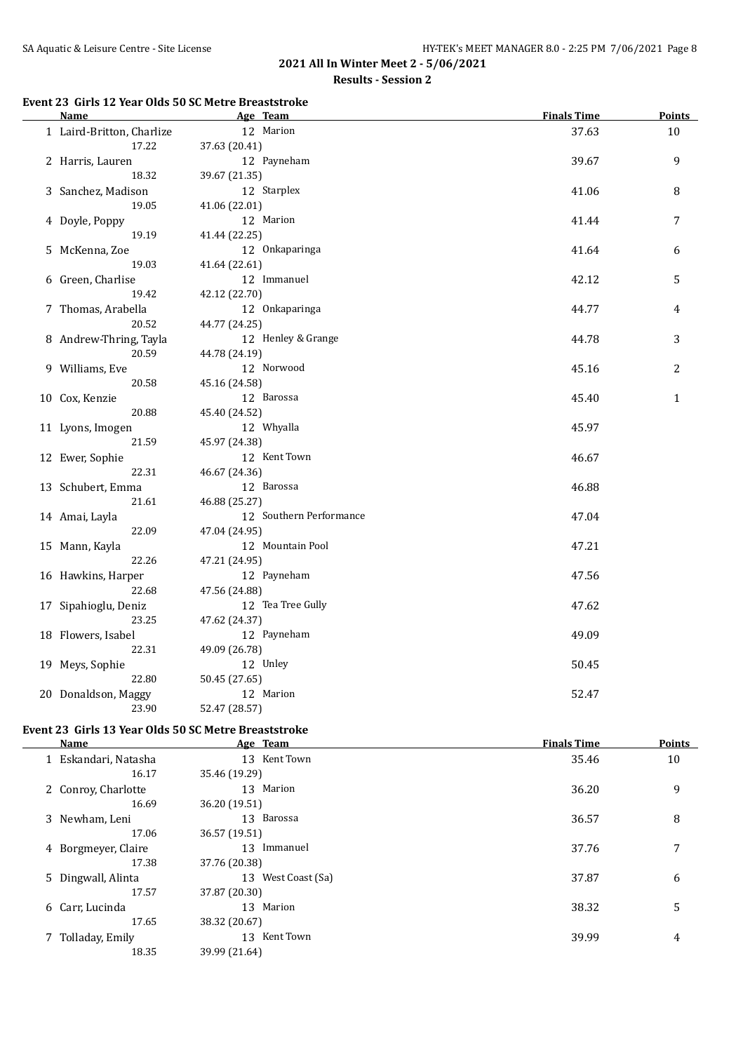#### **Event 23 Girls 12 Year Olds 50 SC Metre Breaststroke**

| <b>Name</b>               | Age Team                | <b>Finals Time</b> | <b>Points</b> |
|---------------------------|-------------------------|--------------------|---------------|
| 1 Laird-Britton, Charlize | 12 Marion               | 37.63              | 10            |
| 17.22                     | 37.63 (20.41)           |                    |               |
| 2 Harris, Lauren          | 12 Payneham             | 39.67              | 9             |
| 18.32                     | 39.67 (21.35)           |                    |               |
| 3 Sanchez, Madison        | 12 Starplex             | 41.06              | 8             |
| 19.05                     | 41.06 (22.01)           |                    |               |
| 4 Doyle, Poppy            | 12 Marion               | 41.44              | 7             |
| 19.19                     | 41.44 (22.25)           |                    |               |
| 5 McKenna, Zoe            | 12 Onkaparinga          | 41.64              | 6             |
| 19.03                     | 41.64 (22.61)           |                    |               |
| 6 Green, Charlise         | 12 Immanuel             | 42.12              | 5             |
| 19.42                     | 42.12 (22.70)           |                    |               |
| 7 Thomas, Arabella        | 12 Onkaparinga          | 44.77              | 4             |
| 20.52                     | 44.77 (24.25)           |                    |               |
| 8 Andrew-Thring, Tayla    | 12 Henley & Grange      | 44.78              | 3             |
| 20.59                     | 44.78 (24.19)           |                    |               |
| 9 Williams, Eve           | 12 Norwood              | 45.16              | 2             |
| 20.58                     | 45.16 (24.58)           |                    |               |
| 10 Cox, Kenzie            | 12 Barossa              | 45.40              | $\mathbf{1}$  |
| 20.88                     | 45.40 (24.52)           |                    |               |
| 11 Lyons, Imogen          | 12 Whyalla              | 45.97              |               |
| 21.59                     | 45.97 (24.38)           |                    |               |
| 12 Ewer, Sophie           | 12 Kent Town            | 46.67              |               |
| 22.31                     | 46.67 (24.36)           |                    |               |
| 13 Schubert, Emma         | 12 Barossa              | 46.88              |               |
| 21.61                     | 46.88 (25.27)           |                    |               |
| 14 Amai, Layla            | 12 Southern Performance | 47.04              |               |
| 22.09                     | 47.04 (24.95)           |                    |               |
| 15 Mann, Kayla            | 12 Mountain Pool        | 47.21              |               |
| 22.26                     | 47.21 (24.95)           |                    |               |
| 16 Hawkins, Harper        | 12 Payneham             | 47.56              |               |
| 22.68                     | 47.56 (24.88)           |                    |               |
| 17 Sipahioglu, Deniz      | 12 Tea Tree Gully       | 47.62              |               |
| 23.25                     | 47.62 (24.37)           |                    |               |
| 18 Flowers, Isabel        | 12 Payneham             | 49.09              |               |
| 22.31                     | 49.09 (26.78)           |                    |               |
| 19 Meys, Sophie           | 12 Unley                | 50.45              |               |
| 22.80                     | 50.45 (27.65)           |                    |               |
| 20 Donaldson, Maggy       | 12 Marion               | 52.47              |               |
| 23.90                     | 52.47 (28.57)           |                    |               |

# **Event 23 Girls 13 Year Olds 50 SC Metre Breaststroke**

| Name                 | Age Team           | <b>Finals Time</b> | <b>Points</b> |
|----------------------|--------------------|--------------------|---------------|
| 1 Eskandari, Natasha | 13 Kent Town       | 35.46              | 10            |
| 16.17                | 35.46 (19.29)      |                    |               |
| 2 Conroy, Charlotte  | 13 Marion          | 36.20              | 9             |
| 16.69                | 36.20 (19.51)      |                    |               |
| 3 Newham, Leni       | 13 Barossa         | 36.57              | 8             |
| 17.06                | 36.57 (19.51)      |                    |               |
| 4 Borgmeyer, Claire  | 13 Immanuel        | 37.76              |               |
| 17.38                | 37.76 (20.38)      |                    |               |
| 5 Dingwall, Alinta   | 13 West Coast (Sa) | 37.87              | 6             |
| 17.57                | 37.87 (20.30)      |                    |               |
| 6 Carr, Lucinda      | 13 Marion          | 38.32              | 5             |
| 17.65                | 38.32 (20.67)      |                    |               |
| 7 Tolladay, Emily    | 13 Kent Town       | 39.99              | 4             |
| 18.35                | 39.99 (21.64)      |                    |               |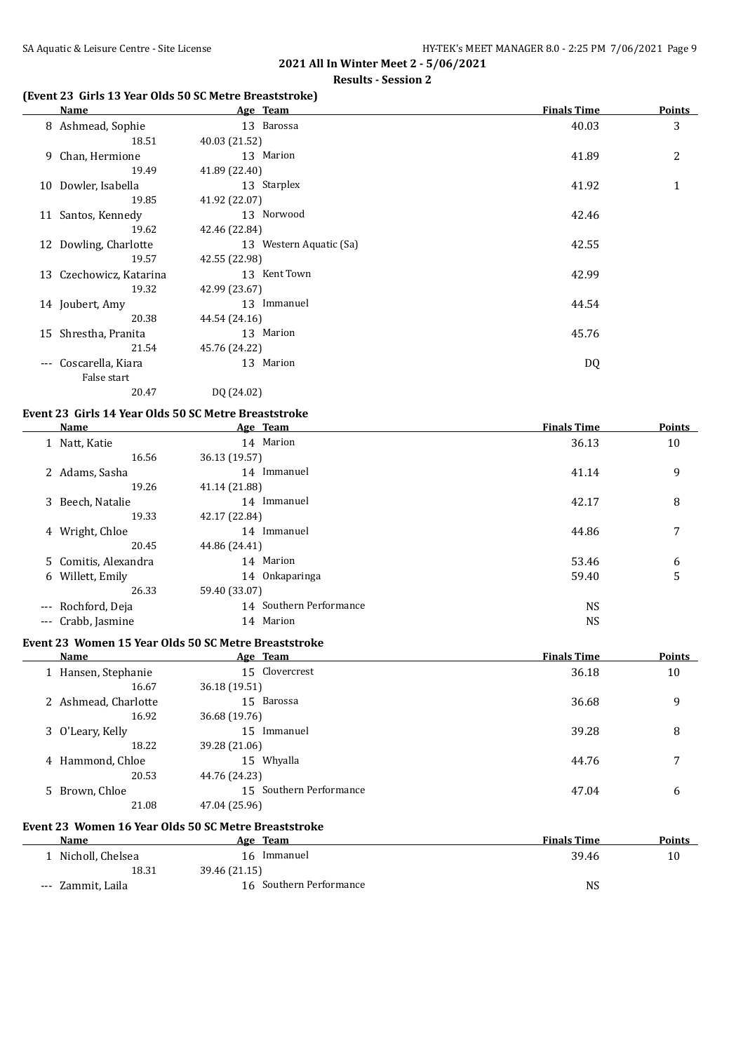### **(Event 23 Girls 13 Year Olds 50 SC Metre Breaststroke)**

|       | Name                    |               | Age Team                | <b>Finals Time</b> | <b>Points</b> |
|-------|-------------------------|---------------|-------------------------|--------------------|---------------|
|       | 8 Ashmead, Sophie       |               | 13 Barossa              | 40.03              | 3             |
|       | 18.51                   | 40.03 (21.52) |                         |                    |               |
|       | 9 Chan, Hermione        |               | 13 Marion               | 41.89              | 2             |
|       | 19.49                   | 41.89 (22.40) |                         |                    |               |
| 10    | Dowler, Isabella        |               | 13 Starplex             | 41.92              | 1             |
|       | 19.85                   | 41.92 (22.07) |                         |                    |               |
|       | 11 Santos, Kennedy      |               | 13 Norwood              | 42.46              |               |
|       | 19.62                   | 42.46 (22.84) |                         |                    |               |
|       | 12 Dowling, Charlotte   |               | 13 Western Aquatic (Sa) | 42.55              |               |
|       | 19.57                   | 42.55 (22.98) |                         |                    |               |
|       | 13 Czechowicz, Katarina |               | 13 Kent Town            | 42.99              |               |
|       | 19.32                   | 42.99 (23.67) |                         |                    |               |
|       | 14 Joubert, Amy         |               | 13 Immanuel             | 44.54              |               |
|       | 20.38                   | 44.54 (24.16) |                         |                    |               |
| 15    | Shrestha, Pranita       |               | 13 Marion               | 45.76              |               |
|       | 21.54                   | 45.76 (24.22) |                         |                    |               |
| $---$ | Coscarella, Kiara       |               | 13 Marion               | DQ                 |               |
|       | False start             |               |                         |                    |               |
|       | 20.47                   | DQ (24.02)    |                         |                    |               |

#### **Event 23 Girls 14 Year Olds 50 SC Metre Breaststroke**

| Name                 | Age Team                | <b>Finals Time</b> | <b>Points</b> |
|----------------------|-------------------------|--------------------|---------------|
| 1 Natt, Katie        | 14 Marion               | 36.13              | 10            |
| 16.56                | 36.13 (19.57)           |                    |               |
| 2 Adams, Sasha       | 14 Immanuel             | 41.14              | 9             |
| 19.26                | 41.14 (21.88)           |                    |               |
| 3 Beech, Natalie     | 14 Immanuel             | 42.17              | 8             |
| 19.33                | 42.17 (22.84)           |                    |               |
| 4 Wright, Chloe      | 14 Immanuel             | 44.86              | 7             |
| 20.45                | 44.86 (24.41)           |                    |               |
| 5 Comitis, Alexandra | 14 Marion               | 53.46              | 6             |
| 6 Willett, Emily     | 14 Onkaparinga          | 59.40              | 5             |
| 26.33                | 59.40 (33.07)           |                    |               |
| --- Rochford, Deja   | 14 Southern Performance | <b>NS</b>          |               |
| --- Crabb, Jasmine   | 14 Marion               | <b>NS</b>          |               |

#### **Event 23 Women 15 Year Olds 50 SC Metre Breaststroke**

| Name                 | Age Team                | <b>Finals Time</b> | Points |
|----------------------|-------------------------|--------------------|--------|
| 1 Hansen, Stephanie  | 15 Clovercrest          | 36.18              | 10     |
| 16.67                | 36.18 (19.51)           |                    |        |
| 2 Ashmead, Charlotte | 15 Barossa              | 36.68              | 9      |
| 16.92                | 36.68 (19.76)           |                    |        |
| 3 O'Leary, Kelly     | 15 Immanuel             | 39.28              | 8      |
| 18.22                | 39.28 (21.06)           |                    |        |
| 4 Hammond, Chloe     | 15 Whyalla              | 44.76              | 7      |
| 20.53                | 44.76 (24.23)           |                    |        |
| 5 Brown, Chloe       | 15 Southern Performance | 47.04              | 6      |
| 21.08                | 47.04 (25.96)           |                    |        |

#### **Event 23 Women 16 Year Olds 50 SC Metre Breaststroke**

| Name               | Age Team                | <b>Finals Time</b> | <b>Points</b> |
|--------------------|-------------------------|--------------------|---------------|
| 1 Nicholl, Chelsea | 16 Immanuel             | 39.46              | 10            |
| 18.31              | 39.46 (21.15)           |                    |               |
| --- Zammit, Laila  | 16 Southern Performance | NS                 |               |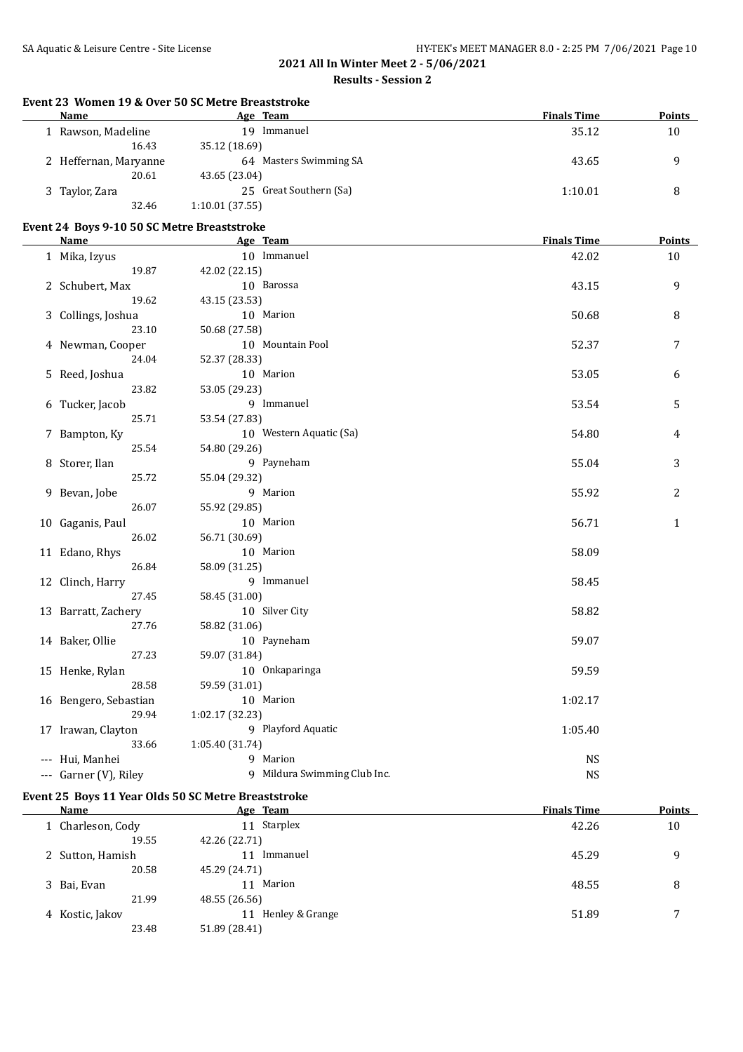#### **Results - Session 2**

### **Event 23 Women 19 & Over 50 SC Metre Breaststroke**

| <b>Name</b>           | Age Team               | <b>Finals Time</b> | <b>Points</b> |
|-----------------------|------------------------|--------------------|---------------|
| Rawson, Madeline      | Immanuel<br>19         | 35.12              | 10            |
| 16.43                 | 35.12 (18.69)          |                    |               |
| 2 Heffernan, Maryanne | 64 Masters Swimming SA | 43.65              | q             |
| 20.61                 | 43.65 (23.04)          |                    |               |
| 3 Taylor, Zara        | 25 Great Southern (Sa) | 1:10.01            | 8             |
| 32.46                 | 1:10.01(37.55)         |                    |               |

#### **Event 24 Boys 9-10 50 SC Metre Breaststroke**

| <b>Name</b>           | Age Team                     | <b>Finals Time</b> | <b>Points</b> |
|-----------------------|------------------------------|--------------------|---------------|
| 1 Mika, Izyus         | 10 Immanuel                  | 42.02              | 10            |
| 19.87                 | 42.02 (22.15)                |                    |               |
| 2 Schubert, Max       | 10 Barossa                   | 43.15              | 9             |
| 19.62                 | 43.15 (23.53)                |                    |               |
| 3 Collings, Joshua    | 10 Marion                    | 50.68              | 8             |
| 23.10                 | 50.68 (27.58)                |                    |               |
| 4 Newman, Cooper      | 10 Mountain Pool             | 52.37              | 7             |
| 24.04                 | 52.37 (28.33)                |                    |               |
| 5 Reed, Joshua        | 10 Marion                    | 53.05              | 6             |
| 23.82                 | 53.05 (29.23)                |                    |               |
| 6 Tucker, Jacob       | 9 Immanuel                   | 53.54              | 5             |
| 25.71                 | 53.54 (27.83)                |                    |               |
| 7 Bampton, Ky         | 10 Western Aquatic (Sa)      | 54.80              | 4             |
| 25.54                 | 54.80 (29.26)                |                    |               |
| 8 Storer, Ilan        | 9 Payneham                   | 55.04              | 3             |
| 25.72                 | 55.04 (29.32)                |                    |               |
| 9 Bevan, Jobe         | 9 Marion                     | 55.92              | 2             |
| 26.07                 | 55.92 (29.85)                |                    |               |
| 10 Gaganis, Paul      | 10 Marion                    | 56.71              | $\mathbf{1}$  |
| 26.02                 | 56.71 (30.69)                |                    |               |
| 11 Edano, Rhys        | 10 Marion                    | 58.09              |               |
| 26.84                 | 58.09 (31.25)                |                    |               |
| 12 Clinch, Harry      | 9 Immanuel                   | 58.45              |               |
| 27.45                 | 58.45 (31.00)                |                    |               |
| 13 Barratt, Zachery   | 10 Silver City               | 58.82              |               |
| 27.76                 | 58.82 (31.06)                |                    |               |
| 14 Baker, Ollie       | 10 Payneham                  | 59.07              |               |
| 27.23                 | 59.07 (31.84)                |                    |               |
| 15 Henke, Rylan       | 10 Onkaparinga               | 59.59              |               |
| 28.58                 | 59.59 (31.01)                |                    |               |
| 16 Bengero, Sebastian | 10 Marion                    | 1:02.17            |               |
| 29.94                 | 1:02.17 (32.23)              |                    |               |
| 17 Irawan, Clayton    | 9 Playford Aquatic           | 1:05.40            |               |
| 33.66                 | 1:05.40 (31.74)              |                    |               |
| --- Hui, Manhei       | 9 Marion                     | <b>NS</b>          |               |
| --- Garner (V), Riley | 9 Mildura Swimming Club Inc. | <b>NS</b>          |               |

#### **Event 25 Boys 11 Year Olds 50 SC Metre Breaststroke**

| Name              | Age Team              | <b>Finals Time</b> | <b>Points</b> |
|-------------------|-----------------------|--------------------|---------------|
| 1 Charleson, Cody | Starplex<br>11        | 42.26              | 10            |
| 19.55             | 42.26 (22.71)         |                    |               |
| 2 Sutton, Hamish  | Immanuel<br>11        | 45.29              | 9             |
| 20.58             | 45.29 (24.71)         |                    |               |
| 3 Bai, Evan       | Marion<br>11          | 48.55              | 8             |
| 21.99             | 48.55 (26.56)         |                    |               |
| 4 Kostic, Jakov   | Henley & Grange<br>11 | 51.89              | 7             |
| 23.48             | 51.89 (28.41)         |                    |               |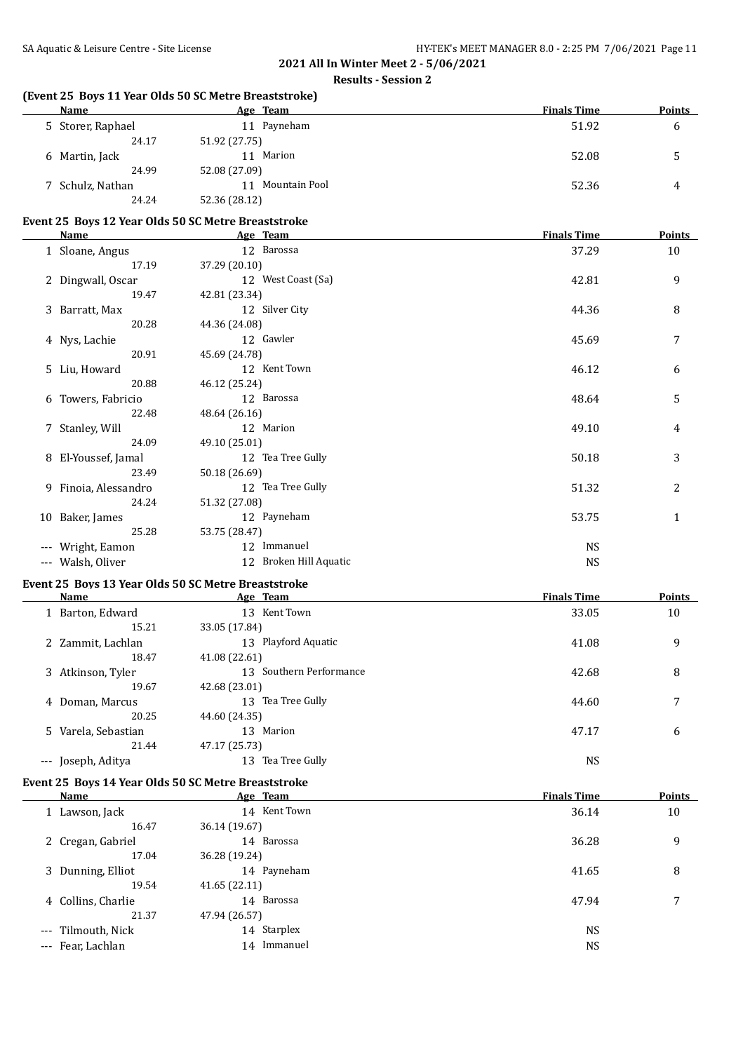# **(Event 25 Boys 11 Year Olds 50 SC Metre Breaststroke)**

| Name              | Age Team            | <b>Finals Time</b> | <b>Points</b> |
|-------------------|---------------------|--------------------|---------------|
| 5 Storer, Raphael | Payneham<br>11      | 51.92              | b             |
| 24.17             | 51.92 (27.75)       |                    |               |
| 6 Martin, Jack    | Marion<br>11        | 52.08              |               |
| 24.99             | 52.08 (27.09)       |                    |               |
| 7 Schulz, Nathan  | Mountain Pool<br>11 | 52.36              | 4             |
| 24.24             | 52.36 (28.12)       |                    |               |

### **Event 25 Boys 12 Year Olds 50 SC Metre Breaststroke**

| <u>Name</u>   | Age Team                                                                                                                                                                                            | <b>Finals Time</b> | <b>Points</b> |
|---------------|-----------------------------------------------------------------------------------------------------------------------------------------------------------------------------------------------------|--------------------|---------------|
|               | 12 Barossa                                                                                                                                                                                          | 37.29              | 10            |
| 17.19         | 37.29 (20.10)                                                                                                                                                                                       |                    |               |
|               | 12 West Coast (Sa)                                                                                                                                                                                  | 42.81              | 9             |
| 19.47         | 42.81 (23.34)                                                                                                                                                                                       |                    |               |
|               | 12 Silver City                                                                                                                                                                                      | 44.36              | 8             |
| 20.28         | 44.36 (24.08)                                                                                                                                                                                       |                    |               |
|               | 12 Gawler                                                                                                                                                                                           | 45.69              | 7             |
| 20.91         | 45.69 (24.78)                                                                                                                                                                                       |                    |               |
|               | 12 Kent Town                                                                                                                                                                                        | 46.12              | 6             |
| 20.88         | 46.12 (25.24)                                                                                                                                                                                       |                    |               |
|               | 12 Barossa                                                                                                                                                                                          | 48.64              | 5             |
| 22.48         | 48.64 (26.16)                                                                                                                                                                                       |                    |               |
|               | 12 Marion                                                                                                                                                                                           | 49.10              | 4             |
| 24.09         | 49.10 (25.01)                                                                                                                                                                                       |                    |               |
|               | 12 Tea Tree Gully                                                                                                                                                                                   | 50.18              | 3             |
| 23.49         | 50.18 (26.69)                                                                                                                                                                                       |                    |               |
|               | 12 Tea Tree Gully                                                                                                                                                                                   | 51.32              | 2             |
| 24.24         | 51.32 (27.08)                                                                                                                                                                                       |                    |               |
|               | 12 Payneham                                                                                                                                                                                         | 53.75              | $\mathbf{1}$  |
| 25.28         | 53.75 (28.47)                                                                                                                                                                                       |                    |               |
| Wright, Eamon | 12 Immanuel                                                                                                                                                                                         | NS.                |               |
| Walsh, Oliver | 12 Broken Hill Aquatic                                                                                                                                                                              | <b>NS</b>          |               |
|               | 1 Sloane, Angus<br>2 Dingwall, Oscar<br>3 Barratt, Max<br>4 Nys, Lachie<br>5 Liu, Howard<br>6 Towers, Fabricio<br>7 Stanley, Will<br>8 El-Youssef, Jamal<br>9 Finoia, Alessandro<br>10 Baker, James |                    |               |

# **Event 25 Boys 13 Year Olds 50 SC Metre Breaststroke**

| Name                    | Age Team                   | <b>Finals Time</b> | <b>Points</b> |
|-------------------------|----------------------------|--------------------|---------------|
| Barton, Edward          | Kent Town<br>13            | 33.05              | 10            |
| 15.21                   | 33.05 (17.84)              |                    |               |
| 2 Zammit, Lachlan       | Playford Aquatic<br>13     | 41.08              | 9             |
| 18.47                   | 41.08 (22.61)              |                    |               |
| 3 Atkinson, Tyler       | Southern Performance<br>13 | 42.68              | 8             |
| 19.67                   | 42.68 (23.01)              |                    |               |
| 4 Doman, Marcus         | Tea Tree Gully<br>13       | 44.60              | 7             |
| 20.25                   | 44.60 (24.35)              |                    |               |
| 5 Varela, Sebastian     | 13 Marion                  | 47.17              | 6             |
| 21.44                   | 47.17 (25.73)              |                    |               |
| Joseph, Aditya<br>$---$ | Tea Tree Gully<br>13       | <b>NS</b>          |               |

# **Event 25 Boys 14 Year Olds 50 SC Metre Breaststroke**

| <b>Name</b> |                                                                                                                           | <b>Finals Time</b> | <b>Points</b> |
|-------------|---------------------------------------------------------------------------------------------------------------------------|--------------------|---------------|
|             | 14 Kent Town                                                                                                              | 36.14              | 10            |
| 16.47       | 36.14 (19.67)                                                                                                             |                    |               |
|             | 14 Barossa                                                                                                                | 36.28              | 9             |
| 17.04       | 36.28 (19.24)                                                                                                             |                    |               |
|             | 14 Payneham                                                                                                               | 41.65              | 8             |
| 19.54       | 41.65(22.11)                                                                                                              |                    |               |
|             | 14 Barossa                                                                                                                | 47.94              | 7             |
| 21.37       | 47.94 (26.57)                                                                                                             |                    |               |
|             | 14 Starplex                                                                                                               | <b>NS</b>          |               |
|             | 14 Immanuel                                                                                                               | <b>NS</b>          |               |
|             | 1 Lawson, Jack<br>2 Cregan, Gabriel<br>3 Dunning, Elliot<br>4 Collins, Charlie<br>--- Tilmouth, Nick<br>--- Fear, Lachlan | Age Team           |               |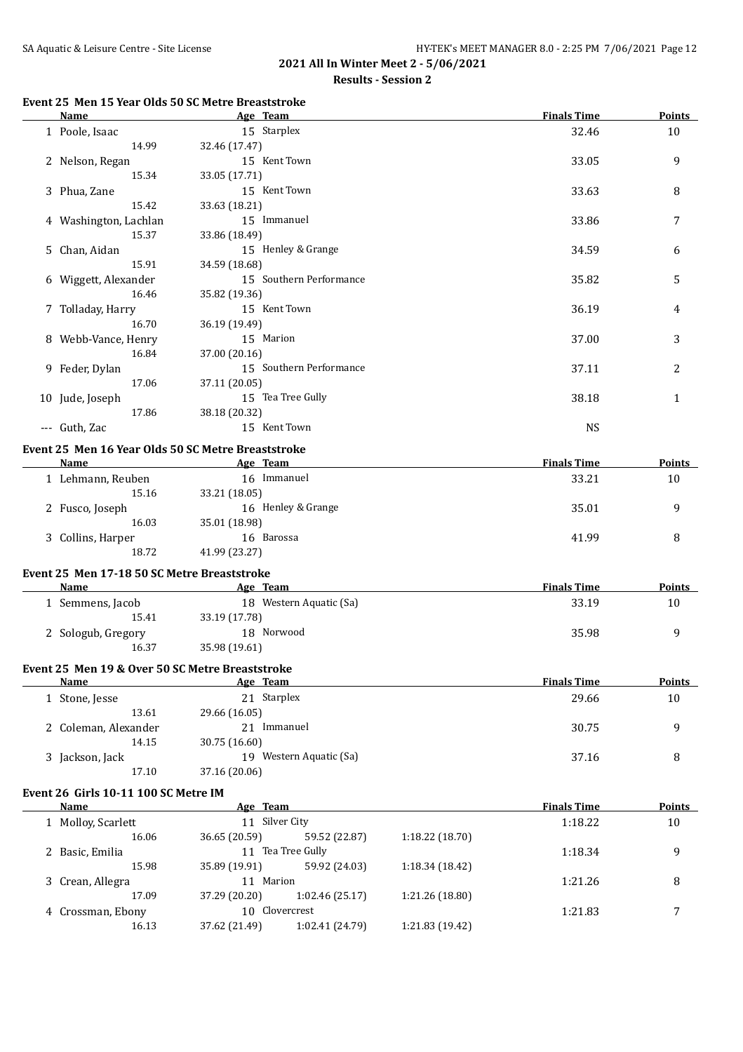# **Results - Session 2**

# **Event 25 Men 15 Year Olds 50 SC Metre Breaststroke**

| Name                                                | Age Team                                                       |                 |                 | <b>Finals Time</b> | <b>Points</b> |
|-----------------------------------------------------|----------------------------------------------------------------|-----------------|-----------------|--------------------|---------------|
| 1 Poole, Isaac                                      | 15 Starplex                                                    |                 |                 | 32.46              | 10            |
| 14.99                                               | 32.46 (17.47)                                                  |                 |                 |                    |               |
| 2 Nelson, Regan                                     | 15 Kent Town                                                   |                 |                 | 33.05              | 9             |
| 15.34                                               | 33.05 (17.71)                                                  |                 |                 |                    |               |
| 3 Phua, Zane                                        | 15 Kent Town                                                   |                 |                 | 33.63              | 8             |
| 15.42                                               | 33.63 (18.21)                                                  |                 |                 |                    |               |
| 4 Washington, Lachlan                               | 15 Immanuel                                                    |                 |                 | 33.86              | 7             |
| 15.37                                               | 33.86 (18.49)                                                  |                 |                 |                    |               |
| 5 Chan, Aidan                                       | 15 Henley & Grange                                             |                 |                 | 34.59              | 6             |
| 15.91                                               | 34.59 (18.68)                                                  |                 |                 |                    |               |
| 6 Wiggett, Alexander                                | 15 Southern Performance                                        |                 |                 | 35.82              | 5             |
| 16.46                                               | 35.82 (19.36)                                                  |                 |                 |                    |               |
| 7 Tolladay, Harry                                   | 15 Kent Town                                                   |                 |                 | 36.19              | 4             |
| 16.70                                               | 36.19 (19.49)                                                  |                 |                 |                    |               |
| 8 Webb-Vance, Henry                                 | 15 Marion                                                      |                 |                 | 37.00              | 3             |
| 16.84                                               | 37.00 (20.16)                                                  |                 |                 |                    |               |
| 9 Feder, Dylan                                      | 15 Southern Performance                                        |                 |                 | 37.11              | 2             |
| 17.06                                               | 37.11 (20.05)                                                  |                 |                 |                    |               |
| 10 Jude, Joseph                                     | 15 Tea Tree Gully                                              |                 |                 | 38.18              | $\mathbf{1}$  |
| 17.86                                               | 38.18 (20.32)                                                  |                 |                 |                    |               |
| --- Guth, Zac                                       | 15 Kent Town                                                   |                 |                 | <b>NS</b>          |               |
|                                                     |                                                                |                 |                 |                    |               |
| Name                                                | Event 25 Men 16 Year Olds 50 SC Metre Breaststroke<br>Age Team |                 |                 | <b>Finals Time</b> | Points        |
| 1 Lehmann, Reuben                                   | 16 Immanuel                                                    |                 |                 | 33.21              | 10            |
| 15.16                                               | 33.21 (18.05)                                                  |                 |                 |                    |               |
| 2 Fusco, Joseph                                     | 16 Henley & Grange                                             |                 |                 | 35.01              | 9             |
| 16.03                                               | 35.01 (18.98)                                                  |                 |                 |                    |               |
| 3 Collins, Harper                                   | 16 Barossa                                                     |                 |                 | 41.99              | 8             |
| 18.72                                               | 41.99 (23.27)                                                  |                 |                 |                    |               |
|                                                     |                                                                |                 |                 |                    |               |
| Event 25 Men 17-18 50 SC Metre Breaststroke         |                                                                |                 |                 |                    |               |
| Name                                                | Age Team                                                       |                 |                 | <b>Finals Time</b> | Points        |
| 1 Semmens, Jacob                                    | 18 Western Aquatic (Sa)                                        |                 |                 | 33.19              | 10            |
| 15.41                                               | 33.19 (17.78)                                                  |                 |                 |                    |               |
| 2 Sologub, Gregory                                  | 18 Norwood                                                     |                 |                 | 35.98              | 9             |
| 16.37                                               | 35.98 (19.61)                                                  |                 |                 |                    |               |
| Event 25 Men 19 & Over 50 SC Metre Breaststroke     |                                                                |                 |                 |                    |               |
| <b>Name</b>                                         | Age Team                                                       |                 |                 | <b>Finals Time</b> | <b>Points</b> |
| 1 Stone, Jesse                                      | 21 Starplex                                                    |                 |                 | 29.66              | 10            |
| 13.61                                               | 29.66 (16.05)                                                  |                 |                 |                    |               |
| 2 Coleman, Alexander                                | 21 Immanuel                                                    |                 |                 | 30.75              | 9             |
| 14.15                                               | 30.75 (16.60)                                                  |                 |                 |                    |               |
| 3 Jackson, Jack                                     | 19 Western Aquatic (Sa)                                        |                 |                 | 37.16              | 8             |
| 17.10                                               | 37.16 (20.06)                                                  |                 |                 |                    |               |
|                                                     |                                                                |                 |                 |                    |               |
| Event 26 Girls 10-11 100 SC Metre IM<br><b>Name</b> | Age Team                                                       |                 |                 | <b>Finals Time</b> | <b>Points</b> |
|                                                     | 11 Silver City                                                 |                 |                 | 1:18.22            | 10            |
| 1 Molloy, Scarlett<br>16.06                         | 36.65 (20.59)                                                  |                 | 1:18.22 (18.70) |                    |               |
|                                                     | 11 Tea Tree Gully                                              | 59.52 (22.87)   |                 |                    |               |
| 2 Basic, Emilia<br>15.98                            | 35.89 (19.91)                                                  | 59.92 (24.03)   | 1:18.34 (18.42) | 1:18.34            | 9             |
|                                                     | 11 Marion                                                      |                 |                 | 1:21.26            | 8             |
| 3 Crean, Allegra<br>17.09                           | 37.29 (20.20)                                                  | 1:02.46 (25.17) | 1:21.26 (18.80) |                    |               |
| 4 Crossman, Ebony                                   | 10 Clovercrest                                                 |                 |                 | 1:21.83            | 7             |
| 16.13                                               | 37.62 (21.49)                                                  | 1:02.41 (24.79) | 1:21.83 (19.42) |                    |               |
|                                                     |                                                                |                 |                 |                    |               |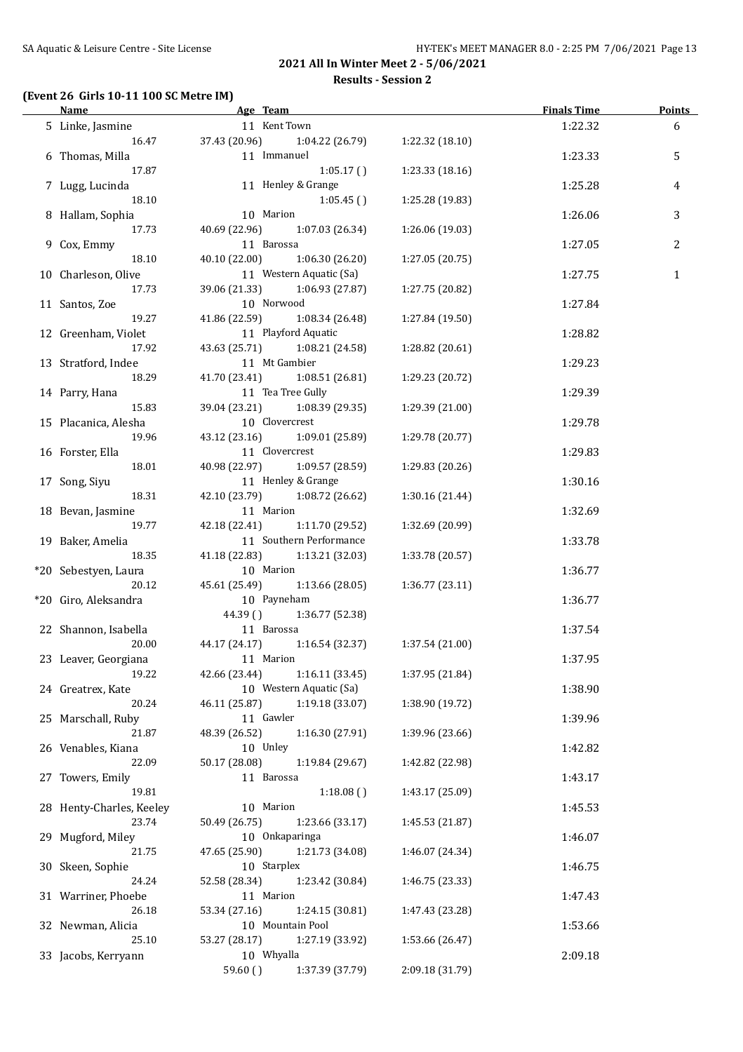### **(Event 26 Girls 10-11 100 SC Metre IM)**

| <b>Name</b>              | Age Team                         | <u> 1980 - Johann Barbara, martxa alemaniar a</u> | <b>Finals Time</b> | <b>Points</b>  |
|--------------------------|----------------------------------|---------------------------------------------------|--------------------|----------------|
| 5 Linke, Jasmine         | 11 Kent Town                     |                                                   | 1:22.32            | 6              |
| 16.47                    | 37.43 (20.96)<br>1:04.22 (26.79) | 1:22.32 (18.10)                                   |                    |                |
| 6 Thomas, Milla          | 11 Immanuel                      |                                                   | 1:23.33            | 5              |
| 17.87                    | 1:05.17()                        | 1:23.33 (18.16)                                   |                    |                |
|                          | 11 Henley & Grange               |                                                   |                    |                |
| 7 Lugg, Lucinda          |                                  |                                                   | 1:25.28            | 4              |
| 18.10                    | 1:05.45()                        | 1:25.28 (19.83)                                   |                    |                |
| 8 Hallam, Sophia         | 10 Marion                        |                                                   | 1:26.06            | 3              |
| 17.73                    | 40.69 (22.96)<br>1:07.03 (26.34) | 1:26.06 (19.03)                                   |                    |                |
| 9 Cox, Emmy              | 11 Barossa                       |                                                   | 1:27.05            | $\overline{2}$ |
| 18.10                    | 40.10 (22.00)<br>1:06.30(26.20)  | 1:27.05 (20.75)                                   |                    |                |
| 10 Charleson, Olive      | 11 Western Aquatic (Sa)          |                                                   | 1:27.75            | $\mathbf{1}$   |
| 17.73                    | 39.06 (21.33) 1:06.93 (27.87)    | 1:27.75 (20.82)                                   |                    |                |
| 11 Santos, Zoe           | 10 Norwood                       |                                                   | 1:27.84            |                |
| 19.27                    | 41.86 (22.59) 1:08.34 (26.48)    | 1:27.84 (19.50)                                   |                    |                |
| 12 Greenham, Violet      | 11 Playford Aquatic              |                                                   | 1:28.82            |                |
| 17.92                    | 43.63 (25.71) 1:08.21 (24.58)    | 1:28.82 (20.61)                                   |                    |                |
|                          | 11 Mt Gambier                    |                                                   |                    |                |
| 13 Stratford, Indee      |                                  |                                                   | 1:29.23            |                |
| 18.29                    | 41.70 (23.41) 1:08.51 (26.81)    | 1:29.23 (20.72)                                   |                    |                |
| 14 Parry, Hana           | 11 Tea Tree Gully                |                                                   | 1:29.39            |                |
| 15.83                    | 39.04 (23.21) 1:08.39 (29.35)    | 1:29.39 (21.00)                                   |                    |                |
| 15 Placanica, Alesha     | 10 Clovercrest                   |                                                   | 1:29.78            |                |
| 19.96                    | 43.12 (23.16) 1:09.01 (25.89)    | 1:29.78 (20.77)                                   |                    |                |
| 16 Forster, Ella         | 11 Clovercrest                   |                                                   | 1:29.83            |                |
| 18.01                    | 40.98 (22.97) 1:09.57 (28.59)    | 1:29.83 (20.26)                                   |                    |                |
| 17 Song, Siyu            | 11 Henley & Grange               |                                                   | 1:30.16            |                |
| 18.31                    | 42.10 (23.79) 1:08.72 (26.62)    | 1:30.16 (21.44)                                   |                    |                |
|                          | 11 Marion                        |                                                   | 1:32.69            |                |
| 18 Bevan, Jasmine        |                                  |                                                   |                    |                |
| 19.77                    | 42.18 (22.41) 1:11.70 (29.52)    | 1:32.69 (20.99)                                   |                    |                |
| 19 Baker, Amelia         | 11 Southern Performance          |                                                   | 1:33.78            |                |
| 18.35                    | 41.18 (22.83) 1:13.21 (32.03)    | 1:33.78 (20.57)                                   |                    |                |
| *20 Sebestyen, Laura     | 10 Marion                        |                                                   | 1:36.77            |                |
| 20.12                    | 45.61 (25.49) 1:13.66 (28.05)    | 1:36.77(23.11)                                    |                    |                |
| *20 Giro, Aleksandra     | 10 Payneham                      |                                                   | 1:36.77            |                |
|                          | 44.39 () 1:36.77 (52.38)         |                                                   |                    |                |
| 22 Shannon, Isabella     | 11 Barossa                       |                                                   | 1:37.54            |                |
| 20.00                    | 44.17 (24.17)<br>1:16.54 (32.37) | 1:37.54 (21.00)                                   |                    |                |
| 23 Leaver, Georgiana     | 11 Marion                        |                                                   | 1:37.95            |                |
| 19.22                    | 1:16.11(33.45)<br>42.66 (23.44)  | 1:37.95 (21.84)                                   |                    |                |
|                          | 10 Western Aquatic (Sa)          |                                                   |                    |                |
| 24 Greatrex, Kate        |                                  |                                                   | 1:38.90            |                |
| 20.24                    | 1:19.18 (33.07)<br>46.11 (25.87) | 1:38.90 (19.72)                                   |                    |                |
| 25 Marschall, Ruby       | 11 Gawler                        |                                                   | 1:39.96            |                |
| 21.87                    | 48.39 (26.52)<br>1:16.30 (27.91) | 1:39.96 (23.66)                                   |                    |                |
| 26 Venables, Kiana       | 10 Unley                         |                                                   | 1:42.82            |                |
| 22.09                    | 50.17 (28.08)<br>1:19.84 (29.67) | 1:42.82 (22.98)                                   |                    |                |
| 27 Towers, Emily         | 11 Barossa                       |                                                   | 1:43.17            |                |
| 19.81                    | 1:18.08()                        | 1:43.17 (25.09)                                   |                    |                |
| 28 Henty-Charles, Keeley | 10 Marion                        |                                                   | 1:45.53            |                |
| 23.74                    | 50.49 (26.75)<br>1:23.66 (33.17) | 1:45.53 (21.87)                                   |                    |                |
| 29 Mugford, Miley        | 10 Onkaparinga                   |                                                   | 1:46.07            |                |
| 21.75                    | 47.65 (25.90)<br>1:21.73 (34.08) | 1:46.07 (24.34)                                   |                    |                |
| 30 Skeen, Sophie         | 10 Starplex                      |                                                   | 1:46.75            |                |
|                          |                                  |                                                   |                    |                |
| 24.24                    | 52.58 (28.34)<br>1:23.42 (30.84) | 1:46.75 (23.33)                                   |                    |                |
| 31 Warriner, Phoebe      | 11 Marion                        |                                                   | 1:47.43            |                |
| 26.18                    | 53.34 (27.16)<br>1:24.15 (30.81) | 1:47.43 (23.28)                                   |                    |                |
| 32 Newman, Alicia        | 10 Mountain Pool                 |                                                   | 1:53.66            |                |
| 25.10                    | 53.27 (28.17)<br>1:27.19 (33.92) | 1:53.66 (26.47)                                   |                    |                |
| 33 Jacobs, Kerryann      | 10 Whyalla                       |                                                   | 2:09.18            |                |
|                          | 1:37.39 (37.79)<br>59.60()       | 2:09.18 (31.79)                                   |                    |                |
|                          |                                  |                                                   |                    |                |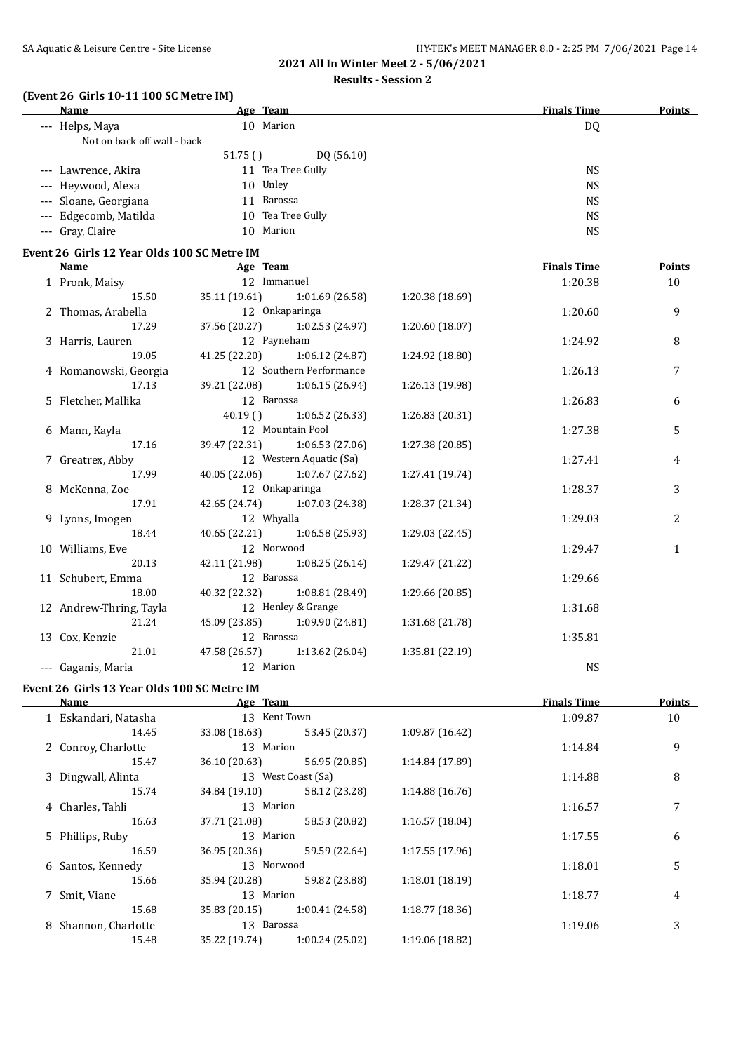# **Results - Session 2**

# **(Event 26 Girls 10-11 100 SC Metre IM)**

| Name                        | Age Team             | <b>Finals Time</b> | <b>Points</b> |
|-----------------------------|----------------------|--------------------|---------------|
| --- Helps, Maya             | 10 Marion            | DQ                 |               |
| Not on back off wall - back |                      |                    |               |
|                             | DQ(56.10)<br>51.75() |                    |               |
| --- Lawrence, Akira         | 11 Tea Tree Gully    | <b>NS</b>          |               |
| --- Heywood, Alexa          | 10 Unley             | <b>NS</b>          |               |
| --- Sloane, Georgiana       | 11 Barossa           | <b>NS</b>          |               |
| --- Edgecomb, Matilda       | 10 Tea Tree Gully    | <b>NS</b>          |               |
| --- Gray, Claire            | 10 Marion            | <b>NS</b>          |               |
|                             |                      |                    |               |

### **Event 26 Girls 12 Year Olds 100 SC Metre IM**

| Name and the second state of the second state of the second state of the second state of the second state of the second state of the second state of the second state of the second state of the second state of the second st | Age Team           |                               |                 | <b>Finals Time</b> | <b>Points</b>  |
|--------------------------------------------------------------------------------------------------------------------------------------------------------------------------------------------------------------------------------|--------------------|-------------------------------|-----------------|--------------------|----------------|
| 1 Pronk, Maisy                                                                                                                                                                                                                 | 12 Immanuel        |                               |                 | 1:20.38            | 10             |
| 15.50                                                                                                                                                                                                                          |                    | 35.11 (19.61) 1:01.69 (26.58) | 1:20.38 (18.69) |                    |                |
| 2 Thomas, Arabella                                                                                                                                                                                                             |                    | 12 Onkaparinga                |                 | 1:20.60            | 9              |
| 17.29                                                                                                                                                                                                                          |                    | 37.56 (20.27) 1:02.53 (24.97) | 1:20.60(18.07)  |                    |                |
| 3 Harris, Lauren                                                                                                                                                                                                               | 12 Payneham        |                               |                 | 1:24.92            | 8              |
| 19.05                                                                                                                                                                                                                          |                    | 41.25 (22.20) 1:06.12 (24.87) | 1:24.92 (18.80) |                    |                |
| 4 Romanowski, Georgia                                                                                                                                                                                                          |                    | 12 Southern Performance       |                 | 1:26.13            | $\overline{7}$ |
| 17.13                                                                                                                                                                                                                          |                    | 39.21 (22.08) 1:06.15 (26.94) | 1:26.13 (19.98) |                    |                |
| 5 Fletcher, Mallika                                                                                                                                                                                                            | 12 Barossa         |                               |                 | 1:26.83            | 6              |
|                                                                                                                                                                                                                                |                    | $40.19$ () $1:06.52$ (26.33)  | 1:26.83 (20.31) |                    |                |
| 6 Mann, Kayla                                                                                                                                                                                                                  | 12 Mountain Pool   |                               |                 | 1:27.38            | 5              |
| 17.16                                                                                                                                                                                                                          |                    | 39.47 (22.31) 1:06.53 (27.06) | 1:27.38 (20.85) |                    |                |
| 7 Greatrex, Abby                                                                                                                                                                                                               |                    | 12 Western Aquatic (Sa)       |                 | 1:27.41            | 4              |
| 17.99                                                                                                                                                                                                                          |                    | 40.05 (22.06) 1:07.67 (27.62) | 1:27.41 (19.74) |                    |                |
| 8 McKenna, Zoe                                                                                                                                                                                                                 |                    | 12 Onkaparinga                |                 |                    | 3              |
| 17.91                                                                                                                                                                                                                          |                    | 42.65 (24.74) 1:07.03 (24.38) | 1:28.37 (21.34) |                    |                |
| 9 Lyons, Imogen                                                                                                                                                                                                                | 12 Whyalla         |                               |                 | 1:29.03            | $\overline{2}$ |
| 18.44                                                                                                                                                                                                                          |                    | 40.65 (22.21) 1:06.58 (25.93) | 1:29.03 (22.45) |                    |                |
| 10 Williams, Eve                                                                                                                                                                                                               | 12 Norwood         |                               |                 | 1:29.47            | $\mathbf{1}$   |
| 20.13                                                                                                                                                                                                                          |                    | 42.11 (21.98) 1:08.25 (26.14) | 1:29.47 (21.22) |                    |                |
| 11 Schubert, Emma                                                                                                                                                                                                              | 12 Barossa         |                               |                 | 1:29.66            |                |
| 18.00                                                                                                                                                                                                                          |                    | 40.32 (22.32) 1:08.81 (28.49) | 1:29.66 (20.85) |                    |                |
| 12 Andrew-Thring, Tayla                                                                                                                                                                                                        | 12 Henley & Grange |                               |                 | 1:31.68            |                |
| 21.24                                                                                                                                                                                                                          |                    | 45.09 (23.85) 1:09.90 (24.81) | 1:31.68 (21.78) |                    |                |
| 13 Cox, Kenzie                                                                                                                                                                                                                 | 12 Barossa         |                               |                 | 1:35.81            |                |
| 21.01                                                                                                                                                                                                                          |                    | 47.58 (26.57) 1:13.62 (26.04) | 1:35.81 (22.19) |                    |                |
| --- Gaganis, Maria                                                                                                                                                                                                             | 12 Marion          |                               |                 | <b>NS</b>          |                |

#### **Event 26 Girls 13 Year Olds 100 SC Metre IM**

| Name                 | Age Team      |                    |                 | <b>Finals Time</b> | <b>Points</b> |
|----------------------|---------------|--------------------|-----------------|--------------------|---------------|
| 1 Eskandari, Natasha |               | 13 Kent Town       |                 | 1:09.87            | 10            |
| 14.45                | 33.08 (18.63) | 53.45 (20.37)      | 1:09.87(16.42)  |                    |               |
| 2 Conroy, Charlotte  | 13 Marion     |                    |                 | 1:14.84            | 9             |
| 15.47                | 36.10 (20.63) | 56.95 (20.85)      | 1:14.84 (17.89) |                    |               |
| 3 Dingwall, Alinta   |               | 13 West Coast (Sa) |                 | 1:14.88            | 8             |
| 15.74                | 34.84 (19.10) | 58.12 (23.28)      | 1:14.88(16.76)  |                    |               |
| 4 Charles, Tahli     | 13 Marion     |                    |                 | 1:16.57            | 7             |
| 16.63                | 37.71 (21.08) | 58.53 (20.82)      | 1:16.57(18.04)  |                    |               |
| 5 Phillips, Ruby     | 13 Marion     |                    |                 | 1:17.55            | 6             |
| 16.59                | 36.95 (20.36) | 59.59 (22.64)      | 1:17.55(17.96)  |                    |               |
| 6 Santos, Kennedy    | 13 Norwood    |                    |                 | 1:18.01            | 5             |
| 15.66                | 35.94 (20.28) | 59.82 (23.88)      | 1:18.01(18.19)  |                    |               |
| 7 Smit, Viane        | 13 Marion     |                    |                 | 1:18.77            | 4             |
| 15.68                | 35.83 (20.15) | 1:00.41(24.58)     | 1:18.77(18.36)  |                    |               |
| 8 Shannon, Charlotte | 13 Barossa    |                    |                 | 1:19.06            | 3             |
| 15.48                | 35.22 (19.74) | 1:00.24(25.02)     | 1:19.06 (18.82) |                    |               |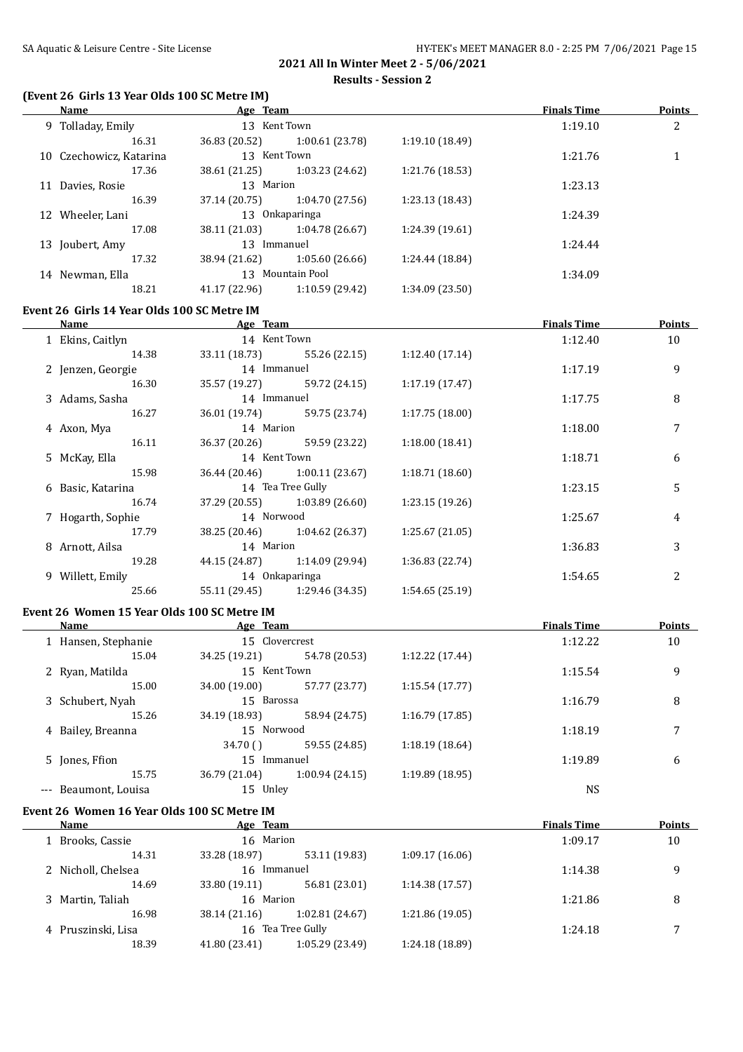### **Results - Session 2**

### **(Event 26 Girls 13 Year Olds 100 SC Metre IM)**

| Name                                        | Age Team                             |                                               |                 | <b>Finals Time</b> | <b>Points</b> |
|---------------------------------------------|--------------------------------------|-----------------------------------------------|-----------------|--------------------|---------------|
| 9 Tolladay, Emily                           | 13 Kent Town                         |                                               |                 | 1:19.10            | 2             |
| 16.31                                       |                                      | 36.83 (20.52) 1:00.61 (23.78)                 | 1:19.10 (18.49) |                    |               |
| 10 Czechowicz, Katarina                     | 13 Kent Town                         |                                               |                 | 1:21.76            | $\mathbf{1}$  |
| 17.36                                       |                                      | 38.61 (21.25) 1:03.23 (24.62)                 | 1:21.76 (18.53) |                    |               |
| 11 Davies, Rosie                            | 13 Marion                            |                                               |                 | 1:23.13            |               |
| 16.39                                       |                                      | 37.14 (20.75) 1:04.70 (27.56)                 | 1:23.13 (18.43) |                    |               |
| 12 Wheeler, Lani                            | 13 Onkaparinga                       |                                               |                 | 1:24.39            |               |
| 17.08                                       |                                      | 38.11 (21.03) 1:04.78 (26.67)                 | 1:24.39 (19.61) |                    |               |
| 13 Joubert, Amy                             | 13 Immanuel                          |                                               |                 | 1:24.44            |               |
| 17.32                                       |                                      | 38.94 (21.62) 1:05.60 (26.66)                 | 1:24.44 (18.84) |                    |               |
| 14 Newman, Ella                             | 13 Mountain Pool                     |                                               |                 | 1:34.09            |               |
| 18.21                                       |                                      | 41.17 (22.96) 1:10.59 (29.42) 1:34.09 (23.50) |                 |                    |               |
| Event 26 Girls 14 Year Olds 100 SC Metre IM |                                      |                                               |                 |                    |               |
| <b>Name</b>                                 | <b>Example 2</b> Separate 2 Age Team |                                               |                 | <b>Finals Time</b> | <b>Points</b> |
| 1 Ekins, Caitlyn                            | 14 Kent Town                         |                                               |                 | 1:12.40            | 10            |
| 14.38                                       |                                      | 33.11 (18.73) 55.26 (22.15)                   | 1:12.40(17.14)  |                    |               |
| 2 Jenzen, Georgie                           | 14 Immanuel                          |                                               |                 | 1:17.19            | 9             |
| 16.30                                       |                                      | 35.57 (19.27) 59.72 (24.15)                   | 1:17.19(17.47)  |                    |               |
| 3 Adams, Sasha                              | 14 Immanuel                          |                                               |                 | 1:17.75            | 8             |
| 16.27                                       |                                      | 36.01 (19.74) 59.75 (23.74)                   | 1:17.75(18.00)  |                    |               |
| 4 Axon, Mya                                 | 14 Marion                            |                                               |                 | 1:18.00            | 7             |
| 16.11                                       |                                      | 36.37 (20.26) 59.59 (23.22)                   | 1:18.00(18.41)  |                    |               |
| 5 McKay, Ella                               | 14 Kent Town                         |                                               |                 | 1:18.71            | 6             |
| 15.98                                       |                                      | 36.44 (20.46) 1:00.11 (23.67) 1:18.71 (18.60) |                 |                    |               |
|                                             |                                      |                                               |                 |                    |               |

| Name              | Age Team     |                                 |                 | <b>Finals Time</b> | Points |
|-------------------|--------------|---------------------------------|-----------------|--------------------|--------|
| 1 Ekins, Caitlyn  | 14 Kent Town |                                 |                 | 1:12.40            | 10     |
| 14.38             |              | 33.11 (18.73) 55.26 (22.15)     | 1:12.40(17.14)  |                    |        |
| 2 Jenzen, Georgie | 14 Immanuel  |                                 |                 | 1:17.19            | 9      |
| 16.30             |              | 35.57 (19.27) 59.72 (24.15)     | 1:17.19(17.47)  |                    |        |
| 3 Adams, Sasha    | 14 Immanuel  |                                 |                 | 1:17.75            | 8      |
| 16.27             |              | 36.01 (19.74) 59.75 (23.74)     | 1:17.75(18.00)  |                    |        |
| 4 Axon, Mya       | 14 Marion    |                                 |                 | 1:18.00            |        |
| 16.11             |              | 36.37 (20.26) 59.59 (23.22)     | 1:18.00(18.41)  |                    |        |
| 5 McKay, Ella     | 14 Kent Town |                                 |                 | 1:18.71            | 6      |
| 15.98             |              | 36.44 (20.46) 1:00.11 (23.67)   | 1:18.71(18.60)  |                    |        |
| 6 Basic, Katarina |              | 14 Tea Tree Gully               |                 | 1:23.15            | 5      |
| 16.74             |              | $37.29(20.55)$ $1:03.89(26.60)$ | 1:23.15(19.26)  |                    |        |
| 7 Hogarth, Sophie | 14 Norwood   |                                 |                 | 1:25.67            | 4      |
| 17.79             |              | 38.25 (20.46) 1:04.62 (26.37)   | 1:25.67(21.05)  |                    |        |
| 8 Arnott, Ailsa   | 14 Marion    |                                 |                 | 1:36.83            | 3      |
| 19.28             |              | 44.15 (24.87) 1:14.09 (29.94)   | 1:36.83 (22.74) |                    |        |
| 9 Willett, Emily  |              | 14 Onkaparinga                  |                 | 1:54.65            | 2      |
| 25.66             |              | 55.11 (29.45) 1:29.46 (34.35)   | 1:54.65(25.19)  |                    |        |

# **Event 26 Women 15 Year Olds 100 SC Metre IM**

| Name                 | Age Team      |                |                 | <b>Finals Time</b> | Points |
|----------------------|---------------|----------------|-----------------|--------------------|--------|
| 1 Hansen, Stephanie  |               | 15 Clovercrest |                 | 1:12.22            | 10     |
| 15.04                | 34.25 (19.21) | 54.78 (20.53)  | 1:12.22 (17.44) |                    |        |
| 2 Ryan, Matilda      | 15 Kent Town  |                |                 | 1:15.54            | 9      |
| 15.00                | 34.00 (19.00) | 57.77 (23.77)  | 1:15.54(17.77)  |                    |        |
| 3 Schubert, Nyah     |               | 15 Barossa     |                 | 1:16.79            | 8      |
| 15.26                | 34.19 (18.93) | 58.94 (24.75)  | 1:16.79(17.85)  |                    |        |
| 4 Bailey, Breanna    |               | 15 Norwood     |                 | 1:18.19            | 7      |
|                      | 34.70()       | 59.55 (24.85)  | 1:18.19(18.64)  |                    |        |
| 5 Jones, Ffion       | 15 Immanuel   |                |                 | 1:19.89            | 6      |
| 15.75                | 36.79 (21.04) | 1:00.94(24.15) | 1:19.89 (18.95) |                    |        |
| --- Beaumont, Louisa | 15 Unley      |                |                 | <b>NS</b>          |        |

# **Event 26 Women 16 Year Olds 100 SC Metre IM**

 $\overline{\phantom{0}}$ 

| <b>Name</b>        | Age Team      |                   |                 | <b>Finals Time</b> | <b>Points</b> |
|--------------------|---------------|-------------------|-----------------|--------------------|---------------|
| 1 Brooks, Cassie   |               | 16 Marion         |                 | 1:09.17            | 10            |
| 14.31              | 33.28 (18.97) | 53.11 (19.83)     | 1:09.17(16.06)  |                    |               |
| 2 Nicholl, Chelsea | 16 Immanuel   |                   |                 | 1:14.38            | q             |
| 14.69              | 33.80 (19.11) | 56.81 (23.01)     | 1:14.38(17.57)  |                    |               |
| 3 Martin, Taliah   | 16 Marion     |                   |                 | 1:21.86            | 8             |
| 16.98              | 38.14 (21.16) | 1:02.81 (24.67)   | 1:21.86 (19.05) |                    |               |
| 4 Pruszinski, Lisa |               | 16 Tea Tree Gully |                 | 1:24.18            | 7             |
| 18.39              | 41.80 (23.41) | 1:05.29 (23.49)   | 1:24.18 (18.89) |                    |               |
|                    |               |                   |                 |                    |               |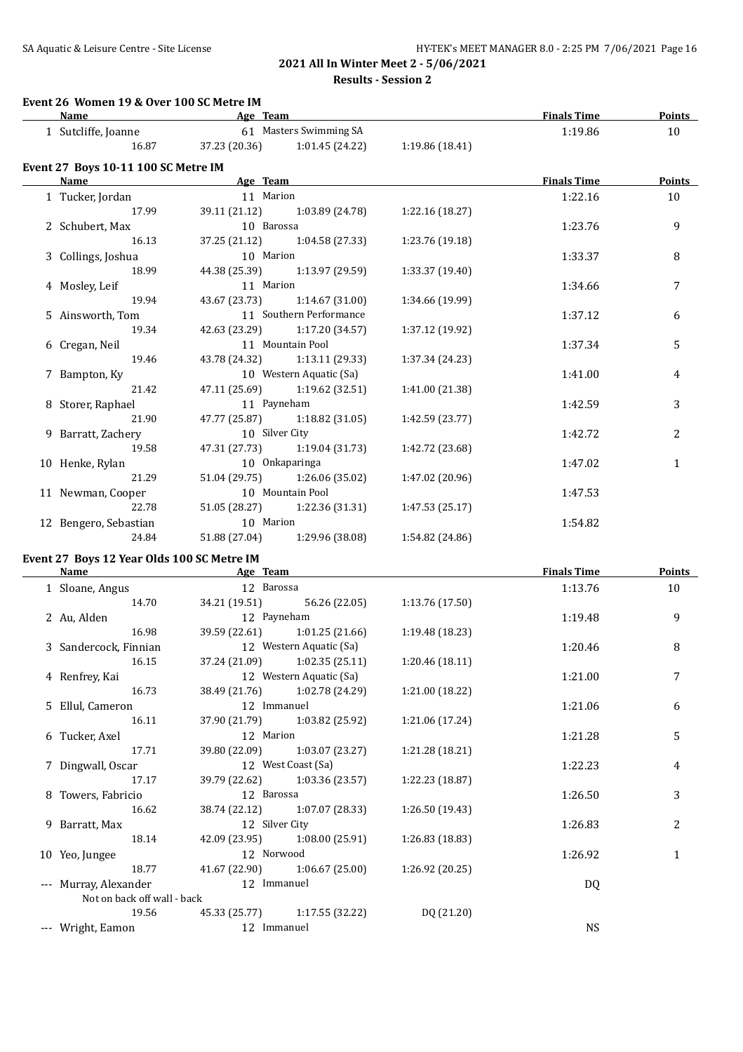# SA Aquatic & Leisure Centre - Site License **HY-TEK's MEET MANAGER 8.0 - 2:25 PM 7/06/2021** Page 16

# **2021 All In Winter Meet 2 - 5/06/2021 Results - Session 2**

#### **Event 26 Women 19 & Over 100 SC Metre IM**

| Age Team<br>Name                           |                           | <b>Finals Time</b>                            | Points          |                    |                 |
|--------------------------------------------|---------------------------|-----------------------------------------------|-----------------|--------------------|-----------------|
| 1 Sutcliffe, Joanne                        | 61 Masters Swimming SA    |                                               |                 | 1:19.86            | 10              |
| 16.87                                      |                           | 37.23 (20.36) 1:01.45 (24.22) 1:19.86 (18.41) |                 |                    |                 |
| Event 27 Boys 10-11 100 SC Metre IM        |                           |                                               |                 |                    |                 |
| Name                                       | <b>Example 2</b> Age Team |                                               |                 | <b>Finals Time</b> | Points          |
| 1 Tucker, Jordan                           | 11 Marion                 |                                               |                 | 1:22.16            | 10              |
| 17.99                                      |                           | 39.11 (21.12) 1:03.89 (24.78)                 | 1:22.16(18.27)  |                    |                 |
| 2 Schubert, Max                            | 10 Barossa                |                                               |                 | 1:23.76            | 9               |
| 16.13                                      |                           | 37.25 (21.12) 1:04.58 (27.33)                 | 1:23.76 (19.18) |                    |                 |
| 3 Collings, Joshua                         | 10 Marion                 |                                               |                 | 1:33.37            | 8               |
| 18.99                                      |                           | 44.38 (25.39) 1:13.97 (29.59)                 | 1:33.37 (19.40) |                    |                 |
| 4 Mosley, Leif                             | 11 Marion                 |                                               |                 | 1:34.66            | 7               |
| 19.94                                      |                           | 43.67 (23.73) 1:14.67 (31.00)                 | 1:34.66 (19.99) |                    |                 |
| 5 Ainsworth, Tom                           |                           | 11 Southern Performance                       |                 | 1:37.12            | 6               |
| 19.34                                      |                           | 42.63 (23.29) 1:17.20 (34.57)                 | 1:37.12 (19.92) |                    |                 |
| 6 Cregan, Neil                             |                           | 11 Mountain Pool                              |                 | 1:37.34            | 5               |
| 19.46                                      |                           | 43.78 (24.32) 1:13.11 (29.33)                 | 1:37.34 (24.23) |                    |                 |
| 7 Bampton, Ky                              |                           | 10 Western Aquatic (Sa)                       |                 | 1:41.00            | 4               |
| 21.42                                      |                           | 47.11 (25.69) 1:19.62 (32.51)                 | 1:41.00 (21.38) |                    |                 |
| 8 Storer, Raphael                          | 11 Payneham               |                                               |                 | 1:42.59            | 3               |
| 21.90                                      |                           | 47.77 (25.87) 1:18.82 (31.05)                 | 1:42.59 (23.77) |                    |                 |
| 9 Barratt, Zachery                         | 10 Silver City            |                                               |                 | 1:42.72            | 2               |
| 19.58                                      |                           | 47.31 (27.73) 1:19.04 (31.73)                 | 1:42.72 (23.68) |                    |                 |
| 10 Henke, Rylan                            |                           | 10 Onkaparinga                                |                 | 1:47.02            | $\mathbf{1}$    |
| 21.29                                      |                           | 51.04 (29.75) 1:26.06 (35.02)                 | 1:47.02 (20.96) |                    |                 |
| 11 Newman, Cooper                          |                           | 10 Mountain Pool                              |                 | 1:47.53            |                 |
| 22.78                                      |                           | 51.05 (28.27) 1:22.36 (31.31)                 | 1:47.53(25.17)  |                    |                 |
| 12 Bengero, Sebastian                      | 10 Marion                 |                                               |                 | 1:54.82            |                 |
| 24.84                                      |                           | 51.88 (27.04) 1:29.96 (38.08)                 | 1:54.82 (24.86) |                    |                 |
| Event 27 Boys 12 Year Olds 100 SC Metre IM |                           |                                               |                 |                    |                 |
| Name                                       | <b>Example 2</b> Age Team |                                               |                 | <b>Finals Time</b> | Points          |
| 1 Sloane Angus                             | 12 Barossa                |                                               |                 | 1.1376             | 10 <sup>1</sup> |

|                             |                |                                 |                 |           | .  |
|-----------------------------|----------------|---------------------------------|-----------------|-----------|----|
| 1 Sloane, Angus             | 12 Barossa     |                                 |                 | 1:13.76   | 10 |
| 14.70                       |                | 34.21 (19.51) 56.26 (22.05)     | 1:13.76 (17.50) |           |    |
| 2 Au, Alden                 | 12 Payneham    |                                 |                 | 1:19.48   | 9  |
| 16.98                       |                | 39.59 (22.61) 1:01.25 (21.66)   | 1:19.48 (18.23) |           |    |
| 3 Sandercock, Finnian       |                | 12 Western Aquatic (Sa)         |                 | 1:20.46   | 8  |
| 16.15                       |                | $37.24(21.09)$ $1:02.35(25.11)$ | 1:20.46(18.11)  |           |    |
| 4 Renfrey, Kai              |                | 12 Western Aquatic (Sa)         |                 | 1:21.00   | 7  |
| 16.73                       |                | 38.49 (21.76) 1:02.78 (24.29)   | 1:21.00 (18.22) |           |    |
| 5 Ellul, Cameron            | 12 Immanuel    |                                 |                 | 1:21.06   | 6  |
| 16.11                       |                | 37.90 (21.79) 1:03.82 (25.92)   | 1:21.06 (17.24) |           |    |
| 6 Tucker, Axel              | 12 Marion      |                                 |                 | 1:21.28   | 5  |
| 17.71                       |                | 39.80 (22.09) 1:03.07 (23.27)   | 1:21.28 (18.21) |           |    |
| 7 Dingwall, Oscar           |                | 12 West Coast (Sa)              |                 | 1:22.23   | 4  |
| 17.17                       |                | 39.79 (22.62) 1:03.36 (23.57)   | 1:22.23 (18.87) |           |    |
| 8 Towers, Fabricio          | 12 Barossa     |                                 |                 | 1:26.50   | 3  |
| 16.62                       |                | 38.74 (22.12) 1:07.07 (28.33)   | 1:26.50 (19.43) |           |    |
| 9 Barratt, Max              | 12 Silver City |                                 |                 | 1:26.83   | 2  |
| 18.14                       |                | 42.09 (23.95) 1:08.00 (25.91)   | 1:26.83 (18.83) |           |    |
| 10 Yeo, Jungee              | 12 Norwood     |                                 |                 | 1:26.92   | 1  |
| 18.77                       |                | 41.67 (22.90) 1:06.67 (25.00)   | 1:26.92 (20.25) |           |    |
| --- Murray, Alexander       | 12 Immanuel    |                                 |                 | DQ        |    |
| Not on back off wall - back |                |                                 |                 |           |    |
| 19.56                       |                | 45.33 (25.77) 1:17.55 (32.22)   | DQ (21.20)      |           |    |
| --- Wright, Eamon           | 12 Immanuel    |                                 |                 | <b>NS</b> |    |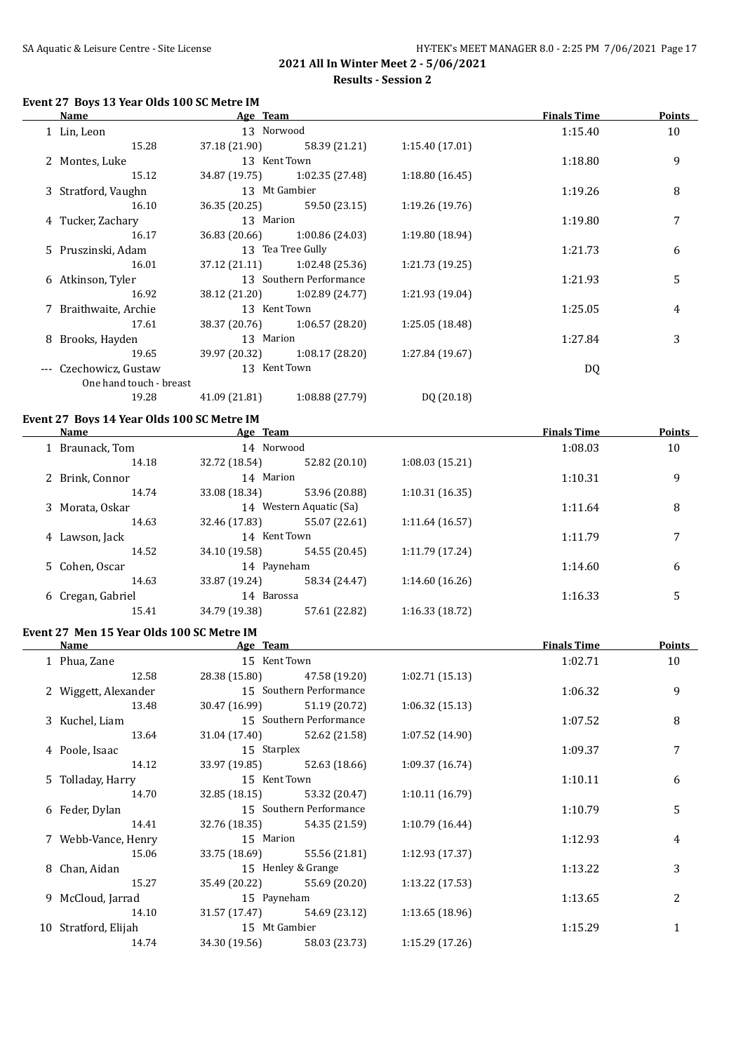#### **Event 27 Boys 13 Year Olds 100 SC Metre IM**

| Name                                       | Age Team      |                               |                 | <b>Finals Time</b> | <b>Points</b> |
|--------------------------------------------|---------------|-------------------------------|-----------------|--------------------|---------------|
| 1 Lin, Leon                                | 13 Norwood    |                               |                 | 1:15.40            | 10            |
| 15.28                                      | 37.18 (21.90) | 58.39 (21.21)                 | 1:15.40 (17.01) |                    |               |
| 2 Montes, Luke                             | 13 Kent Town  |                               |                 | 1:18.80            | 9             |
| 15.12                                      |               | 34.87 (19.75) 1:02.35 (27.48) | 1:18.80(16.45)  |                    |               |
| 3 Stratford, Vaughn                        |               | 13 Mt Gambier                 |                 | 1:19.26            | 8             |
| 16.10                                      |               | 36.35 (20.25) 59.50 (23.15)   | 1:19.26(19.76)  |                    |               |
| 4 Tucker, Zachary                          | 13 Marion     |                               |                 | 1:19.80            | 7             |
| 16.17                                      |               | 36.83 (20.66) 1:00.86 (24.03) | 1:19.80 (18.94) |                    |               |
| 5 Pruszinski, Adam                         |               | 13 Tea Tree Gully             |                 | 1:21.73            | 6             |
| 16.01                                      |               | 37.12 (21.11) 1:02.48 (25.36) | 1:21.73 (19.25) |                    |               |
| 6 Atkinson, Tyler                          |               | 13 Southern Performance       |                 | 1:21.93            | 5             |
| 16.92                                      |               | 38.12 (21.20) 1:02.89 (24.77) | 1:21.93 (19.04) |                    |               |
| 7 Braithwaite, Archie                      | 13 Kent Town  |                               |                 | 1:25.05            | 4             |
| 17.61                                      |               | 38.37 (20.76) 1:06.57 (28.20) | 1:25.05 (18.48) |                    |               |
| 8 Brooks, Hayden                           | 13 Marion     |                               |                 | 1:27.84            | 3             |
| 19.65                                      |               | 39.97 (20.32) 1:08.17 (28.20) | 1:27.84 (19.67) |                    |               |
| --- Czechowicz, Gustaw                     | 13 Kent Town  |                               |                 | DQ                 |               |
| One hand touch - breast                    |               |                               |                 |                    |               |
| 19.28                                      | 41.09 (21.81) | 1:08.88(27.79)                | DQ (20.18)      |                    |               |
| Event 27 Boys 14 Year Olds 100 SC Metre IM |               |                               |                 |                    |               |
| Name                                       | Age Team      |                               |                 | <b>Finals Time</b> | Points        |

| <b>Name</b>       | <u>Age Team</u> |                         |                 | <b>Finals Time</b> | Points |
|-------------------|-----------------|-------------------------|-----------------|--------------------|--------|
| 1 Braunack, Tom   | 14 Norwood      |                         |                 | 1:08.03            | 10     |
| 14.18             | 32.72 (18.54)   | 52.82 (20.10)           | 1:08.03(15.21)  |                    |        |
| 2 Brink, Connor   | 14 Marion       |                         |                 | 1:10.31            | 9      |
| 14.74             | 33.08 (18.34)   | 53.96 (20.88)           | 1:10.31(16.35)  |                    |        |
| 3 Morata, Oskar   |                 | 14 Western Aquatic (Sa) |                 | 1:11.64            | 8      |
| 14.63             | 32.46 (17.83)   | 55.07 (22.61)           | 1:11.64(16.57)  |                    |        |
| 4 Lawson, Jack    | 14 Kent Town    |                         |                 | 1:11.79            | 7      |
| 14.52             | 34.10 (19.58)   | 54.55 (20.45)           | 1:11.79 (17.24) |                    |        |
| 5 Cohen, Oscar    | 14 Payneham     |                         |                 | 1:14.60            | 6      |
| 14.63             | 33.87 (19.24)   | 58.34 (24.47)           | 1:14.60(16.26)  |                    |        |
| 6 Cregan, Gabriel | 14 Barossa      |                         |                 | 1:16.33            | 5      |
| 15.41             | 34.79 (19.38)   | 57.61 (22.82)           | 1:16.33(18.72)  |                    |        |

#### **Event 27 Men 15 Year Olds 100 SC Metre IM**

| Name                 | Age Team      |                               |                 | <b>Finals Time</b> | <b>Points</b>  |
|----------------------|---------------|-------------------------------|-----------------|--------------------|----------------|
| 1 Phua, Zane         | 15 Kent Town  |                               |                 | 1:02.71            | 10             |
| 12.58                |               | 28.38 (15.80) 47.58 (19.20)   | 1:02.71(15.13)  |                    |                |
| 2 Wiggett, Alexander |               | 15 Southern Performance       |                 | 1:06.32            | 9              |
| 13.48                |               | 30.47 (16.99) 51.19 (20.72)   | 1:06.32(15.13)  |                    |                |
| 3 Kuchel, Liam       |               | 15 Southern Performance       |                 | 1:07.52            | 8              |
| 13.64                |               | 31.04 (17.40) 52.62 (21.58)   | 1:07.52(14.90)  |                    |                |
| 4 Poole, Isaac       | 15 Starplex   |                               |                 | 1:09.37            | 7              |
| 14.12                |               | 33.97 (19.85) 52.63 (18.66)   | 1:09.37(16.74)  |                    |                |
| 5 Tolladay, Harry    | 15 Kent Town  |                               |                 | 1:10.11            | 6              |
| 14.70                |               | 32.85 (18.15) 53.32 (20.47)   | 1:10.11(16.79)  |                    |                |
| 6 Feder, Dylan       |               | 15 Southern Performance       |                 | 1:10.79            | 5              |
| 14.41                |               | 32.76 (18.35) 54.35 (21.59)   | 1:10.79(16.44)  |                    |                |
| 7 Webb-Vance, Henry  |               | 15 Marion                     |                 | 1:12.93            | 4              |
| 15.06                |               | 33.75 (18.69) 55.56 (21.81)   | 1:12.93(17.37)  |                    |                |
| 8 Chan, Aidan        |               | 15 Henley & Grange            |                 | 1:13.22            | 3              |
| 15.27                |               | 35.49 (20.22) 55.69 (20.20)   | 1:13.22(17.53)  |                    |                |
| 9 McCloud, Jarrad    | 15 Payneham   |                               |                 | 1:13.65            | $\overline{2}$ |
| 14.10                |               | $31.57(17.47)$ $54.69(23.12)$ | 1:13.65(18.96)  |                    |                |
| 10 Stratford, Elijah | 15 Mt Gambier |                               |                 | 1:15.29            | 1              |
| 14.74                | 34.30 (19.56) | 58.03 (23.73)                 | 1:15.29 (17.26) |                    |                |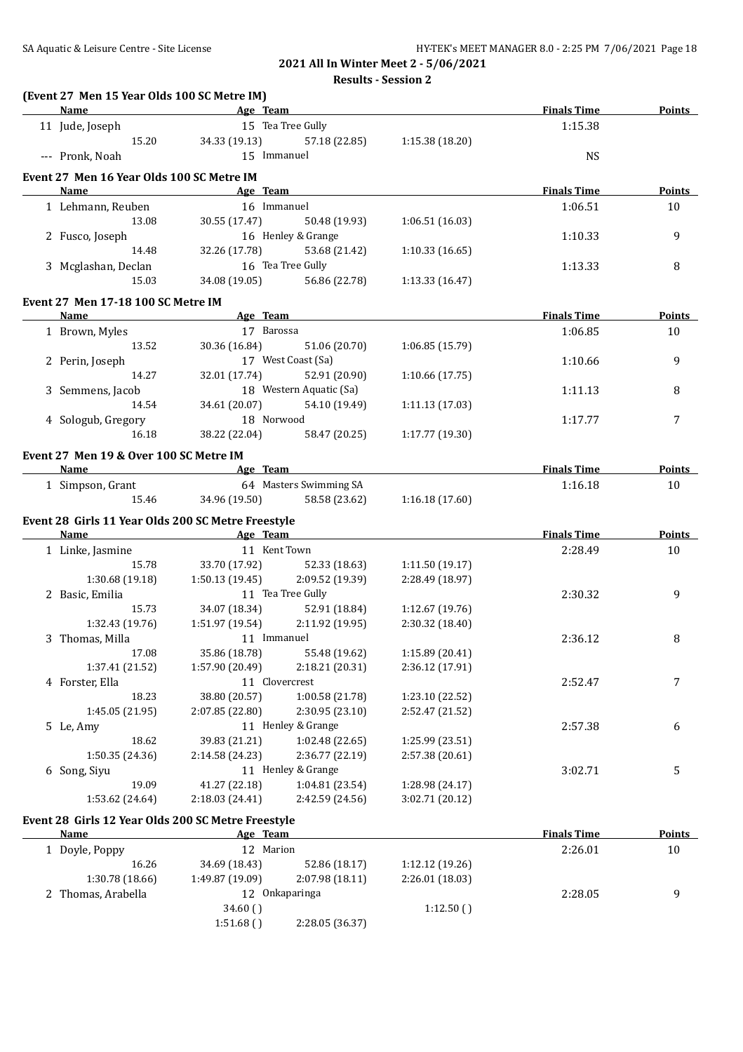**Results - Session 2**

| (Event 27 Men 15 Year Olds 100 SC Metre IM)        |                              |                             |                 |                    |               |
|----------------------------------------------------|------------------------------|-----------------------------|-----------------|--------------------|---------------|
| Name                                               | <b>Example 2</b> Age Team    |                             |                 | <b>Finals Time</b> | <b>Points</b> |
| 11 Jude, Joseph                                    |                              | 15 Tea Tree Gully           |                 | 1:15.38            |               |
| 15.20                                              | 34.33 (19.13)                | 57.18 (22.85)               | 1:15.38 (18.20) |                    |               |
| --- Pronk, Noah                                    | 15 Immanuel                  |                             |                 | <b>NS</b>          |               |
| Event 27 Men 16 Year Olds 100 SC Metre IM          |                              |                             |                 |                    |               |
| <b>Name</b>                                        | <b>Example 2</b> Age Team    |                             |                 | <b>Finals Time</b> | <b>Points</b> |
| 1 Lehmann, Reuben                                  | 16 Immanuel                  |                             |                 | 1:06.51            | 10            |
| 13.08                                              | 30.55 (17.47)                | 50.48 (19.93)               | 1:06.51(16.03)  |                    |               |
| 2 Fusco, Joseph                                    |                              | 16 Henley & Grange          |                 | 1:10.33            | 9             |
| 14.48                                              | 32.26 (17.78)                | 53.68 (21.42)               | 1:10.33(16.65)  |                    |               |
| 3 Mcglashan, Declan                                | 16 Tea Tree Gully            |                             |                 | 1:13.33            | 8             |
| 15.03                                              |                              | 34.08 (19.05) 56.86 (22.78) | 1:13.33 (16.47) |                    |               |
| Event 27 Men 17-18 100 SC Metre IM                 |                              |                             |                 |                    |               |
| <b>Name</b>                                        | Age Team                     |                             |                 | <b>Finals Time</b> | Points        |
| 1 Brown, Myles                                     | 17 Barossa                   |                             |                 | 1:06.85            | 10            |
| 13.52                                              | 30.36 (16.84)                | 51.06 (20.70)               | 1:06.85 (15.79) |                    |               |
| 2 Perin, Joseph                                    |                              | 17 West Coast (Sa)          |                 | 1:10.66            | 9             |
| 14.27                                              |                              | 32.01 (17.74) 52.91 (20.90) | 1:10.66 (17.75) |                    |               |
| 3 Semmens, Jacob                                   |                              | 18 Western Aquatic (Sa)     |                 | 1:11.13            | 8             |
| 14.54                                              |                              | 34.61 (20.07) 54.10 (19.49) | 1:11.13 (17.03) |                    |               |
| 4 Sologub, Gregory                                 | 18 Norwood                   |                             |                 | 1:17.77            | 7             |
| 16.18                                              |                              | 38.22 (22.04) 58.47 (20.25) | 1:17.77(19.30)  |                    |               |
| Event 27 Men 19 & Over 100 SC Metre IM             |                              |                             |                 |                    |               |
| Name                                               | <b>Example 2</b> Age Team    |                             |                 | <b>Finals Time</b> | <b>Points</b> |
| 1 Simpson, Grant                                   |                              | 64 Masters Swimming SA      |                 | 1:16.18            | 10            |
| 15.46                                              | 34.96 (19.50)                | 58.58 (23.62)               | 1:16.18(17.60)  |                    |               |
| Event 28 Girls 11 Year Olds 200 SC Metre Freestyle |                              |                             |                 |                    |               |
| <b>Name</b>                                        | <b>Example 2016</b> Age Team |                             |                 | <b>Finals Time</b> | <b>Points</b> |
| 1 Linke, Jasmine                                   | 11 Kent Town                 |                             |                 | 2:28.49            | 10            |
| 15.78                                              |                              | 33.70 (17.92) 52.33 (18.63) | 1:11.50(19.17)  |                    |               |
| 1:30.68(19.18)                                     | 1:50.13(19.45)               | 2:09.52 (19.39)             | 2:28.49 (18.97) |                    |               |
| 2 Basic, Emilia                                    |                              | 11 Tea Tree Gully           |                 | 2:30.32            | 9             |
| 15.73                                              |                              | 34.07 (18.34) 52.91 (18.84) | 1:12.67 (19.76) |                    |               |
| 1:32.43 (19.76)                                    | 1:51.97 (19.54)              | 2:11.92(19.95)              | 2:30.32 (18.40) |                    |               |
| 3 Thomas, Milla                                    | 11 Immanuel                  |                             |                 | 2:36.12            | 8             |
| 17.08                                              | 35.86 (18.78)                | 55.48 (19.62)               | 1:15.89 (20.41) |                    |               |
| 1:37.41 (21.52)                                    | 1:57.90 (20.49)              | 2:18.21 (20.31)             | 2:36.12 (17.91) |                    |               |
| 4 Forster, Ella                                    |                              | 11 Clovercrest              |                 | 2:52.47            | 7             |
| 18.23                                              | 38.80 (20.57)                | 1:00.58 (21.78)             | 1:23.10 (22.52) |                    |               |
| 1:45.05 (21.95)                                    | 2:07.85 (22.80)              | 2:30.95 (23.10)             | 2:52.47 (21.52) |                    |               |
| 5 Le, Amy                                          |                              | 11 Henley & Grange          |                 | 2:57.38            | 6             |
| 18.62                                              | 39.83 (21.21)                | 1:02.48 (22.65)             | 1:25.99 (23.51) |                    |               |
| 1:50.35 (24.36)                                    | 2:14.58 (24.23)              | 2:36.77 (22.19)             | 2:57.38 (20.61) |                    |               |
| 6 Song, Siyu                                       |                              | 11 Henley & Grange          |                 | 3:02.71            | 5             |
| 19.09                                              | 41.27 (22.18)                | 1:04.81 (23.54)             | 1:28.98 (24.17) |                    |               |
| 1:53.62 (24.64)                                    | 2:18.03 (24.41)              | 2:42.59 (24.56)             | 3:02.71 (20.12) |                    |               |
| Event 28 Girls 12 Year Olds 200 SC Metre Freestyle |                              |                             |                 |                    |               |
| <b>Name</b>                                        | Age Team                     |                             |                 | <b>Finals Time</b> | <b>Points</b> |
| 1 Doyle, Poppy                                     | 12 Marion                    |                             |                 | 2:26.01            | 10            |
| 16.26                                              | 34.69 (18.43)                | 52.86 (18.17)               | 1:12.12 (19.26) |                    |               |
| 1:30.78 (18.66)                                    | 1:49.87 (19.09)              | 2:07.98 (18.11)             | 2:26.01 (18.03) |                    |               |
| 2 Thomas, Arabella                                 |                              | 12 Onkaparinga              |                 | 2:28.05            | 9             |

34.60 ( ) 1:12.50 ( )

1:51.68 ( ) 2:28.05 (36.37)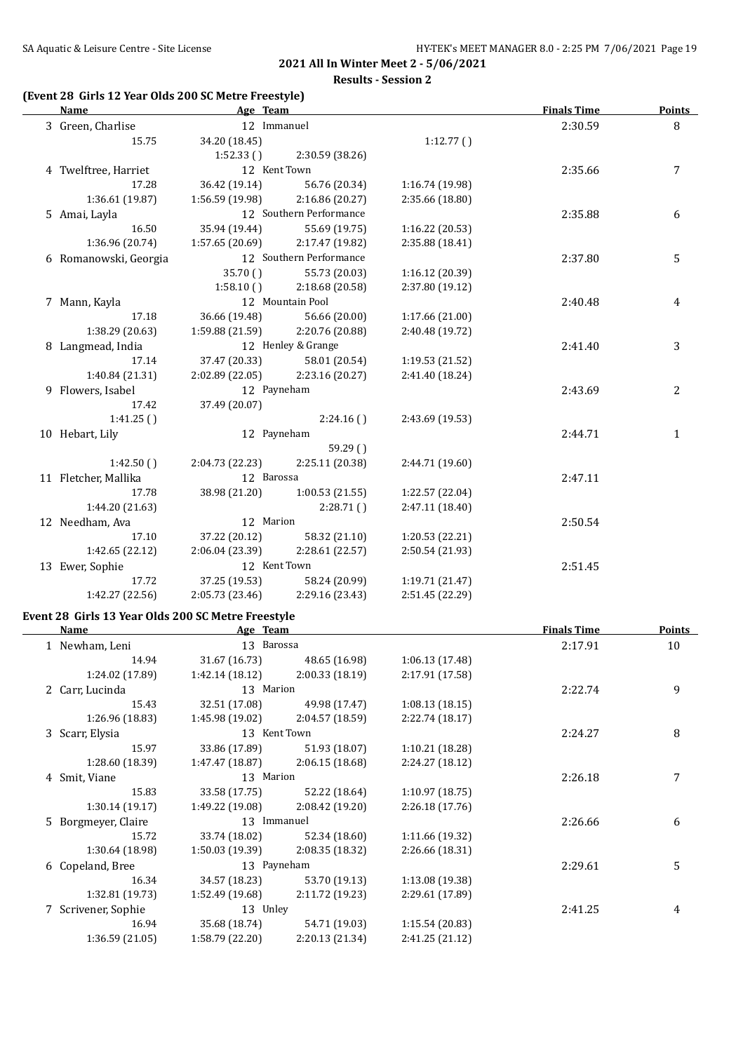**Results - Session 2**

### **(Event 28 Girls 12 Year Olds 200 SC Metre Freestyle)**

| Name                                               | Age Team                  |                                 |                                    | <b>Finals Time</b> | <b>Points</b>  |
|----------------------------------------------------|---------------------------|---------------------------------|------------------------------------|--------------------|----------------|
| 3 Green, Charlise                                  | 12 Immanuel               |                                 |                                    | 2:30.59            | 8              |
| 15.75                                              | 34.20 (18.45)             |                                 | 1:12.77()                          |                    |                |
|                                                    | 1:52.33()                 | 2:30.59 (38.26)                 |                                    |                    |                |
| 4 Twelftree, Harriet                               | 12 Kent Town              |                                 |                                    | 2:35.66            | 7              |
| 17.28                                              | 36.42 (19.14)             | 56.76 (20.34)                   | 1:16.74 (19.98)                    |                    |                |
| 1:36.61 (19.87)                                    | 1:56.59 (19.98)           | 2:16.86 (20.27)                 | 2:35.66 (18.80)                    |                    |                |
| 5 Amai, Layla                                      |                           | 12 Southern Performance         |                                    | 2:35.88            | 6              |
| 16.50                                              | 35.94 (19.44)             | 55.69 (19.75)                   | 1:16.22 (20.53)                    |                    |                |
| 1:36.96 (20.74)                                    | 1:57.65 (20.69)           | 2:17.47 (19.82)                 | 2:35.88 (18.41)                    |                    |                |
| 6 Romanowski, Georgia                              |                           | 12 Southern Performance         |                                    | 2:37.80            | 5              |
|                                                    | 35.70()                   | 55.73 (20.03)                   | 1:16.12 (20.39)                    |                    |                |
|                                                    | 1:58.10()                 | 2:18.68 (20.58)                 | 2:37.80 (19.12)                    |                    |                |
| 7 Mann, Kayla                                      |                           | 12 Mountain Pool                |                                    | 2:40.48            | 4              |
| 17.18                                              |                           | 36.66 (19.48) 56.66 (20.00)     | 1:17.66 (21.00)                    |                    |                |
| 1:38.29 (20.63)                                    |                           | 1:59.88 (21.59) 2:20.76 (20.88) | 2:40.48 (19.72)                    |                    |                |
| 8 Langmead, India                                  |                           | 12 Henley & Grange              |                                    | 2:41.40            | 3              |
| 17.14                                              |                           | 37.47 (20.33) 58.01 (20.54)     | 1:19.53 (21.52)                    |                    |                |
| 1:40.84 (21.31)                                    |                           | 2:02.89 (22.05) 2:23.16 (20.27) | 2:41.40 (18.24)                    |                    |                |
| 9 Flowers, Isabel                                  | 12 Payneham               |                                 |                                    | 2:43.69            | $\overline{c}$ |
| 17.42                                              | 37.49 (20.07)             |                                 |                                    |                    |                |
| 1:41.25()                                          |                           | 2:24.16()                       | 2:43.69 (19.53)                    |                    |                |
| 10 Hebart, Lily                                    | 12 Payneham               |                                 |                                    | 2:44.71            | $\mathbf{1}$   |
|                                                    |                           | 59.29()                         |                                    |                    |                |
| 1:42.50()                                          | 2:04.73 (22.23)           | 2:25.11 (20.38)                 | 2:44.71 (19.60)                    |                    |                |
| 11 Fletcher, Mallika                               | 12 Barossa                |                                 |                                    | 2:47.11            |                |
| 17.78                                              | 38.98 (21.20)             |                                 |                                    |                    |                |
| 1:44.20 (21.63)                                    |                           | 1:00.53(21.55)<br>2:28.71()     | 1:22.57 (22.04)<br>2:47.11 (18.40) |                    |                |
|                                                    |                           |                                 |                                    |                    |                |
| 12 Needham, Ava                                    | 12 Marion                 |                                 |                                    | 2:50.54            |                |
| 17.10                                              |                           | 37.22 (20.12) 58.32 (21.10)     | 1:20.53 (22.21)                    |                    |                |
| 1:42.65 (22.12)                                    | 2:06.04 (23.39)           | 2:28.61 (22.57)                 | 2:50.54 (21.93)                    |                    |                |
| 13 Ewer, Sophie                                    | 12 Kent Town              |                                 |                                    | 2:51.45            |                |
| 17.72                                              | 37.25 (19.53)             | 58.24 (20.99)                   | 1:19.71 (21.47)                    |                    |                |
| 1:42.27 (22.56)                                    | 2:05.73(23.46)            | 2:29.16 (23.43)                 | 2:51.45 (22.29)                    |                    |                |
| Event 28 Girls 13 Year Olds 200 SC Metre Freestyle |                           |                                 |                                    |                    |                |
| Name                                               | <b>Example 2</b> Age Team |                                 |                                    | <b>Finals Time</b> | Points         |
| 1 Newham, Leni                                     | 13 Barossa                |                                 |                                    | 2:17.91            | 10             |
| 14.94                                              | 31.67 (16.73)             | 48.65 (16.98)                   | 1:06.13 (17.48)                    |                    |                |
| 1:24.02 (17.89)                                    | 1:42.14 (18.12)           | 2:00.33 (18.19)                 | 2:17.91 (17.58)                    |                    |                |
| 2 Carr, Lucinda                                    | 13 Marion                 |                                 |                                    | 2:22.74            | 9              |
| 15.43                                              | 32.51 (17.08)             | 49.98 (17.47)                   | 1:08.13 (18.15)                    |                    |                |
| 1:26.96 (18.83)                                    | 1:45.98 (19.02)           | 2:04.57 (18.59)                 | 2:22.74 (18.17)                    |                    |                |
| 3 Scarr, Elysia                                    | 13 Kent Town              |                                 |                                    | 2:24.27            | 8              |
| 15.97                                              | 33.86 (17.89)             | 51.93 (18.07)                   | 1:10.21 (18.28)                    |                    |                |
| 1:28.60 (18.39)                                    | 1:47.47 (18.87)           | 2:06.15 (18.68)                 | 2:24.27 (18.12)                    |                    |                |
| 4 Smit, Viane                                      | 13 Marion                 |                                 |                                    | 2:26.18            | 7              |
|                                                    |                           |                                 |                                    |                    |                |

15.83 33.58 (17.75) 52.22 (18.64) 1:10.97 (18.75)

15.72 33.74 (18.02) 52.34 (18.60) 1:11.66 (19.32)

16.34 34.57 (18.23) 53.70 (19.13) 1:13.08 (19.38)

5 Borgmeyer, Claire 13 Immanuel 13 Immanuel 2:26.66 6

6 Copeland, Bree 13 Payneham 2:29.61 5

7 Scrivener, Sophie 13 Unley 13 Unley 13 Unley 2:41.25 2:41.25 4 2:41.25

16.94 35.68 (18.74) 54.71 (19.03) 1:15.54 (20.83)

1:30.14 (19.17) 1:49.22 (19.08) 2:08.42 (19.20) 2:26.18 (17.76)

1:30.64 (18.98) 1:50.03 (19.39) 2:08.35 (18.32) 2:26.66 (18.31)

1:32.81 (19.73) 1:52.49 (19.68) 2:11.72 (19.23) 2:29.61 (17.89)

1:36.59 (21.05) 1:58.79 (22.20) 2:20.13 (21.34) 2:41.25 (21.12)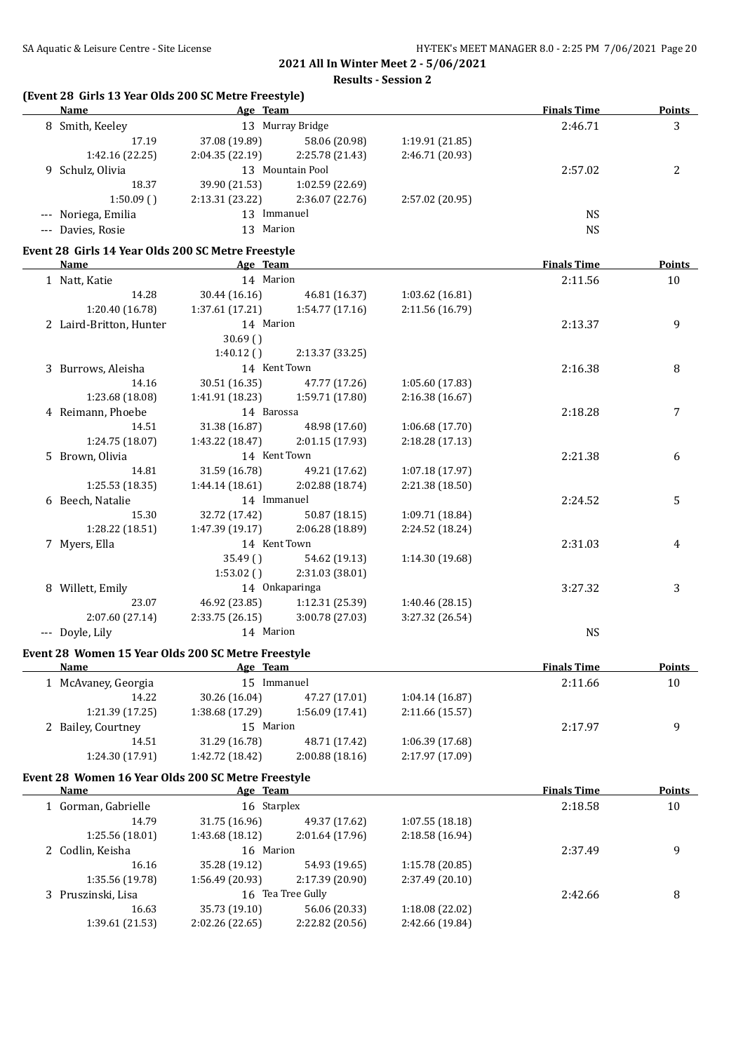**Results - Session 2**

|  |  |  |  |  | (Event 28 Girls 13 Year Olds 200 SC Metre Freestyle) |
|--|--|--|--|--|------------------------------------------------------|
|--|--|--|--|--|------------------------------------------------------|

| Name                                               | Age Team       |                                   |                 | <b>Finals Time</b> | <b>Points</b>  |
|----------------------------------------------------|----------------|-----------------------------------|-----------------|--------------------|----------------|
| 8 Smith, Keeley                                    |                | 13 Murray Bridge                  |                 | 2:46.71            | 3              |
| 17.19                                              |                | 37.08 (19.89) 58.06 (20.98)       | 1:19.91(21.85)  |                    |                |
| 1:42.16(22.25)                                     |                | $2:04.35(22.19)$ $2:25.78(21.43)$ | 2:46.71 (20.93) |                    |                |
| 9 Schulz, Olivia                                   |                | 13 Mountain Pool                  |                 | 2:57.02            | $\overline{2}$ |
| 18.37                                              | 39.90 (21.53)  | 1:02.59 (22.69)                   |                 |                    |                |
| 1:50.09(                                           |                | $2:13.31(23.22)$ $2:36.07(22.76)$ | 2:57.02 (20.95) |                    |                |
| --- Noriega, Emilia                                | 13 Immanuel    |                                   |                 | <b>NS</b>          |                |
| --- Davies, Rosie                                  | 13 Marion      |                                   |                 | <b>NS</b>          |                |
| Event 28 Girls 14 Year Olds 200 SC Metre Freestyle |                |                                   |                 |                    |                |
| Name                                               | Age Team       |                                   |                 | <b>Finals Time</b> | <b>Points</b>  |
| 1 Natt, Katie                                      | 14 Marion      |                                   |                 | 2:11.56            | 10             |
| 14.28                                              |                | 30.44 (16.16) 46.81 (16.37)       | 1:03.62(16.81)  |                    |                |
| 1:20.40 (16.78)                                    |                | $1:37.61(17.21)$ $1:54.77(17.16)$ | 2:11.56 (16.79) |                    |                |
| 2 Laird-Britton, Hunter                            | 14 Marion      |                                   |                 | 2:13.37            | 9              |
|                                                    | 30.69()        |                                   |                 |                    |                |
|                                                    |                | $1:40.12$ () $2:13.37$ (33.25)    |                 |                    |                |
| 3 Burrows, Aleisha                                 | 14 Kent Town   |                                   |                 | 2:16.38            | 8              |
| 14.16                                              |                | 30.51 (16.35) 47.77 (17.26)       | 1:05.60(17.83)  |                    |                |
| 1:23.68 (18.08)                                    |                | $1:41.91(18.23)$ $1:59.71(17.80)$ | 2:16.38(16.67)  |                    |                |
| 4 Reimann, Phoebe                                  | 14 Barossa     |                                   |                 | 2:18.28            | 7              |
| 14.51                                              | 31.38 (16.87)  | 48.98 (17.60)                     | 1:06.68(17.70)  |                    |                |
| 1:24.75 (18.07)                                    | 1:43.22(18.47) | 2:01.15(17.93)                    | 2:18.28(17.13)  |                    |                |
| 5 Brown, Olivia                                    | 14 Kent Town   |                                   |                 | 2:21.38            | 6              |
| 14.81                                              |                | 31.59 (16.78) 49.21 (17.62)       | 1:07.18 (17.97) |                    |                |
| 1:25.53(18.35)                                     |                | 1:44.14 (18.61) 2:02.88 (18.74)   | 2:21.38 (18.50) |                    |                |
| 6 Beech, Natalie                                   | 14 Immanuel    |                                   |                 | 2:24.52            | 5              |
| 15.30                                              | 32.72 (17.42)  | 50.87 (18.15)                     | 1:09.71 (18.84) |                    |                |
| 1:28.22 (18.51)                                    | 1:47.39(19.17) | 2:06.28 (18.89)                   | 2:24.52 (18.24) |                    |                |
| 7 Myers, Ella                                      | 14 Kent Town   |                                   |                 | 2:31.03            | 4              |
|                                                    | 35.49()        | 54.62 (19.13)                     | 1:14.30 (19.68) |                    |                |
|                                                    | 1:53.02()      | 2:31.03 (38.01)                   |                 |                    |                |

8 Willett, Emily 14 Onkaparinga 14 Onkaparinga 3:27.32 3 3 3:27.32 3 3 3 3 3 3 4 6.92 (23.85) 1:12.31 (25.39) 1:40.46 (28.15) 23.07 46.92 (23.85) 1:12.31 (25.39) 1:40.46 (28.15) 2:07.60 (27.14) 2:33.75 (26.15) 3:00.78 (27.03) 3:27.32 (26.54) --- Doyle, Lily 14 Marion 14 Marion NS

#### **Event 28 Women 15 Year Olds 200 SC Metre Freestyle**

| Name                | Age Team        |                |                 | <b>Finals Time</b> | <b>Points</b> |
|---------------------|-----------------|----------------|-----------------|--------------------|---------------|
| 1 McAvaney, Georgia | 15              | Immanuel       |                 | 2:11.66            | 10            |
| 14.22               | 30.26 (16.04)   | 47.27 (17.01)  | 1:04.14(16.87)  |                    |               |
| 1:21.39(17.25)      | 1:38.68 (17.29) | 1:56.09(17.41) | 2:11.66(15.57)  |                    |               |
| 2 Bailey, Courtney  | 15 Marion       |                |                 | 2:17.97            | q             |
| 14.51               | 31.29 (16.78)   | 48.71 (17.42)  | 1:06.39(17.68)  |                    |               |
| 1:24.30(17.91)      | 1:42.72 (18.42) | 2:00.88(18.16) | 2:17.97 (17.09) |                    |               |
|                     |                 |                |                 |                    |               |

# **Event 28 Women 16 Year Olds 200 SC Metre Freestyle**

| Name                | Age Team        |                   |                 | <b>Finals Time</b> | <b>Points</b> |
|---------------------|-----------------|-------------------|-----------------|--------------------|---------------|
| 1 Gorman, Gabrielle | 16 Starplex     |                   |                 | 2:18.58            | 10            |
| 14.79               | 31.75 (16.96)   | 49.37 (17.62)     | 1:07.55(18.18)  |                    |               |
| 1:25.56(18.01)      | 1:43.68 (18.12) | 2:01.64(17.96)    | 2:18.58(16.94)  |                    |               |
| 2 Codlin, Keisha    | 16 Marion       |                   |                 | 2:37.49            | 9             |
| 16.16               | 35.28 (19.12)   | 54.93 (19.65)     | 1:15.78(20.85)  |                    |               |
| 1:35.56 (19.78)     | 1:56.49 (20.93) | 2:17.39 (20.90)   | 2:37.49 (20.10) |                    |               |
| 3 Pruszinski, Lisa  |                 | 16 Tea Tree Gully |                 | 2:42.66            | 8             |
| 16.63               | 35.73 (19.10)   | 56.06 (20.33)     | 1:18.08 (22.02) |                    |               |
| 1:39.61 (21.53)     | 2:02.26 (22.65) | 2:22.82 (20.56)   | 2:42.66 (19.84) |                    |               |
|                     |                 |                   |                 |                    |               |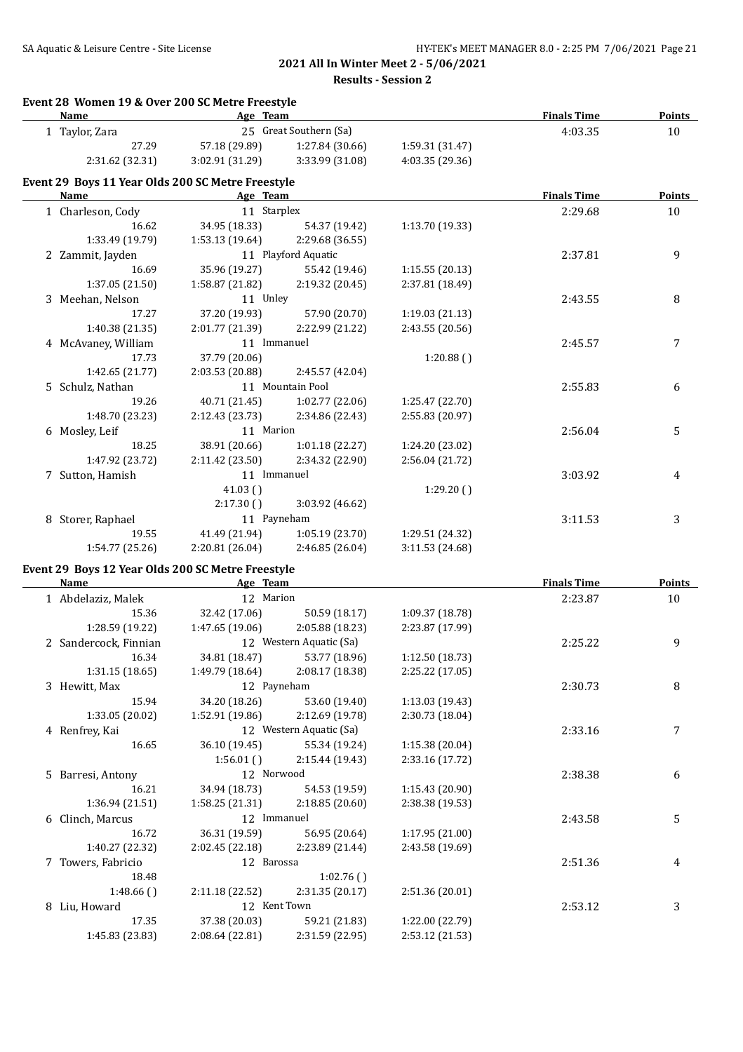**Results - Session 2**

| Event 28 Women 19 & Over 200 SC Metre Freestyle<br>Name   | Age Team                         |                                  |                                    | <b>Finals Time</b> | <b>Points</b> |
|-----------------------------------------------------------|----------------------------------|----------------------------------|------------------------------------|--------------------|---------------|
| 1 Taylor, Zara                                            |                                  | 25 Great Southern (Sa)           |                                    | 4:03.35            | 10            |
| 27.29                                                     | 57.18 (29.89)                    | 1:27.84 (30.66)                  | 1:59.31 (31.47)                    |                    |               |
| 2:31.62 (32.31)                                           | 3:02.91 (31.29)                  | 3:33.99 (31.08)                  | 4:03.35 (29.36)                    |                    |               |
| Event 29 Boys 11 Year Olds 200 SC Metre Freestyle         |                                  |                                  |                                    |                    |               |
| Name                                                      | Age Team                         |                                  |                                    | <b>Finals Time</b> | Points        |
| 1 Charleson, Cody                                         | 11 Starplex                      |                                  |                                    | 2:29.68            | 10            |
| 16.62                                                     | 34.95 (18.33)                    | 54.37 (19.42)                    | 1:13.70 (19.33)                    |                    |               |
| 1:33.49 (19.79)                                           | 1:53.13 (19.64)                  | 2:29.68 (36.55)                  |                                    |                    |               |
| 2 Zammit, Jayden                                          |                                  | 11 Playford Aquatic              |                                    | 2:37.81            | 9             |
| 16.69                                                     | 35.96 (19.27)                    | 55.42 (19.46)                    | 1:15.55(20.13)                     |                    |               |
| 1:37.05 (21.50)                                           | 1:58.87 (21.82)                  | 2:19.32 (20.45)                  | 2:37.81 (18.49)                    |                    |               |
| 3 Meehan, Nelson                                          | 11 Unley                         |                                  |                                    | 2:43.55            | 8             |
| 17.27                                                     | 37.20 (19.93)                    | 57.90 (20.70)                    | 1:19.03 (21.13)                    |                    |               |
| 1:40.38 (21.35)                                           | 2:01.77 (21.39)                  | 2:22.99 (21.22)                  | 2:43.55 (20.56)                    |                    |               |
| 4 McAvaney, William                                       | 11 Immanuel                      |                                  |                                    | 2:45.57            | 7             |
| 17.73                                                     | 37.79 (20.06)                    |                                  | 1:20.88()                          |                    |               |
| 1:42.65 (21.77)                                           | 2:03.53 (20.88)                  | 2:45.57 (42.04)                  |                                    |                    |               |
| 5 Schulz, Nathan                                          |                                  | 11 Mountain Pool                 |                                    | 2:55.83            | 6             |
| 19.26                                                     | 40.71 (21.45)                    | 1:02.77 (22.06)                  | 1:25.47 (22.70)                    |                    |               |
| 1:48.70 (23.23)                                           | 2:12.43 (23.73)                  | 2:34.86 (22.43)                  | 2:55.83 (20.97)                    |                    |               |
| 6 Mosley, Leif                                            | 11 Marion                        |                                  |                                    | 2:56.04            | 5             |
| 18.25                                                     | 38.91 (20.66)                    | 1:01.18 (22.27)                  | 1:24.20 (23.02)                    |                    |               |
| 1:47.92 (23.72)                                           | 2:11.42 (23.50)                  | 2:34.32 (22.90)                  | 2:56.04 (21.72)                    |                    |               |
| 7 Sutton, Hamish                                          | 11 Immanuel                      |                                  |                                    | 3:03.92            | 4             |
|                                                           | 41.03()                          |                                  | 1:29.20()                          |                    |               |
|                                                           | 2:17.30()                        | 3:03.92 (46.62)                  |                                    |                    |               |
| 8 Storer, Raphael                                         | 11 Payneham                      |                                  |                                    | 3:11.53            | 3             |
| 19.55                                                     | 41.49 (21.94)                    | 1:05.19 (23.70)                  | 1:29.51 (24.32)                    |                    |               |
| 1:54.77 (25.26)                                           | 2:20.81 (26.04)                  | 2:46.85 (26.04)                  | 3:11.53 (24.68)                    |                    |               |
| Event 29 Boys 12 Year Olds 200 SC Metre Freestyle<br>Name |                                  |                                  |                                    |                    |               |
|                                                           | Age Team                         |                                  |                                    | <b>Finals Time</b> | <b>Points</b> |
| 1 Abdelaziz, Malek                                        | 12 Marion                        |                                  |                                    | 2:23.87            | 10            |
| 15.36                                                     | 32.42 (17.06)                    | 50.59 (18.17)                    | 1:09.37 (18.78)                    |                    |               |
| 1:28.59 (19.22)                                           | 1:47.65 (19.06)                  | 2:05.88 (18.23)                  | 2:23.87 (17.99)                    |                    |               |
| 2 Sandercock, Finnian                                     |                                  | 12 Western Aquatic (Sa)          |                                    | 2:25.22            | 9             |
| 16.34                                                     | 34.81 (18.47)<br>1:49.79 (18.64) | 53.77 (18.96)                    | 1:12.50 (18.73)                    |                    |               |
| 1:31.15(18.65)                                            | 12 Payneham                      | 2:08.17 (18.38)                  | 2:25.22 (17.05)                    |                    |               |
| 3 Hewitt, Max                                             |                                  |                                  |                                    | 2:30.73            | 8             |
| 15.94<br>1:33.05 (20.02)                                  | 34.20 (18.26)<br>1:52.91 (19.86) | 53.60 (19.40)<br>2:12.69 (19.78) | 1:13.03 (19.43)<br>2:30.73 (18.04) |                    |               |
|                                                           |                                  | 12 Western Aquatic (Sa)          |                                    | 2:33.16            |               |
| 4 Renfrey, Kai                                            |                                  |                                  |                                    |                    | 7             |
| 16.65                                                     | 36.10 (19.45)<br>1:56.01()       | 55.34 (19.24)<br>2:15.44 (19.43) | 1:15.38 (20.04)<br>2:33.16 (17.72) |                    |               |
|                                                           | 12 Norwood                       |                                  |                                    |                    |               |
| 5 Barresi, Antony                                         |                                  |                                  |                                    | 2:38.38            | 6             |
| 16.21                                                     | 34.94 (18.73)                    | 54.53 (19.59)                    | 1:15.43 (20.90)                    |                    |               |
| 1:36.94 (21.51)                                           | 1:58.25 (21.31)                  | 2:18.85 (20.60)                  | 2:38.38 (19.53)                    |                    |               |
| 6 Clinch, Marcus                                          | 12 Immanuel                      |                                  |                                    | 2:43.58            | 5             |
| 16.72                                                     | 36.31 (19.59)                    | 56.95 (20.64)                    | 1:17.95 (21.00)                    |                    |               |
| 1:40.27 (22.32)                                           | 2:02.45 (22.18)                  | 2:23.89 (21.44)                  | 2:43.58 (19.69)                    |                    |               |
| 7 Towers, Fabricio                                        | 12 Barossa                       |                                  |                                    | 2:51.36            | 4             |
| 18.48                                                     |                                  | 1:02.76()                        |                                    |                    |               |
| 1:48.66()                                                 | 2:11.18 (22.52)                  | 2:31.35 (20.17)                  | 2:51.36 (20.01)                    |                    |               |
| 8 Liu, Howard                                             | 12 Kent Town                     |                                  |                                    | 2:53.12            | 3             |
| 17.35                                                     | 37.38 (20.03)                    | 59.21 (21.83)                    | 1:22.00 (22.79)                    |                    |               |
| 1:45.83 (23.83)                                           | 2:08.64 (22.81)                  | 2:31.59 (22.95)                  | 2:53.12 (21.53)                    |                    |               |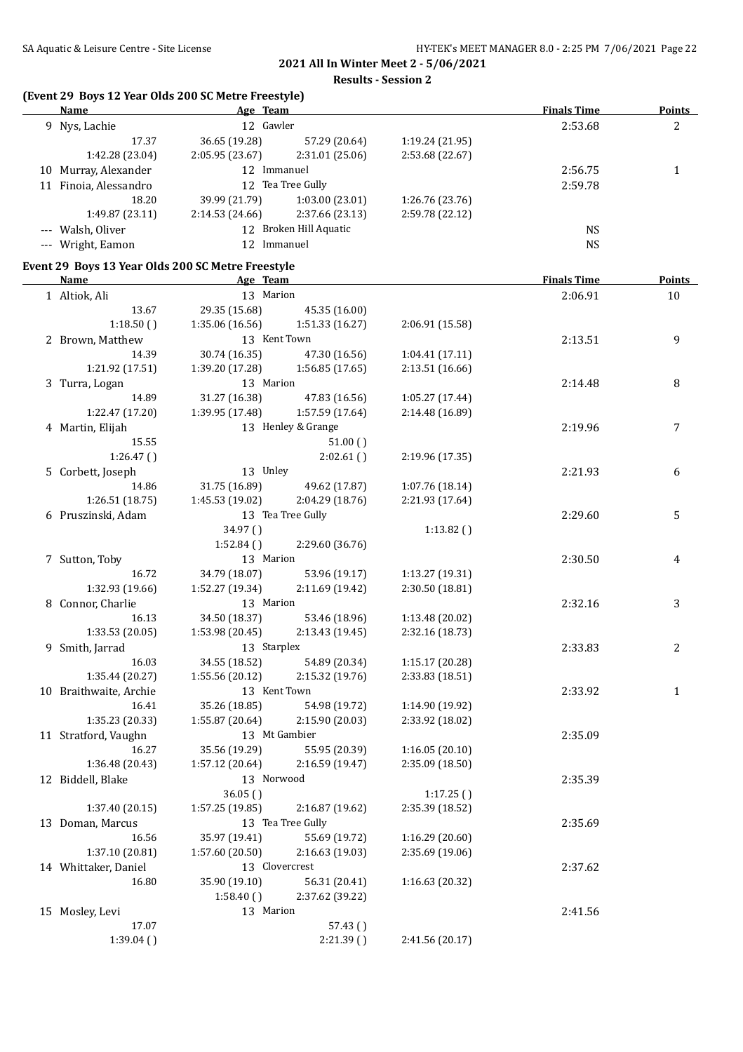# **(Event 29 Boys 12 Year Olds 200 SC Metre Freestyle)**

| <b>Name</b>                                       | Age Team        |                                 |                 | <b>Finals Time</b> | <b>Points</b> |
|---------------------------------------------------|-----------------|---------------------------------|-----------------|--------------------|---------------|
| 9 Nys, Lachie                                     | 12 Gawler       |                                 |                 | 2:53.68            | 2             |
| 17.37                                             | 36.65 (19.28)   | 57.29 (20.64)                   | 1:19.24 (21.95) |                    |               |
| 1:42.28 (23.04)                                   | 2:05.95 (23.67) | 2:31.01 (25.06)                 | 2:53.68 (22.67) |                    |               |
| 10 Murray, Alexander                              | 12 Immanuel     |                                 |                 | 2:56.75            | $\mathbf{1}$  |
| 11 Finoia, Alessandro                             |                 | 12 Tea Tree Gully               |                 | 2:59.78            |               |
| 18.20                                             |                 | 39.99 (21.79) 1:03.00 (23.01)   | 1:26.76 (23.76) |                    |               |
| 1:49.87 (23.11)                                   |                 | 2:14.53 (24.66) 2:37.66 (23.13) | 2:59.78 (22.12) |                    |               |
| --- Walsh, Oliver                                 |                 | 12 Broken Hill Aquatic          |                 | <b>NS</b>          |               |
| --- Wright, Eamon                                 | 12 Immanuel     |                                 |                 | <b>NS</b>          |               |
|                                                   |                 |                                 |                 |                    |               |
| Event 29 Boys 13 Year Olds 200 SC Metre Freestyle |                 |                                 |                 |                    |               |
| <b>Name</b>                                       | Age Team        |                                 |                 | <b>Finals Time</b> | <b>Points</b> |
| 1 Altiok, Ali                                     | 13 Marion       |                                 |                 | 2:06.91            | 10            |
| 13.67                                             | 29.35 (15.68)   | 45.35 (16.00)                   |                 |                    |               |
| 1:18.50()                                         | 1:35.06(16.56)  | 1:51.33 (16.27)                 | 2:06.91 (15.58) |                    |               |
| 2 Brown, Matthew                                  | 13 Kent Town    |                                 |                 | 2:13.51            | 9             |
| 14.39                                             | 30.74 (16.35)   | 47.30 (16.56)                   | 1:04.41 (17.11) |                    |               |
| 1:21.92 (17.51)                                   | 1:39.20 (17.28) | 1:56.85 (17.65)                 | 2:13.51(16.66)  |                    |               |
| 3 Turra, Logan                                    | 13 Marion       |                                 |                 | 2:14.48            | 8             |
| 14.89                                             | 31.27 (16.38)   | 47.83 (16.56)                   | 1:05.27 (17.44) |                    |               |
| 1:22.47 (17.20)                                   | 1:39.95 (17.48) | 1:57.59 (17.64)                 | 2:14.48 (16.89) |                    |               |
| 4 Martin, Elijah                                  |                 | 13 Henley & Grange              |                 | 2:19.96            | 7             |
| 15.55                                             |                 | 51.00()                         |                 |                    |               |
| 1:26.47()                                         |                 | 2:02.61()                       | 2:19.96 (17.35) |                    |               |
| 5 Corbett, Joseph                                 | 13 Unley        |                                 |                 | 2:21.93            | 6             |
| 14.86                                             | 31.75 (16.89)   | 49.62 (17.87)                   | 1:07.76 (18.14) |                    |               |
| 1:26.51(18.75)                                    | 1:45.53 (19.02) | 2:04.29 (18.76)                 | 2:21.93 (17.64) |                    |               |
| 6 Pruszinski, Adam                                |                 | 13 Tea Tree Gully               |                 | 2:29.60            | 5             |
|                                                   | 34.97 ()        |                                 | 1:13.82()       |                    |               |
|                                                   | 1:52.84()       | 2:29.60 (36.76)                 |                 |                    |               |
| 7 Sutton, Toby                                    | 13 Marion       |                                 |                 | 2:30.50            | 4             |
| 16.72                                             | 34.79 (18.07)   | 53.96 (19.17)                   | 1:13.27 (19.31) |                    |               |
| 1:32.93 (19.66)                                   | 1:52.27 (19.34) | 2:11.69 (19.42)                 | 2:30.50 (18.81) |                    |               |
| 8 Connor, Charlie                                 | 13 Marion       |                                 |                 | 2:32.16            | 3             |
| 16.13                                             | 34.50 (18.37)   | 53.46 (18.96)                   | 1:13.48 (20.02) |                    |               |
| 1:33.53(20.05)                                    | 1:53.98 (20.45) | 2:13.43 (19.45)                 | 2:32.16 (18.73) |                    |               |
| 9 Smith, Jarrad                                   | 13 Starplex     |                                 |                 | 2:33.83            | 2             |
| 16.03                                             | 34.55 (18.52)   | 54.89 (20.34)                   | 1:15.17 (20.28) |                    |               |
| 1:35.44 (20.27)                                   | 1:55.56(20.12)  | 2:15.32(19.76)                  | 2:33.83 (18.51) |                    |               |
| 10 Braithwaite, Archie                            | 13 Kent Town    |                                 |                 | 2:33.92            | 1             |
| 16.41                                             | 35.26 (18.85)   | 54.98 (19.72)                   | 1:14.90 (19.92) |                    |               |
| 1:35.23 (20.33)                                   | 1:55.87 (20.64) | 2:15.90 (20.03)                 | 2:33.92 (18.02) |                    |               |
| 11 Stratford, Vaughn                              |                 | 13 Mt Gambier                   |                 | 2:35.09            |               |
| 16.27                                             | 35.56 (19.29)   | 55.95 (20.39)                   | 1:16.05(20.10)  |                    |               |
| 1:36.48 (20.43)                                   | 1:57.12(20.64)  | 2:16.59 (19.47)                 | 2:35.09 (18.50) |                    |               |
| 12 Biddell, Blake                                 | 13 Norwood      |                                 |                 | 2:35.39            |               |
|                                                   | 36.05()         |                                 | 1:17.25()       |                    |               |
| 1:37.40 (20.15)                                   | 1:57.25 (19.85) | 2:16.87 (19.62)                 | 2:35.39 (18.52) |                    |               |
| 13 Doman, Marcus                                  |                 | 13 Tea Tree Gully               |                 | 2:35.69            |               |
| 16.56                                             | 35.97 (19.41)   | 55.69 (19.72)                   | 1:16.29 (20.60) |                    |               |
| 1:37.10 (20.81)                                   | 1:57.60 (20.50) | 2:16.63 (19.03)                 | 2:35.69 (19.06) |                    |               |
| 14 Whittaker, Daniel                              | 13 Clovercrest  |                                 |                 | 2:37.62            |               |
| 16.80                                             | 35.90 (19.10)   | 56.31 (20.41)                   | 1:16.63 (20.32) |                    |               |
|                                                   | 1:58.40(        | 2:37.62 (39.22)                 |                 |                    |               |
| 15 Mosley, Levi                                   | 13 Marion       |                                 |                 | 2:41.56            |               |
| 17.07                                             |                 | 57.43()                         |                 |                    |               |
| 1:39.04(                                          |                 | 2:21.39()                       | 2:41.56 (20.17) |                    |               |
|                                                   |                 |                                 |                 |                    |               |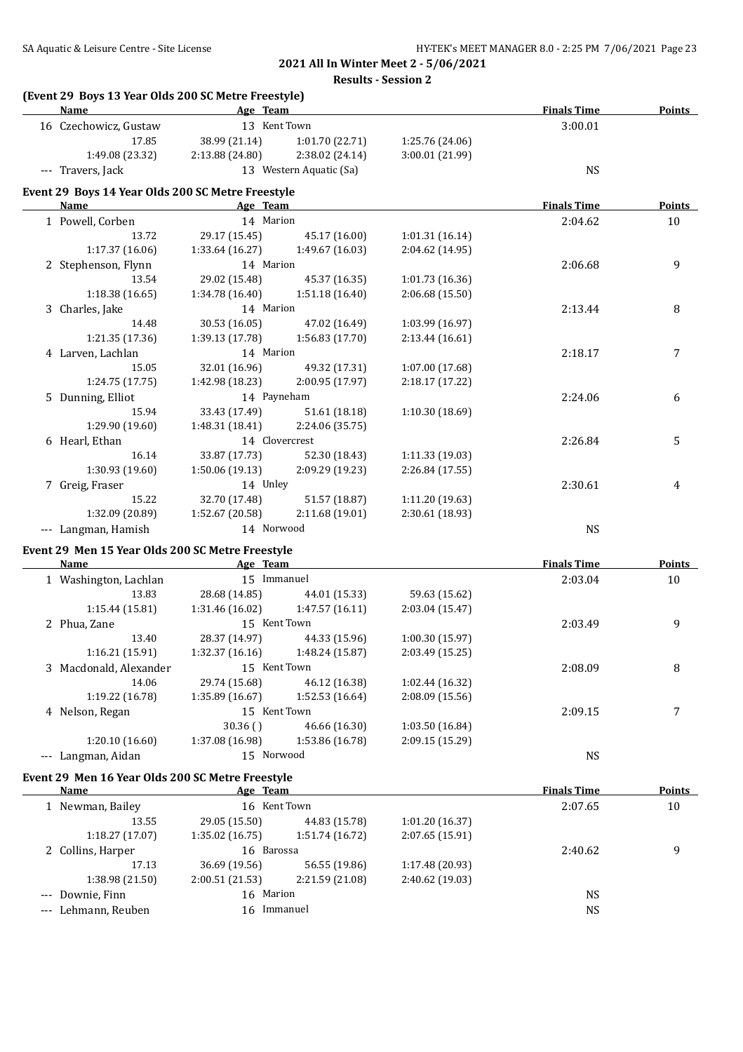| (Event 29 Boys 13 Year Olds 200 SC Metre Freestyle)<br>Name | Age Team        |                                 |                 | <b>Finals Time</b> | <b>Points</b> |
|-------------------------------------------------------------|-----------------|---------------------------------|-----------------|--------------------|---------------|
| 16 Czechowicz, Gustaw                                       | 13 Kent Town    |                                 |                 | 3:00.01            |               |
| 17.85                                                       | 38.99 (21.14)   | 1:01.70 (22.71)                 | 1:25.76 (24.06) |                    |               |
| 1:49.08 (23.32)                                             | 2:13.88 (24.80) | 2:38.02 (24.14)                 | 3:00.01 (21.99) |                    |               |
| --- Travers, Jack                                           |                 | 13 Western Aquatic (Sa)         |                 | <b>NS</b>          |               |
|                                                             |                 |                                 |                 |                    |               |
| Event 29 Boys 14 Year Olds 200 SC Metre Freestyle<br>Name   | Age Team        |                                 |                 | <b>Finals Time</b> | <b>Points</b> |
| 1 Powell, Corben                                            | 14 Marion       |                                 |                 | 2:04.62            | 10            |
| 13.72                                                       | 29.17 (15.45)   | 45.17 (16.00)                   | 1:01.31 (16.14) |                    |               |
| 1:17.37 (16.06)                                             | 1:33.64 (16.27) | 1:49.67 (16.03)                 | 2:04.62 (14.95) |                    |               |
| 2 Stephenson, Flynn                                         | 14 Marion       |                                 |                 | 2:06.68            | 9             |
| 13.54                                                       | 29.02 (15.48)   |                                 |                 |                    |               |
|                                                             |                 | 45.37 (16.35)                   | 1:01.73 (16.36) |                    |               |
| 1:18.38 (16.65)                                             | 1:34.78 (16.40) | 1:51.18 (16.40)                 | 2:06.68 (15.50) |                    |               |
| 3 Charles, Jake                                             | 14 Marion       |                                 |                 | 2:13.44            | 8             |
| 14.48                                                       | 30.53 (16.05)   | 47.02 (16.49)                   | 1:03.99 (16.97) |                    |               |
| 1:21.35 (17.36)                                             | 1:39.13 (17.78) | 1:56.83 (17.70)                 | 2:13.44 (16.61) |                    |               |
| 4 Larven, Lachlan                                           | 14 Marion       |                                 |                 | 2:18.17            | 7             |
| 15.05                                                       | 32.01 (16.96)   | 49.32 (17.31)                   | 1:07.00 (17.68) |                    |               |
| 1:24.75 (17.75)                                             | 1:42.98 (18.23) | 2:00.95 (17.97)                 | 2:18.17 (17.22) |                    |               |
| 5 Dunning, Elliot                                           | 14 Payneham     |                                 |                 | 2:24.06            | 6             |
| 15.94                                                       | 33.43 (17.49)   | 51.61 (18.18)                   | 1:10.30 (18.69) |                    |               |
| 1:29.90 (19.60)                                             | 1:48.31 (18.41) | 2:24.06 (35.75)                 |                 |                    |               |
| 6 Hearl, Ethan                                              | 14 Clovercrest  |                                 |                 | 2:26.84            | 5             |
| 16.14                                                       | 33.87 (17.73)   | 52.30 (18.43)                   | 1:11.33 (19.03) |                    |               |
| 1:30.93 (19.60)                                             | 1:50.06 (19.13) | 2:09.29 (19.23)                 | 2:26.84 (17.55) |                    |               |
| 7 Greig, Fraser                                             | 14 Unley        |                                 |                 | 2:30.61            | 4             |
| 15.22                                                       | 32.70 (17.48)   | 51.57 (18.87)                   | 1:11.20 (19.63) |                    |               |
| 1:32.09 (20.89)                                             | 1:52.67 (20.58) | 2:11.68 (19.01)                 | 2:30.61 (18.93) |                    |               |
| --- Langman, Hamish                                         | 14 Norwood      |                                 |                 | <b>NS</b>          |               |
|                                                             |                 |                                 |                 |                    |               |
| Event 29 Men 15 Year Olds 200 SC Metre Freestyle<br>Name    | Age Team        |                                 |                 | <b>Finals Time</b> | <b>Points</b> |
| 1 Washington, Lachlan                                       | 15 Immanuel     |                                 |                 | 2:03.04            | $10\,$        |
| 13.83                                                       | 28.68 (14.85)   |                                 | 59.63 (15.62)   |                    |               |
| 1:15.44(15.81)                                              | 1:31.46 (16.02) | 44.01 (15.33)<br>1:47.57(16.11) | 2:03.04 (15.47) |                    |               |
|                                                             |                 |                                 |                 |                    |               |
| 2 Phua, Zane                                                | 15 Kent Town    |                                 |                 | 2:03.49            | 9             |
| 13.40                                                       | 28.37 (14.97)   | 44.33 (15.96)                   | 1:00.30 (15.97) |                    |               |
| 1:16.21(15.91)                                              | 1:32.37 (16.16) | 1:48.24 (15.87)                 | 2:03.49 (15.25) |                    |               |
| 3 Macdonald, Alexander                                      | 15 Kent Town    |                                 |                 | 2:08.09            | 8             |
| 14.06                                                       | 29.74 (15.68)   | 46.12 (16.38)                   | 1:02.44 (16.32) |                    |               |
| 1:19.22 (16.78)                                             | 1:35.89 (16.67) | 1:52.53 (16.64)                 | 2:08.09 (15.56) |                    |               |
| 4 Nelson, Regan                                             | 15 Kent Town    |                                 |                 | 2:09.15            | 7             |
|                                                             | 30.36()         | 46.66 (16.30)                   | 1:03.50 (16.84) |                    |               |
| 1:20.10 (16.60)                                             | 1:37.08 (16.98) | 1:53.86 (16.78)                 | 2:09.15 (15.29) |                    |               |
| --- Langman, Aidan                                          | 15 Norwood      |                                 |                 | <b>NS</b>          |               |
|                                                             |                 |                                 |                 |                    |               |
| Event 29 Men 16 Year Olds 200 SC Metre Freestyle<br>Name    | Age Team        |                                 |                 | <b>Finals Time</b> | <b>Points</b> |
| 1 Newman, Bailey                                            | 16 Kent Town    |                                 |                 | 2:07.65            | 10            |
| 13.55                                                       | 29.05 (15.50)   | 44.83 (15.78)                   | 1:01.20 (16.37) |                    |               |
|                                                             |                 |                                 |                 |                    |               |
| 1:18.27 (17.07)                                             | 1:35.02 (16.75) | 1:51.74 (16.72)                 | 2:07.65 (15.91) |                    |               |
| 2 Collins, Harper                                           | 16 Barossa      |                                 |                 | 2:40.62            | 9             |
| 17.13                                                       | 36.69 (19.56)   | 56.55 (19.86)                   | 1:17.48 (20.93) |                    |               |
| 1:38.98 (21.50)                                             | 2:00.51 (21.53) | 2:21.59 (21.08)                 | 2:40.62 (19.03) |                    |               |
| --- Downie, Finn                                            | 16 Marion       |                                 |                 | <b>NS</b>          |               |
| --- Lehmann, Reuben                                         | 16 Immanuel     |                                 |                 | <b>NS</b>          |               |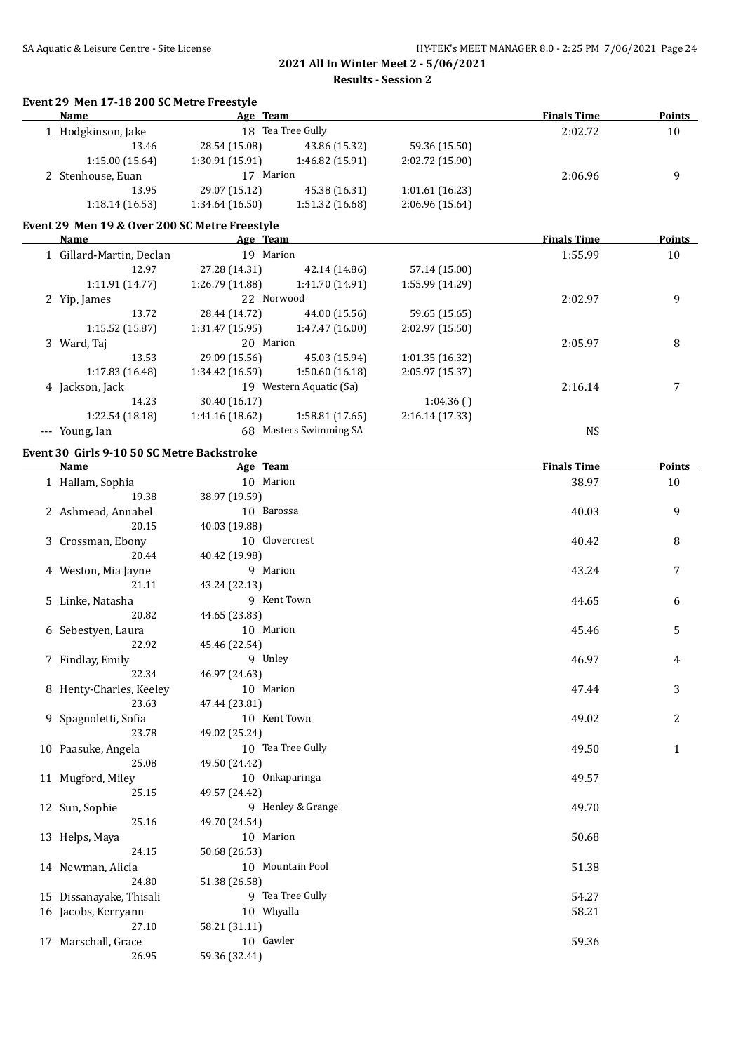**Results - Session 2**

### **Event 29 Men 17-18 200 SC Metre Freestyle**

| <b>Name</b>       | Age Team        |                   |                 | <b>Finals Time</b> | <b>Points</b> |
|-------------------|-----------------|-------------------|-----------------|--------------------|---------------|
| Hodgkinson, Jake  |                 | 18 Tea Tree Gully |                 | 2:02.72            | 10            |
| 13.46             | 28.54 (15.08)   | 43.86 (15.32)     | 59.36 (15.50)   |                    |               |
| 1:15.00(15.64)    | 1:30.91 (15.91) | 1:46.82 (15.91)   | 2:02.72 (15.90) |                    |               |
| 2 Stenhouse, Euan | Marion<br>17    |                   |                 | 2:06.96            | q             |
| 13.95             | 29.07 (15.12)   | 45.38 (16.31)     | 1:01.61(16.23)  |                    |               |
| 1:18.14(16.53)    | 1:34.64(16.50)  | 1:51.32(16.68)    | 2:06.96 (15.64) |                    |               |

### **Event 29 Men 19 & Over 200 SC Metre Freestyle**

| <b>Name</b>              | Age Team        |                         |                 | <b>Finals Time</b> | <b>Points</b> |
|--------------------------|-----------------|-------------------------|-----------------|--------------------|---------------|
| 1 Gillard-Martin, Declan | 19 Marion       |                         |                 | 1:55.99            | 10            |
| 12.97                    | 27.28 (14.31)   | 42.14 (14.86)           | 57.14 (15.00)   |                    |               |
| 1:11.91(14.77)           | 1:26.79 (14.88) | 1:41.70 (14.91)         | 1:55.99 (14.29) |                    |               |
| 2 Yip, James             | 22 Norwood      |                         |                 | 2:02.97            | 9             |
| 13.72                    | 28.44 (14.72)   | 44.00 (15.56)           | 59.65 (15.65)   |                    |               |
| 1:15.52(15.87)           | 1:31.47(15.95)  | 1:47.47(16.00)          | 2:02.97 (15.50) |                    |               |
| 3 Ward, Taj              | 20 Marion       |                         |                 | 2:05.97            | 8             |
| 13.53                    | 29.09 (15.56)   | 45.03 (15.94)           | 1:01.35(16.32)  |                    |               |
| 1:17.83 (16.48)          | 1:34.42 (16.59) | 1:50.60(16.18)          | 2:05.97 (15.37) |                    |               |
| 4 Jackson, Jack          |                 | 19 Western Aquatic (Sa) |                 | 2:16.14            | 7             |
| 14.23                    | 30.40 (16.17)   |                         | 1:04.36()       |                    |               |
| 1:22.54 (18.18)          | 1:41.16 (18.62) | 1:58.81(17.65)          | 2:16.14(17.33)  |                    |               |
| --- Young, Ian           | 68              | Masters Swimming SA     |                 | NS                 |               |

### **Event 30 Girls 9-10 50 SC Metre Backstroke**

| Name                    | Age Team          | <b>Finals Time</b> | <b>Points</b> |
|-------------------------|-------------------|--------------------|---------------|
| 1 Hallam, Sophia        | 10 Marion         | 38.97              | 10            |
| 19.38                   | 38.97 (19.59)     |                    |               |
| 2 Ashmead, Annabel      | 10 Barossa        | 40.03              | 9             |
| 20.15                   | 40.03 (19.88)     |                    |               |
| 3 Crossman, Ebony       | 10 Clovercrest    | 40.42              | 8             |
| 20.44                   | 40.42 (19.98)     |                    |               |
| 4 Weston, Mia Jayne     | 9 Marion          | 43.24              | 7             |
| 21.11                   | 43.24 (22.13)     |                    |               |
| 5 Linke, Natasha        | 9 Kent Town       | 44.65              | 6             |
| 20.82                   | 44.65 (23.83)     |                    |               |
| 6 Sebestyen, Laura      | 10 Marion         | 45.46              | 5             |
| 22.92                   | 45.46 (22.54)     |                    |               |
| 7 Findlay, Emily        | 9 Unley           | 46.97              | 4             |
| 22.34                   | 46.97 (24.63)     |                    |               |
| 8 Henty-Charles, Keeley | 10 Marion         | 47.44              | 3             |
| 23.63                   | 47.44 (23.81)     |                    |               |
| 9 Spagnoletti, Sofia    | 10 Kent Town      | 49.02              | 2             |
| 23.78                   | 49.02 (25.24)     |                    |               |
| 10 Paasuke, Angela      | 10 Tea Tree Gully | 49.50              | $\mathbf{1}$  |
| 25.08                   | 49.50 (24.42)     |                    |               |
| 11 Mugford, Miley       | 10 Onkaparinga    | 49.57              |               |
| 25.15                   | 49.57 (24.42)     |                    |               |
| 12 Sun, Sophie          | 9 Henley & Grange | 49.70              |               |
| 25.16                   | 49.70 (24.54)     |                    |               |
| 13 Helps, Maya          | 10 Marion         | 50.68              |               |
| 24.15                   | 50.68 (26.53)     |                    |               |
| 14 Newman, Alicia       | 10 Mountain Pool  | 51.38              |               |
| 24.80                   | 51.38 (26.58)     |                    |               |
| 15 Dissanayake, Thisali | 9 Tea Tree Gully  | 54.27              |               |
| 16 Jacobs, Kerryann     | 10 Whyalla        | 58.21              |               |
| 27.10                   | 58.21 (31.11)     |                    |               |
| 17 Marschall, Grace     | 10 Gawler         | 59.36              |               |
| 26.95                   | 59.36 (32.41)     |                    |               |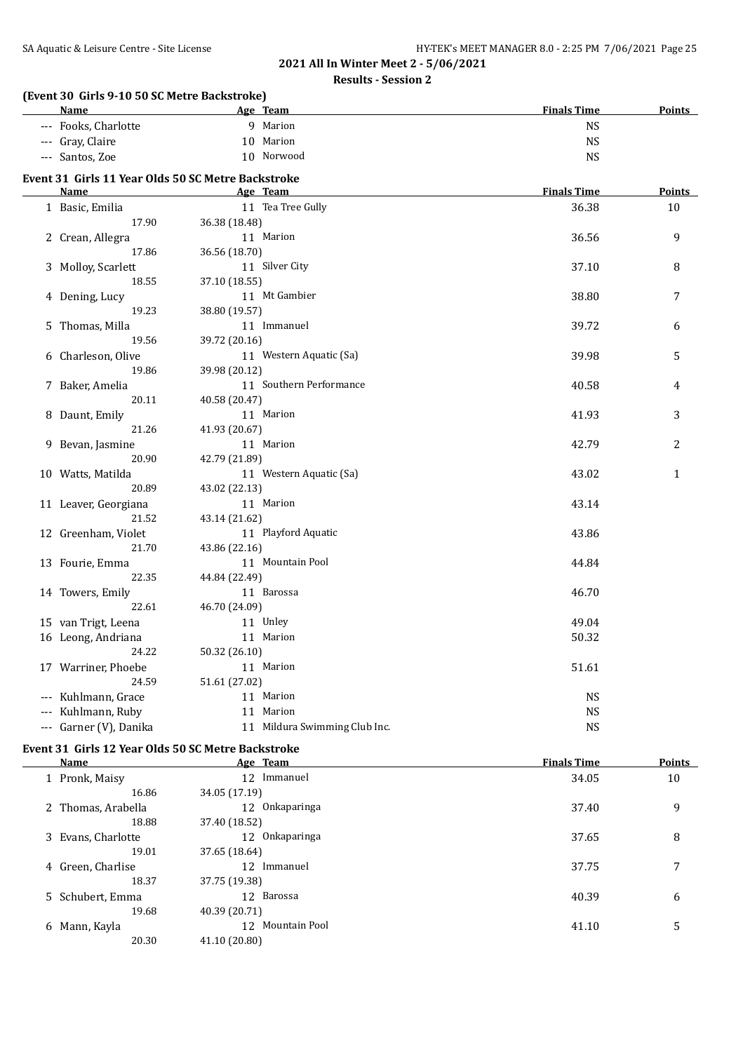### **Results - Session 2**

# **(Event 30 Girls 9-10 50 SC Metre Backstroke)**

| <b>Name</b>                                        |               | Age Team                      | <b>Finals Time</b> | <b>Points</b> |
|----------------------------------------------------|---------------|-------------------------------|--------------------|---------------|
| --- Fooks, Charlotte                               |               | 9 Marion                      | <b>NS</b>          |               |
| --- Gray, Claire                                   |               | 10 Marion                     | <b>NS</b>          |               |
| --- Santos, Zoe                                    |               | 10 Norwood                    | <b>NS</b>          |               |
| Event 31 Girls 11 Year Olds 50 SC Metre Backstroke |               |                               |                    |               |
| <b>Name</b>                                        |               | Age Team                      | <b>Finals Time</b> | <b>Points</b> |
| 1 Basic, Emilia                                    |               | 11 Tea Tree Gully             | 36.38              | 10            |
| 17.90                                              | 36.38 (18.48) |                               |                    |               |
| 2 Crean, Allegra                                   |               | 11 Marion                     | 36.56              | 9             |
| 17.86                                              | 36.56 (18.70) |                               |                    |               |
| 3 Molloy, Scarlett                                 |               | 11 Silver City                | 37.10              | 8             |
| 18.55                                              | 37.10 (18.55) |                               |                    |               |
| 4 Dening, Lucy                                     |               | 11 Mt Gambier                 | 38.80              | 7             |
| 19.23                                              | 38.80 (19.57) |                               |                    |               |
| 5 Thomas, Milla                                    |               | 11 Immanuel                   | 39.72              | 6             |
| 19.56                                              | 39.72 (20.16) |                               |                    |               |
| 6 Charleson, Olive                                 |               | 11 Western Aquatic (Sa)       | 39.98              | 5             |
| 19.86                                              | 39.98 (20.12) |                               |                    |               |
| 7 Baker, Amelia                                    |               | 11 Southern Performance       | 40.58              | 4             |
| 20.11                                              | 40.58 (20.47) |                               |                    |               |
| 8 Daunt, Emily                                     |               | 11 Marion                     | 41.93              | 3             |
| 21.26                                              | 41.93 (20.67) |                               |                    |               |
| 9 Bevan, Jasmine                                   |               | 11 Marion                     | 42.79              | 2             |
| 20.90                                              | 42.79 (21.89) |                               |                    |               |
| 10 Watts, Matilda                                  |               | 11 Western Aquatic (Sa)       | 43.02              | $\mathbf{1}$  |
| 20.89                                              | 43.02 (22.13) |                               |                    |               |
| 11 Leaver, Georgiana                               |               | 11 Marion                     | 43.14              |               |
| 21.52                                              | 43.14 (21.62) |                               |                    |               |
| 12 Greenham, Violet                                |               | 11 Playford Aquatic           | 43.86              |               |
| 21.70                                              | 43.86 (22.16) | 11 Mountain Pool              |                    |               |
| 13 Fourie, Emma<br>22.35                           | 44.84 (22.49) |                               | 44.84              |               |
| 14 Towers, Emily                                   |               | 11 Barossa                    | 46.70              |               |
| 22.61                                              | 46.70 (24.09) |                               |                    |               |
| 15 van Trigt, Leena                                |               | 11 Unley                      | 49.04              |               |
| 16 Leong, Andriana                                 |               | 11 Marion                     | 50.32              |               |
| 24.22                                              | 50.32 (26.10) |                               |                    |               |
| 17 Warriner, Phoebe                                |               | 11 Marion                     | 51.61              |               |
| 24.59                                              | 51.61 (27.02) |                               |                    |               |
| --- Kuhlmann, Grace                                |               | 11 Marion                     | <b>NS</b>          |               |
| --- Kuhlmann, Ruby                                 |               | 11 Marion                     | <b>NS</b>          |               |
| --- Garner (V), Danika                             |               | 11 Mildura Swimming Club Inc. | <b>NS</b>          |               |
|                                                    |               |                               |                    |               |
| Event 31 Girls 12 Year Olds 50 SC Metre Backstroke |               |                               |                    |               |

| <b>Name</b>        |               | Age Team         | <b>Finals Time</b> | <b>Points</b> |
|--------------------|---------------|------------------|--------------------|---------------|
| 1 Pronk, Maisy     | 12            | Immanuel         | 34.05              | 10            |
| 16.86              | 34.05 (17.19) |                  |                    |               |
| 2 Thomas, Arabella |               | 12 Onkaparinga   | 37.40              | 9             |
| 18.88              | 37.40 (18.52) |                  |                    |               |
| 3 Evans, Charlotte |               | 12 Onkaparinga   | 37.65              | 8             |
| 19.01              | 37.65 (18.64) |                  |                    |               |
| 4 Green, Charlise  |               | 12 Immanuel      | 37.75              | 7             |
| 18.37              | 37.75 (19.38) |                  |                    |               |
| 5 Schubert, Emma   |               | 12 Barossa       | 40.39              | 6             |
| 19.68              | 40.39 (20.71) |                  |                    |               |
| 6 Mann, Kayla      |               | 12 Mountain Pool | 41.10              | 5             |
| 20.30              | 41.10 (20.80) |                  |                    |               |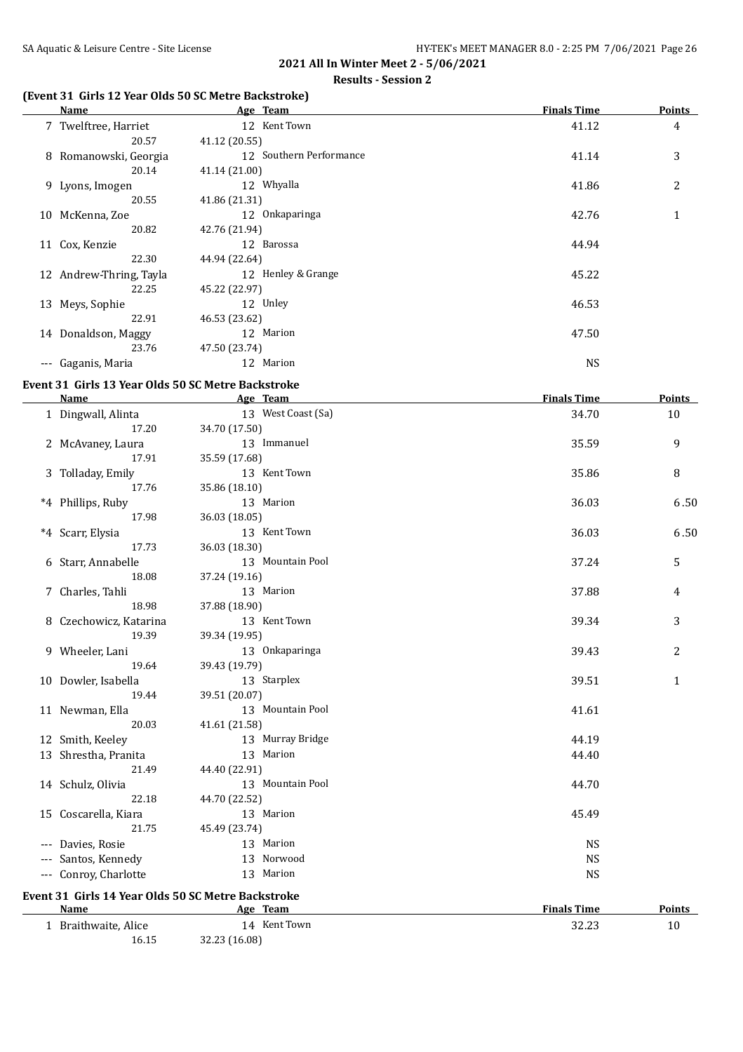#### **Results - Session 2**

# **(Event 31 Girls 12 Year Olds 50 SC Metre Backstroke)**

|       | Name                    | Age Team                | <b>Finals Time</b> | <b>Points</b> |
|-------|-------------------------|-------------------------|--------------------|---------------|
|       | 7 Twelftree, Harriet    | 12 Kent Town            | 41.12              | 4             |
|       | 20.57                   | 41.12 (20.55)           |                    |               |
|       | 8 Romanowski, Georgia   | 12 Southern Performance | 41.14              | 3             |
|       | 20.14                   | 41.14 (21.00)           |                    |               |
|       | 9 Lyons, Imogen         | 12 Whyalla              | 41.86              | 2             |
|       | 20.55                   | 41.86 (21.31)           |                    |               |
|       | 10 McKenna, Zoe         | 12 Onkaparinga          | 42.76              | $\mathbf{1}$  |
|       | 20.82                   | 42.76 (21.94)           |                    |               |
|       | 11 Cox, Kenzie          | 12 Barossa              | 44.94              |               |
|       | 22.30                   | 44.94 (22.64)           |                    |               |
|       | 12 Andrew-Thring, Tayla | 12 Henley & Grange      | 45.22              |               |
|       | 22.25                   | 45.22 (22.97)           |                    |               |
| 13    | Meys, Sophie            | 12 Unley                | 46.53              |               |
|       | 22.91                   | 46.53 (23.62)           |                    |               |
| 14    | Donaldson, Maggy        | 12 Marion               | 47.50              |               |
|       | 23.76                   | 47.50 (23.74)           |                    |               |
| $---$ | Gaganis, Maria          | 12 Marion               | <b>NS</b>          |               |

# **Event 31 Girls 13 Year Olds 50 SC Metre Backstroke**

| Name                                               | Age Team           | <b>Finals Time</b> | <b>Points</b> |
|----------------------------------------------------|--------------------|--------------------|---------------|
| 1 Dingwall, Alinta                                 | 13 West Coast (Sa) | 34.70              | 10            |
| 17.20                                              | 34.70 (17.50)      |                    |               |
| 2 McAvaney, Laura                                  | 13 Immanuel        | 35.59              | 9             |
| 17.91                                              | 35.59 (17.68)      |                    |               |
| 3 Tolladay, Emily                                  | 13 Kent Town       | 35.86              | 8             |
| 17.76                                              | 35.86 (18.10)      |                    |               |
| *4 Phillips, Ruby                                  | 13 Marion          | 36.03              | 6.50          |
| 17.98                                              | 36.03 (18.05)      |                    |               |
| *4 Scarr, Elysia                                   | 13 Kent Town       | 36.03              | 6.50          |
| 17.73                                              | 36.03 (18.30)      |                    |               |
| 6 Starr, Annabelle                                 | 13 Mountain Pool   | 37.24              | 5             |
| 18.08                                              | 37.24 (19.16)      |                    |               |
| 7 Charles, Tahli                                   | 13 Marion          | 37.88              | 4             |
| 18.98                                              | 37.88 (18.90)      |                    |               |
| 8 Czechowicz, Katarina                             | 13 Kent Town       | 39.34              | 3             |
| 19.39                                              | 39.34 (19.95)      |                    |               |
| 9 Wheeler, Lani                                    | 13 Onkaparinga     | 39.43              | 2             |
| 19.64                                              | 39.43 (19.79)      |                    |               |
| 10 Dowler, Isabella                                | 13 Starplex        | 39.51              | $\mathbf{1}$  |
| 19.44                                              | 39.51 (20.07)      |                    |               |
| 11 Newman, Ella                                    | 13 Mountain Pool   | 41.61              |               |
| 20.03                                              | 41.61 (21.58)      |                    |               |
| 12 Smith, Keeley                                   | 13 Murray Bridge   | 44.19              |               |
| 13 Shrestha, Pranita                               | 13 Marion          | 44.40              |               |
| 21.49                                              | 44.40 (22.91)      |                    |               |
| 14 Schulz, Olivia                                  | 13 Mountain Pool   | 44.70              |               |
| 22.18                                              | 44.70 (22.52)      |                    |               |
| 15 Coscarella, Kiara                               | 13 Marion          | 45.49              |               |
| 21.75                                              | 45.49 (23.74)      |                    |               |
| --- Davies, Rosie                                  | 13 Marion          | <b>NS</b>          |               |
| --- Santos, Kennedy                                | 13 Norwood         | <b>NS</b>          |               |
| --- Conroy, Charlotte                              | 13 Marion          | <b>NS</b>          |               |
| Event 31 Girls 14 Year Olds 50 SC Metre Backstroke |                    |                    |               |
| <u>Name</u>                                        | Age Team           | <b>Finals Time</b> | <b>Points</b> |

1 Braithwaite, Alice 14 Kent Town 32.23 10 16.15 32.23 (16.08)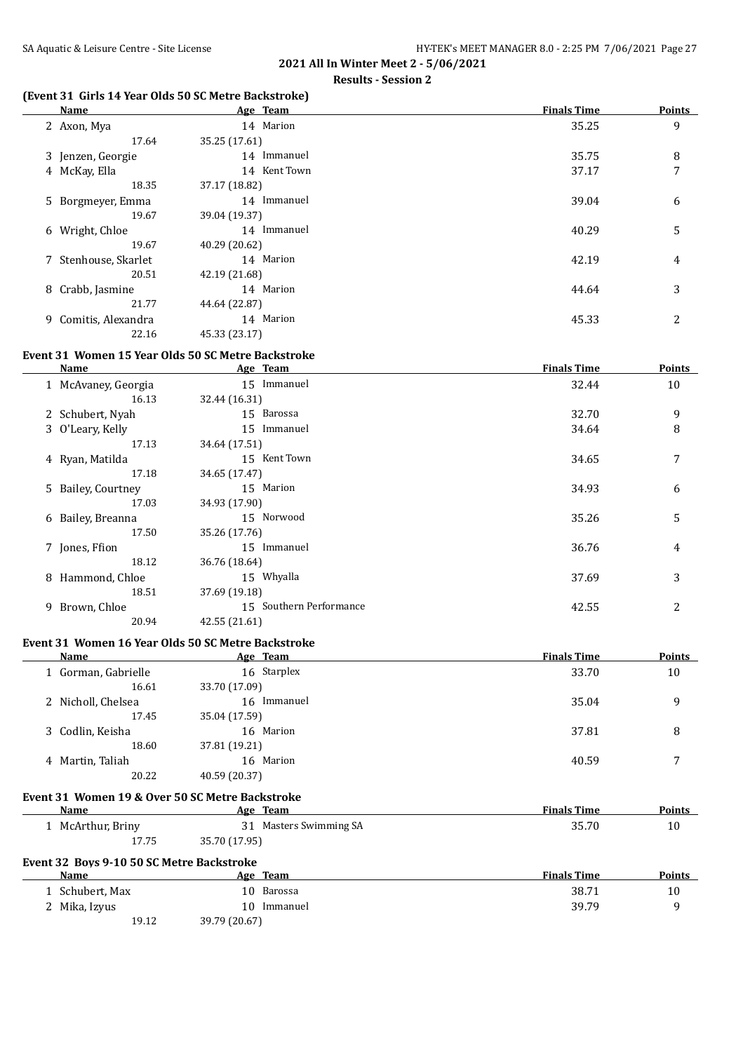### **(Event 31 Girls 14 Year Olds 50 SC Metre Backstroke)**

| Name                 | Age Team      | <b>Finals Time</b> | <b>Points</b> |
|----------------------|---------------|--------------------|---------------|
| 2 Axon, Mya          | 14 Marion     | 35.25              | 9             |
| 17.64                | 35.25 (17.61) |                    |               |
| 3 Jenzen, Georgie    | 14 Immanuel   | 35.75              | 8             |
| 4 McKay, Ella        | 14 Kent Town  | 37.17              | 7             |
| 18.35                | 37.17 (18.82) |                    |               |
| 5 Borgmeyer, Emma    | 14 Immanuel   | 39.04              | 6             |
| 19.67                | 39.04 (19.37) |                    |               |
| 6 Wright, Chloe      | 14 Immanuel   | 40.29              | 5             |
| 19.67                | 40.29 (20.62) |                    |               |
| 7 Stenhouse, Skarlet | 14 Marion     | 42.19              | 4             |
| 20.51                | 42.19 (21.68) |                    |               |
| 8 Crabb, Jasmine     | 14 Marion     | 44.64              | 3             |
| 21.77                | 44.64 (22.87) |                    |               |
| 9 Comitis, Alexandra | 14 Marion     | 45.33              | 2             |
| 22.16                | 45.33 (23.17) |                    |               |

### **Event 31 Women 15 Year Olds 50 SC Metre Backstroke**

| Name                | Age Team                | <b>Finals Time</b> | <b>Points</b>  |
|---------------------|-------------------------|--------------------|----------------|
| 1 McAvaney, Georgia | 15 Immanuel             | 32.44              | 10             |
| 16.13               | 32.44 (16.31)           |                    |                |
| 2 Schubert, Nyah    | 15 Barossa              | 32.70              | 9              |
| 3 O'Leary, Kelly    | 15 Immanuel             | 34.64              | 8              |
| 17.13               | 34.64 (17.51)           |                    |                |
| 4 Ryan, Matilda     | 15 Kent Town            | 34.65              | 7              |
| 17.18               | 34.65 (17.47)           |                    |                |
| 5 Bailey, Courtney  | 15 Marion               | 34.93              | 6              |
| 17.03               | 34.93 (17.90)           |                    |                |
| 6 Bailey, Breanna   | 15 Norwood              | 35.26              | 5              |
| 17.50               | 35.26 (17.76)           |                    |                |
| 7 Jones, Ffion      | 15 Immanuel             | 36.76              | 4              |
| 18.12               | 36.76 (18.64)           |                    |                |
| 8 Hammond, Chloe    | 15 Whyalla              | 37.69              | 3              |
| 18.51               | 37.69 (19.18)           |                    |                |
| 9 Brown, Chloe      | 15 Southern Performance | 42.55              | $\overline{2}$ |
| 20.94               | 42.55 (21.61)           |                    |                |

#### **Event 31 Women 16 Year Olds 50 SC Metre Backstroke**

19.12 39.79 (20.67)

| Name                                             | Age Team               | <b>Finals Time</b> | Points |
|--------------------------------------------------|------------------------|--------------------|--------|
| 1 Gorman, Gabrielle                              | 16 Starplex            | 33.70              | 10     |
| 16.61                                            | 33.70 (17.09)          |                    |        |
| 2 Nicholl, Chelsea                               | 16 Immanuel            | 35.04              | 9      |
| 17.45                                            | 35.04 (17.59)          |                    |        |
| 3 Codlin, Keisha                                 | 16 Marion              | 37.81              | 8      |
| 18.60                                            | 37.81 (19.21)          |                    |        |
| 4 Martin, Taliah                                 | 16 Marion              | 40.59              | 7      |
| 20.22                                            | 40.59 (20.37)          |                    |        |
| Event 31 Women 19 & Over 50 SC Metre Backstroke  |                        |                    |        |
| <b>Name</b>                                      | Age Team               | <b>Finals Time</b> | Points |
| 1 McArthur, Briny                                | 31 Masters Swimming SA | 35.70              | 10     |
| 17.75                                            | 35.70 (17.95)          |                    |        |
| <b>Event 32 Boys 9-10 50 SC Metre Backstroke</b> |                        |                    |        |
| Name                                             | Age Team               | <b>Finals Time</b> | Points |
| 1 Schubert, Max                                  | 10 Barossa             | 38.71              | 10     |

2 Mika, Izyus 10 Immanuel 39.79 9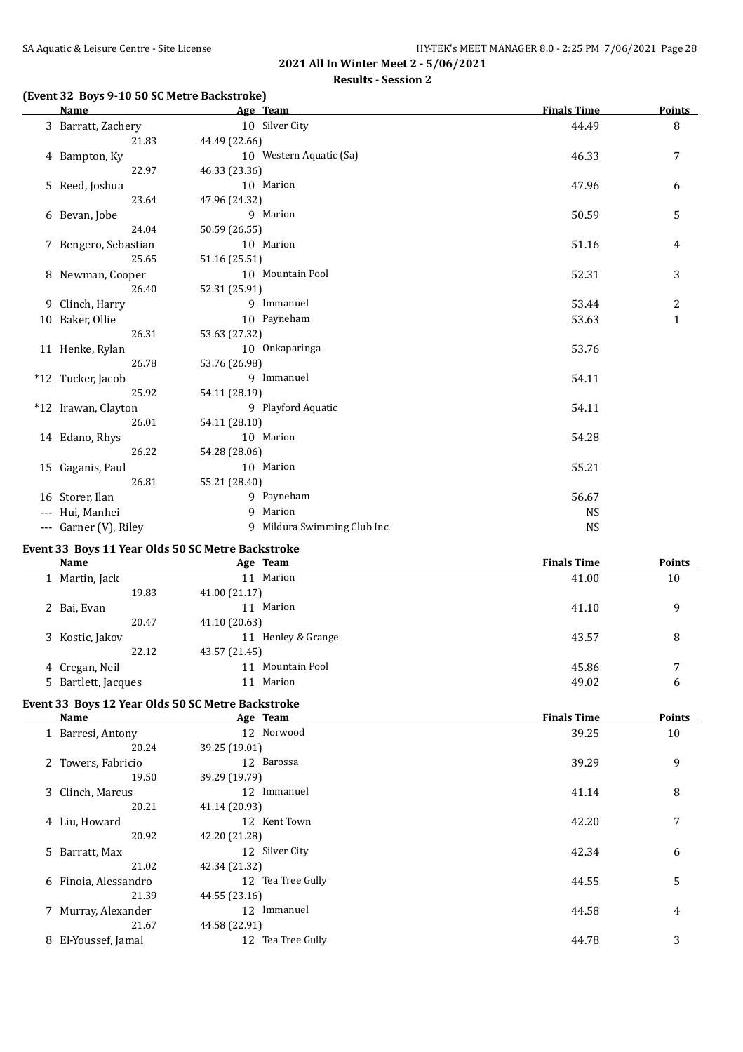# **Results - Session 2**

# **(Event 32 Boys 9-10 50 SC Metre Backstroke)**

| <b>Name</b>           | Age Team                                          | <b>Finals Time</b> | <b>Points</b> |
|-----------------------|---------------------------------------------------|--------------------|---------------|
| 3 Barratt, Zachery    | 10 Silver City                                    | 44.49              | 8             |
| 21.83                 | 44.49 (22.66)                                     |                    |               |
| 4 Bampton, Ky         | 10 Western Aquatic (Sa)                           | 46.33              | 7             |
| 22.97                 | 46.33 (23.36)                                     |                    |               |
| 5 Reed, Joshua        | 10 Marion                                         | 47.96              | 6             |
| 23.64                 | 47.96 (24.32)                                     |                    |               |
| 6 Bevan, Jobe         | 9 Marion                                          | 50.59              | 5             |
| 24.04                 | 50.59 (26.55)                                     |                    |               |
| 7 Bengero, Sebastian  | 10 Marion                                         | 51.16              | 4             |
| 25.65                 | 51.16 (25.51)                                     |                    |               |
| 8 Newman, Cooper      | 10 Mountain Pool                                  |                    |               |
|                       |                                                   | 52.31              | 3             |
| 26.40                 | 52.31 (25.91)                                     |                    |               |
| 9 Clinch, Harry       | 9 Immanuel                                        | 53.44              | 2             |
| 10 Baker, Ollie       | 10 Payneham                                       | 53.63              | $\mathbf{1}$  |
| 26.31                 | 53.63 (27.32)                                     |                    |               |
| 11 Henke, Rylan       | 10 Onkaparinga                                    | 53.76              |               |
| 26.78                 | 53.76 (26.98)                                     |                    |               |
| *12 Tucker, Jacob     | 9 Immanuel                                        | 54.11              |               |
| 25.92                 | 54.11 (28.19)                                     |                    |               |
| *12 Irawan, Clayton   | 9 Playford Aquatic                                | 54.11              |               |
| 26.01                 | 54.11 (28.10)                                     |                    |               |
| 14 Edano, Rhys        | 10 Marion                                         | 54.28              |               |
| 26.22                 | 54.28 (28.06)                                     |                    |               |
| 15 Gaganis, Paul      | 10 Marion                                         | 55.21              |               |
| 26.81                 | 55.21 (28.40)                                     |                    |               |
| 16 Storer, Ilan       | 9 Payneham                                        | 56.67              |               |
| --- Hui, Manhei       | 9 Marion                                          |                    |               |
|                       |                                                   | <b>NS</b>          |               |
| --- Garner (V), Riley | 9 Mildura Swimming Club Inc.                      | <b>NS</b>          |               |
|                       | Event 33 Boys 11 Year Olds 50 SC Metre Backstroke |                    |               |
| <b>Name</b>           | Age Team                                          | <b>Finals Time</b> | <b>Points</b> |
| 1 Martin, Jack        | 11 Marion                                         | 41.00              | 10            |
| 19.83                 | 41.00 (21.17)                                     |                    |               |
| 2 Bai, Evan           | 11 Marion                                         | 41.10              | 9             |
| 20.47                 | 41.10 (20.63)                                     |                    |               |
| 3 Kostic, Jakov       | 11 Henley & Grange                                | 43.57              | 8             |
| 22.12                 | 43.57 (21.45)                                     |                    |               |
| 4 Cregan, Neil        | 11 Mountain Pool                                  | 45.86              | 7             |
| 5 Bartlett, Jacques   | 11 Marion                                         |                    |               |
|                       |                                                   | 49.02              | 6             |
|                       | Event 33 Boys 12 Year Olds 50 SC Metre Backstroke |                    |               |
| <b>Name</b>           | Age Team                                          | <b>Finals Time</b> | <b>Points</b> |
| 1 Barresi, Antony     | 12 Norwood                                        | 39.25              | 10            |
| 20.24                 | 39.25 (19.01)                                     |                    |               |
| 2 Towers, Fabricio    | 12 Barossa                                        | 39.29              | 9             |
| 19.50                 | 39.29 (19.79)                                     |                    |               |
| 3 Clinch, Marcus      | 12 Immanuel                                       | 41.14              | 8             |
| 20.21                 | 41.14 (20.93)                                     |                    |               |
|                       | 12 Kent Town                                      |                    |               |
| 4 Liu, Howard         |                                                   | 42.20              | 7             |
| 20.92                 | 42.20 (21.28)                                     |                    |               |
| 5 Barratt, Max        | 12 Silver City                                    | 42.34              | 6             |
| 21.02                 | 42.34 (21.32)                                     |                    |               |
| 6 Finoia, Alessandro  | 12 Tea Tree Gully                                 | 44.55              | 5             |
| 21.39                 | 44.55 (23.16)                                     |                    |               |
| 7 Murray, Alexander   | 12 Immanuel                                       | 44.58              | 4             |
| 21.67                 | 44.58 (22.91)                                     |                    |               |
| 8 El-Youssef, Jamal   | 12 Tea Tree Gully                                 | 44.78              | 3             |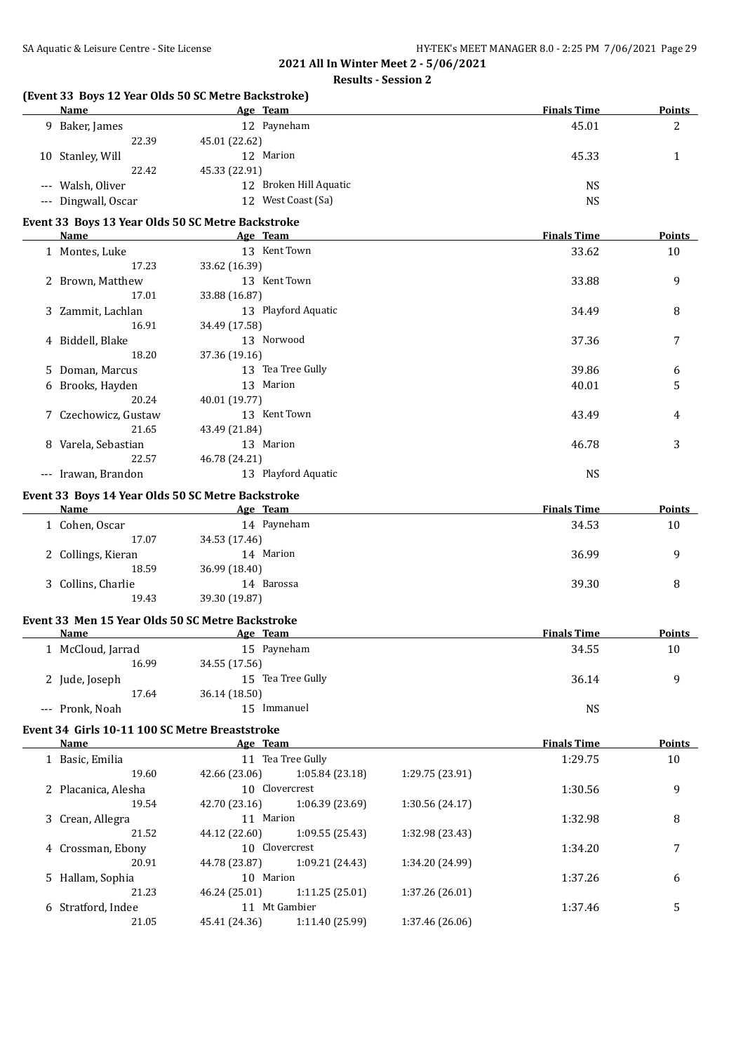| (Event 33 Boys 12 Year Olds 50 SC Metre Backstroke)<br>Name |               | Age Team               |                 | <b>Finals Time</b> | <b>Points</b> |
|-------------------------------------------------------------|---------------|------------------------|-----------------|--------------------|---------------|
|                                                             |               |                        |                 |                    |               |
| 9 Baker, James                                              |               | 12 Payneham            |                 | 45.01              | 2             |
| 22.39                                                       | 45.01 (22.62) |                        |                 |                    |               |
| 10 Stanley, Will                                            |               | 12 Marion              |                 | 45.33              | 1             |
| 22.42                                                       | 45.33 (22.91) |                        |                 |                    |               |
| --- Walsh, Oliver                                           |               | 12 Broken Hill Aquatic |                 | <b>NS</b>          |               |
| --- Dingwall, Oscar                                         |               | 12 West Coast (Sa)     |                 | <b>NS</b>          |               |
| Event 33 Boys 13 Year Olds 50 SC Metre Backstroke           |               |                        |                 |                    |               |
| Name                                                        |               | Age Team               |                 | <b>Finals Time</b> | Points        |
| 1 Montes, Luke                                              |               | 13 Kent Town           |                 | 33.62              | 10            |
| 17.23                                                       | 33.62 (16.39) |                        |                 |                    |               |
| 2 Brown, Matthew                                            |               | 13 Kent Town           |                 | 33.88              | 9             |
| 17.01                                                       | 33.88 (16.87) |                        |                 |                    |               |
| 3 Zammit, Lachlan                                           |               | 13 Playford Aquatic    |                 | 34.49              | 8             |
| 16.91                                                       | 34.49 (17.58) |                        |                 |                    |               |
| 4 Biddell, Blake                                            |               | 13 Norwood             |                 | 37.36              | 7             |
| 18.20                                                       | 37.36 (19.16) |                        |                 |                    |               |
| 5 Doman, Marcus                                             |               | 13 Tea Tree Gully      |                 | 39.86              | 6             |
| 6 Brooks, Hayden                                            |               | 13 Marion              |                 | 40.01              | 5             |
| 20.24                                                       | 40.01 (19.77) |                        |                 |                    |               |
| 7 Czechowicz, Gustaw                                        |               | 13 Kent Town           |                 | 43.49              | 4             |
| 21.65                                                       | 43.49 (21.84) |                        |                 |                    |               |
|                                                             |               | 13 Marion              |                 | 46.78              | 3             |
| 8 Varela, Sebastian<br>22.57                                |               |                        |                 |                    |               |
|                                                             | 46.78 (24.21) |                        |                 |                    |               |
| --- Irawan, Brandon                                         |               | 13 Playford Aquatic    |                 | <b>NS</b>          |               |
| Event 33 Boys 14 Year Olds 50 SC Metre Backstroke           |               |                        |                 |                    |               |
| Name                                                        |               | Age Team               |                 | <b>Finals Time</b> | Points        |
| 1 Cohen, Oscar                                              |               | 14 Payneham            |                 | 34.53              | 10            |
| 17.07                                                       | 34.53 (17.46) |                        |                 |                    |               |
| 2 Collings, Kieran                                          |               | 14 Marion              |                 | 36.99              | 9             |
| 18.59                                                       | 36.99 (18.40) |                        |                 |                    |               |
| 3 Collins, Charlie                                          |               | 14 Barossa             |                 | 39.30              | 8             |
| 19.43                                                       | 39.30 (19.87) |                        |                 |                    |               |
| Event 33 Men 15 Year Olds 50 SC Metre Backstroke            |               |                        |                 |                    |               |
| <b>Name</b>                                                 |               | Age Team               |                 | <b>Finals Time</b> | <u>Points</u> |
| 1 McCloud, Jarrad                                           |               | 15 Payneham            |                 | 34.55              | $10\,$        |
| 16.99                                                       | 34.55 (17.56) |                        |                 |                    |               |
| 2 Jude, Joseph                                              |               | 15 Tea Tree Gully      |                 | 36.14              | 9             |
| 17.64                                                       | 36.14 (18.50) |                        |                 |                    |               |
|                                                             |               | 15 Immanuel            |                 |                    |               |
| --- Pronk, Noah                                             |               |                        |                 | <b>NS</b>          |               |
| Event 34 Girls 10-11 100 SC Metre Breaststroke              |               |                        |                 |                    |               |
| <b>Name</b>                                                 |               | Age Team               |                 | <b>Finals Time</b> | <b>Points</b> |
| 1 Basic, Emilia                                             |               | 11 Tea Tree Gully      |                 | 1:29.75            | 10            |
| 19.60                                                       | 42.66 (23.06) | 1:05.84 (23.18)        | 1:29.75 (23.91) |                    |               |
| 2 Placanica, Alesha                                         |               | 10 Clovercrest         |                 | 1:30.56            | 9             |
| 19.54                                                       | 42.70 (23.16) | 1:06.39 (23.69)        | 1:30.56 (24.17) |                    |               |
| 3 Crean, Allegra                                            |               | 11 Marion              |                 | 1:32.98            | 8             |
| 21.52                                                       | 44.12 (22.60) | 1:09.55 (25.43)        | 1:32.98 (23.43) |                    |               |
| 4 Crossman, Ebony                                           |               | 10 Clovercrest         |                 | 1:34.20            | 7             |
| 20.91                                                       | 44.78 (23.87) | 1:09.21 (24.43)        | 1:34.20 (24.99) |                    |               |
| 5 Hallam, Sophia                                            |               | 10 Marion              |                 | 1:37.26            | 6             |
| 21.23                                                       | 46.24 (25.01) | 1:11.25 (25.01)        | 1:37.26 (26.01) |                    |               |
| 6 Stratford, Indee                                          |               | 11 Mt Gambier          |                 | 1:37.46            |               |
|                                                             |               |                        |                 |                    | 5             |
| 21.05                                                       | 45.41 (24.36) | 1:11.40 (25.99)        | 1:37.46 (26.06) |                    |               |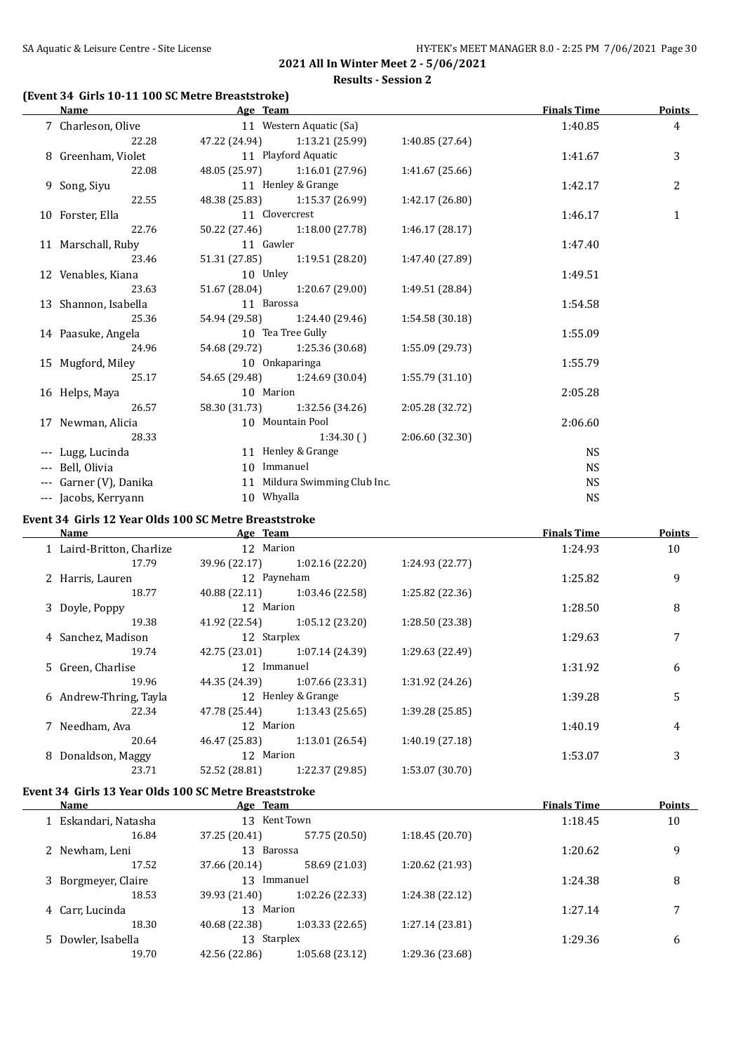# **(Event 34 Girls 10-11 100 SC Metre Breaststroke)**

| <b>Name</b>            | Age Team           |                                 |                 | <b>Finals Time</b> | <b>Points</b>  |
|------------------------|--------------------|---------------------------------|-----------------|--------------------|----------------|
| 7 Charleson, Olive     |                    | 11 Western Aquatic (Sa)         |                 | 1:40.85            | $\overline{4}$ |
| 22.28                  |                    | 47.22 (24.94) 1:13.21 (25.99)   | 1:40.85 (27.64) |                    |                |
| 8 Greenham, Violet     |                    | 11 Playford Aquatic             |                 | 1:41.67            | 3              |
| 22.08                  |                    | 48.05 (25.97) 1:16.01 (27.96)   | 1:41.67(25.66)  |                    |                |
| 9 Song, Siyu           | 11 Henley & Grange |                                 |                 | 1:42.17            | 2              |
| 22.55                  |                    | 48.38 (25.83) 1:15.37 (26.99)   | 1:42.17 (26.80) |                    |                |
| 10 Forster, Ella       | 11 Clovercrest     |                                 |                 | 1:46.17            | $\mathbf{1}$   |
| 22.76                  |                    | 50.22 (27.46) 1:18.00 (27.78)   | 1:46.17(28.17)  |                    |                |
| 11 Marschall, Ruby     | 11 Gawler          |                                 |                 | 1:47.40            |                |
| 23.46                  |                    | $51.31(27.85)$ $1:19.51(28.20)$ | 1:47.40 (27.89) |                    |                |
| 12 Venables, Kiana     | 10 Unley           |                                 |                 | 1:49.51            |                |
| 23.63                  |                    | 51.67 (28.04) 1:20.67 (29.00)   | 1:49.51 (28.84) |                    |                |
| 13 Shannon, Isabella   | 11 Barossa         |                                 |                 | 1:54.58            |                |
| 25.36                  |                    | 54.94 (29.58) 1:24.40 (29.46)   | 1:54.58(30.18)  |                    |                |
| 14 Paasuke, Angela     | 10 Tea Tree Gully  |                                 |                 | 1:55.09            |                |
| 24.96                  |                    | 54.68 (29.72) 1:25.36 (30.68)   | 1:55.09 (29.73) |                    |                |
| 15 Mugford, Miley      | 10 Onkaparinga     |                                 |                 | 1:55.79            |                |
| 25.17                  |                    | 54.65 (29.48) 1:24.69 (30.04)   | 1:55.79(31.10)  |                    |                |
| 16 Helps, Maya         | 10 Marion          |                                 |                 | 2:05.28            |                |
| 26.57                  |                    | 58.30 (31.73) 1:32.56 (34.26)   | 2:05.28 (32.72) |                    |                |
| 17 Newman, Alicia      |                    | 10 Mountain Pool                |                 | 2:06.60            |                |
| 28.33                  |                    | 1:34.30()                       | 2:06.60 (32.30) |                    |                |
| --- Lugg, Lucinda      |                    | 11 Henley & Grange              |                 | <b>NS</b>          |                |
| --- Bell, Olivia       | 10 Immanuel        |                                 |                 | <b>NS</b>          |                |
| --- Garner (V), Danika |                    | 11 Mildura Swimming Club Inc.   |                 | <b>NS</b>          |                |
| --- Jacobs, Kerryann   | 10 Whyalla         |                                 |                 | <b>NS</b>          |                |

#### **Event 34 Girls 12 Year Olds 100 SC Metre Breaststroke**

| Name                      | Age Team      |                    |                 | <b>Finals Time</b> | <b>Points</b> |
|---------------------------|---------------|--------------------|-----------------|--------------------|---------------|
| 1 Laird-Britton, Charlize | 12 Marion     |                    |                 | 1:24.93            | 10            |
| 17.79                     | 39.96 (22.17) | 1:02.16(22.20)     | 1:24.93 (22.77) |                    |               |
| 2 Harris, Lauren          | 12 Payneham   |                    |                 | 1:25.82            | 9             |
| 18.77                     | 40.88 (22.11) | 1:03.46 (22.58)    | 1:25.82 (22.36) |                    |               |
| 3 Doyle, Poppy            | 12 Marion     |                    |                 | 1:28.50            | 8             |
| 19.38                     | 41.92 (22.54) | 1:05.12(23.20)     | 1:28.50 (23.38) |                    |               |
| 4 Sanchez, Madison        | 12 Starplex   |                    |                 | 1:29.63            | 7             |
| 19.74                     | 42.75 (23.01) | 1:07.14 (24.39)    | 1:29.63 (22.49) |                    |               |
| 5 Green, Charlise         | 12 Immanuel   |                    |                 | 1:31.92            | 6             |
| 19.96                     | 44.35 (24.39) | 1:07.66(23.31)     | 1:31.92 (24.26) |                    |               |
| 6 Andrew-Thring, Tayla    |               | 12 Henley & Grange |                 | 1:39.28            | 5             |
| 22.34                     | 47.78 (25.44) | 1:13.43(25.65)     | 1:39.28 (25.85) |                    |               |
| 7 Needham, Ava            | 12 Marion     |                    |                 | 1:40.19            | 4             |
| 20.64                     | 46.47 (25.83) | 1:13.01(26.54)     | 1:40.19(27.18)  |                    |               |
| 8 Donaldson, Maggy        | 12 Marion     |                    |                 | 1:53.07            | 3             |
| 23.71                     | 52.52 (28.81) | 1:22.37 (29.85)    | 1:53.07 (30.70) |                    |               |

#### **Event 34 Girls 13 Year Olds 100 SC Metre Breaststroke**

| <b>Name</b>          | Age Team      |                 |                 | <b>Finals Time</b> | Points |
|----------------------|---------------|-----------------|-----------------|--------------------|--------|
| 1 Eskandari, Natasha | 13 Kent Town  |                 |                 | 1:18.45            | 10     |
| 16.84                | 37.25 (20.41) | 57.75 (20.50)   | 1:18.45(20.70)  |                    |        |
| 2 Newham, Leni       | 13 Barossa    |                 |                 | 1:20.62            | 9      |
| 17.52                | 37.66 (20.14) | 58.69 (21.03)   | 1:20.62 (21.93) |                    |        |
| 3 Borgmeyer, Claire  | 13            | Immanuel        |                 | 1:24.38            | 8      |
| 18.53                | 39.93 (21.40) | 1:02.26 (22.33) | 1:24.38 (22.12) |                    |        |
| 4 Carr, Lucinda      | 13 Marion     |                 |                 | 1:27.14            | 7      |
| 18.30                | 40.68 (22.38) | 1:03.33(22.65)  | 1:27.14(23.81)  |                    |        |
| 5 Dowler, Isabella   | 13 Starplex   |                 |                 | 1:29.36            | 6      |
| 19.70                | 42.56 (22.86) | 1:05.68(23.12)  | 1:29.36 (23.68) |                    |        |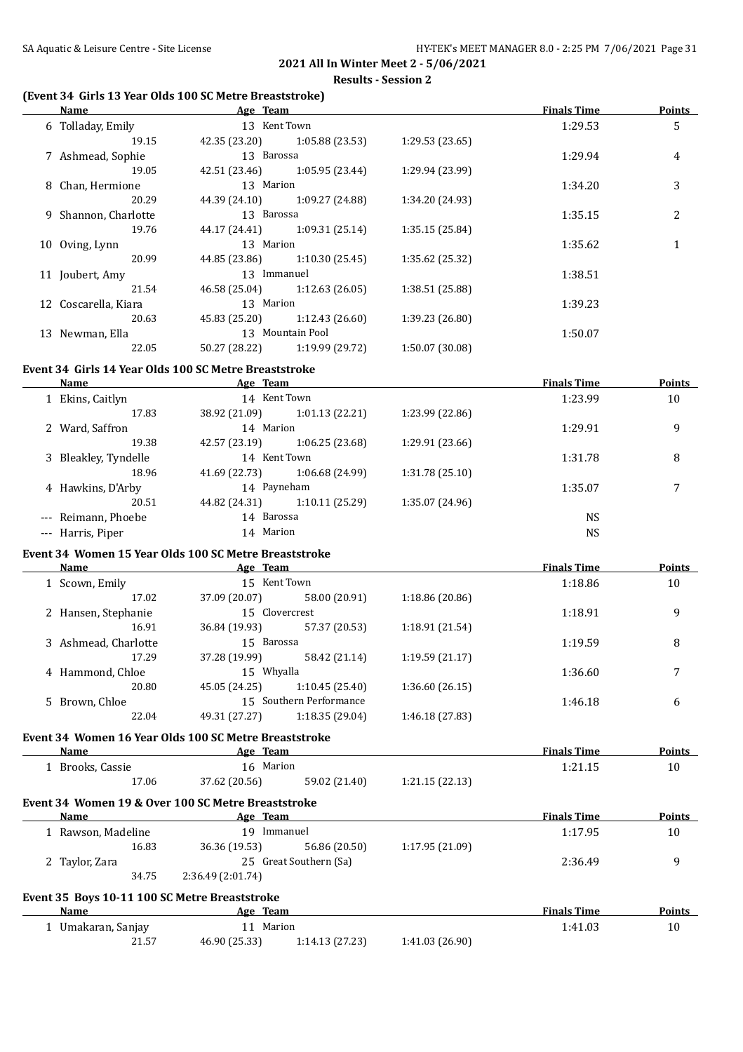#### **(Event 34 Girls 13 Year Olds 100 SC Metre Breaststroke)**

| <b>Name Age Team Age Team <i>Age Team Age Team Age Team Age Team Age Team Age Team Age Team Age Team Age Team Age Team Age Team Age Team Age Team</i> <b><i>Age Team Age Team</i></b></b> |                  |                                                                                                                       |                 | <b>Finals Time</b> | <b>Points</b> |
|-------------------------------------------------------------------------------------------------------------------------------------------------------------------------------------------|------------------|-----------------------------------------------------------------------------------------------------------------------|-----------------|--------------------|---------------|
| 6 Tolladay, Emily                                                                                                                                                                         | 13 Kent Town     |                                                                                                                       |                 | 1:29.53            | 5             |
| 19.15                                                                                                                                                                                     |                  | 42.35 (23.20) 1:05.88 (23.53) 1:29.53 (23.65)                                                                         |                 |                    |               |
| 7 Ashmead, Sophie                                                                                                                                                                         | 13 Barossa       |                                                                                                                       |                 | 1:29.94            | 4             |
| 19.05                                                                                                                                                                                     |                  | 42.51 (23.46) 1:05.95 (23.44) 1:29.94 (23.99)                                                                         |                 |                    |               |
| 8 Chan, Hermione                                                                                                                                                                          | 13 Marion        |                                                                                                                       |                 | 1:34.20            | 3             |
| 20.29                                                                                                                                                                                     |                  | 44.39 (24.10) 1:09.27 (24.88)                                                                                         | 1:34.20 (24.93) |                    |               |
| 9 Shannon, Charlotte                                                                                                                                                                      | 13 Barossa       |                                                                                                                       |                 | 1:35.15            | 2             |
| 19.76                                                                                                                                                                                     |                  | 44.17 (24.41) 1:09.31 (25.14)                                                                                         | 1:35.15 (25.84) |                    |               |
| 10 Oving, Lynn                                                                                                                                                                            | 13 Marion        |                                                                                                                       |                 | 1:35.62            | $\mathbf{1}$  |
| 20.99                                                                                                                                                                                     |                  | 44.85 (23.86) 1:10.30 (25.45)                                                                                         | 1:35.62 (25.32) |                    |               |
| 11 Joubert, Amy                                                                                                                                                                           | 13 Immanuel      |                                                                                                                       |                 | 1:38.51            |               |
| 21.54                                                                                                                                                                                     |                  | 46.58 (25.04) 1:12.63 (26.05)                                                                                         | 1:38.51 (25.88) |                    |               |
| 12 Coscarella, Kiara                                                                                                                                                                      | 13 Marion        |                                                                                                                       |                 | 1:39.23            |               |
| 20.63                                                                                                                                                                                     |                  | 45.83 (25.20) 1:12.43 (26.60)                                                                                         | 1:39.23 (26.80) |                    |               |
| 13 Newman, Ella                                                                                                                                                                           | 13 Mountain Pool |                                                                                                                       |                 | 1:50.07            |               |
| 22.05                                                                                                                                                                                     |                  | 50.27 (28.22) 1:19.99 (29.72) 1:50.07 (30.08)                                                                         |                 |                    |               |
| Event 34 Girls 14 Year Olds 100 SC Metre Breaststroke                                                                                                                                     |                  |                                                                                                                       |                 |                    |               |
| <b>Name</b>                                                                                                                                                                               |                  | <b>Example 2.1 Age Team Age Team Age Team Age Team Age Team Age Team Age Team Age Team Age Team Age Team Age Team</b> |                 | <b>Finals Time</b> | <b>Points</b> |
| 1 Ekins, Caitlyn                                                                                                                                                                          | 14 Kent Town     |                                                                                                                       |                 | 1:23.99            | 10            |
| 17.83                                                                                                                                                                                     |                  | 38.92 (21.09) 1:01.13 (22.21) 1:23.99 (22.86)                                                                         |                 |                    |               |
| 2 Ward, Saffron                                                                                                                                                                           | 14 Marion        |                                                                                                                       |                 | 1:29.91            | 9             |
| 19.38                                                                                                                                                                                     |                  | 42.57 (23.19) 1:06.25 (23.68)                                                                                         | 1:29.91 (23.66) |                    |               |
| 3 Bleakley, Tyndelle                                                                                                                                                                      | 14 Kent Town     |                                                                                                                       |                 | 1:31.78            | 8             |
| 18.96                                                                                                                                                                                     |                  | 41.69 (22.73) 1:06.68 (24.99) 1:31.78 (25.10)                                                                         |                 |                    |               |
| 4 Hawkins, D'Arby 14 Payneham                                                                                                                                                             |                  |                                                                                                                       |                 | 1:35.07            | 7             |
| 20.51                                                                                                                                                                                     |                  | 44.82 (24.31) 1:10.11 (25.29) 1:35.07 (24.96)                                                                         |                 |                    |               |
| --- Reimann, Phoebe                                                                                                                                                                       | 14 Barossa       |                                                                                                                       |                 | <b>NS</b>          |               |

#### **Event 34 Women 15 Year Olds 100 SC Metre Breaststroke**

| Name                 | Age Team      |                         |                 | <b>Finals Time</b> | <b>Points</b> |
|----------------------|---------------|-------------------------|-----------------|--------------------|---------------|
| 1 Scown, Emily       | 15 Kent Town  |                         |                 | 1:18.86            | 10            |
| 17.02                | 37.09 (20.07) | 58.00 (20.91)           | 1:18.86 (20.86) |                    |               |
| 2 Hansen, Stephanie  |               | 15 Clovercrest          |                 | 1:18.91            | 9             |
| 16.91                | 36.84 (19.93) | 57.37 (20.53)           | 1:18.91 (21.54) |                    |               |
| 3 Ashmead, Charlotte | 15 Barossa    |                         |                 | 1:19.59            | 8             |
| 17.29                | 37.28 (19.99) | 58.42 (21.14)           | 1:19.59(21.17)  |                    |               |
| 4 Hammond, Chloe     | 15 Whyalla    |                         |                 | 1:36.60            |               |
| 20.80                | 45.05 (24.25) | 1:10.45(25.40)          | 1:36.60 (26.15) |                    |               |
| 5 Brown, Chloe       |               | 15 Southern Performance |                 | 1:46.18            | 6             |
| 22.04                | 49.31 (27.27) | 1:18.35 (29.04)         | 1:46.18 (27.83) |                    |               |

--- Harris, Piper 14 Marion 14 Marion NS

#### **Event 34 Women 16 Year Olds 100 SC Metre Breaststroke**

| <b>Name</b>    | Age Team      |               |                | <b>Finals Time</b> | <b>Points</b> |
|----------------|---------------|---------------|----------------|--------------------|---------------|
| Brooks, Cassie | 16 Marion     |               |                | 1:21.15            | 10            |
| 17.06          | 37.62 (20.56) | 59.02 (21.40) | 1:21.15(22.13) |                    |               |

# **Event 34 Women 19 & Over 100 SC Metre Breaststroke**

| Name               |       | Age Team                                      |                        |                 | <b>Finals Time</b> | <b>Points</b> |
|--------------------|-------|-----------------------------------------------|------------------------|-----------------|--------------------|---------------|
| 1 Rawson, Madeline |       | 19.                                           | Immanuel               |                 | 1:17.95            | 10            |
|                    | 16.83 | 36.36 (19.53)                                 | 56.86 (20.50)          | 1:17.95(21.09)  |                    |               |
| 2 Taylor, Zara     |       |                                               | 25 Great Southern (Sa) |                 | 2:36.49            | 9             |
|                    | 34.75 | 2:36.49(2:01.74)                              |                        |                 |                    |               |
|                    |       | Event 35 Boys 10-11 100 SC Metre Breaststroke |                        |                 |                    |               |
| Name               |       | Age Team                                      |                        |                 | <b>Finals Time</b> | <b>Points</b> |
| 1 Umakaran, Sanjay |       | Marion<br>11                                  |                        |                 | 1:41.03            | 10            |
|                    | 21.57 | 46.90 (25.33)                                 | 1:14.13(27.23)         | 1:41.03 (26.90) |                    |               |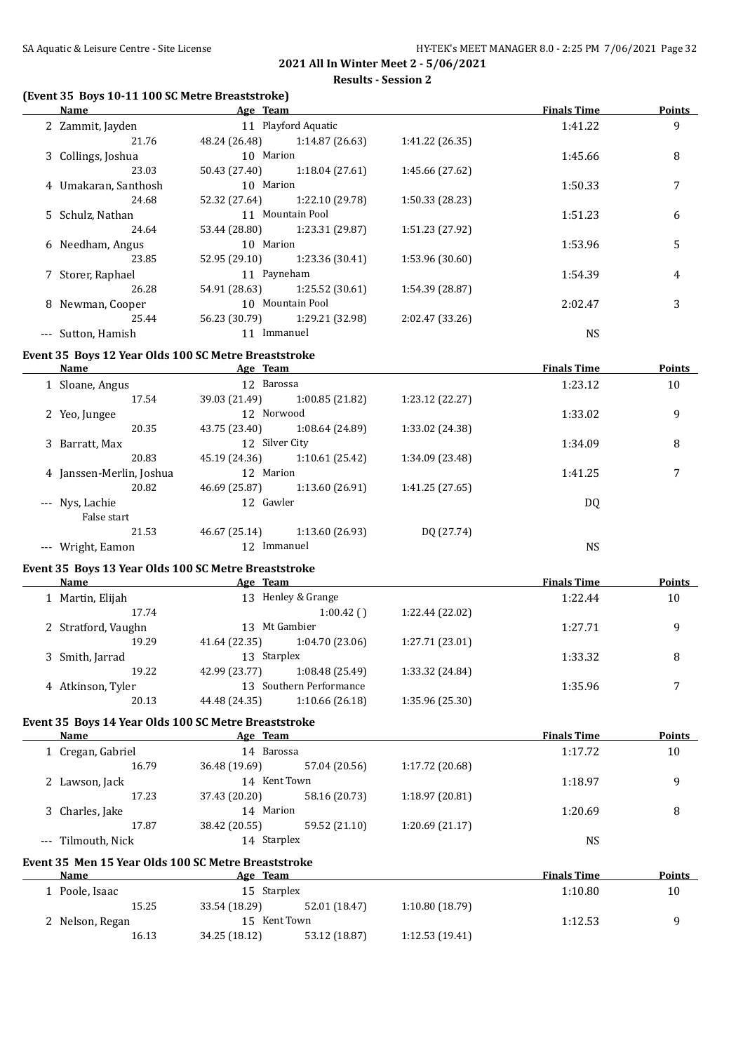# **(Event 35 Boys 10-11 100 SC Metre Breaststroke)**

| (Event 35 Boys 10-11 100 SC Metre Breaststroke)     |                                                                                   |                 |                    |               |
|-----------------------------------------------------|-----------------------------------------------------------------------------------|-----------------|--------------------|---------------|
| <b>Name</b>                                         | <b>Example 2018</b> Age Team                                                      |                 | <b>Finals Time</b> | <b>Points</b> |
| 2 Zammit, Jayden                                    | 11 Playford Aquatic                                                               |                 | 1:41.22            | 9             |
| 21.76                                               | 48.24 (26.48) 1:14.87 (26.63)                                                     | 1:41.22 (26.35) |                    |               |
| 3 Collings, Joshua                                  | 10 Marion                                                                         |                 | 1:45.66            | 8             |
| 23.03                                               | 50.43 (27.40) 1:18.04 (27.61)<br>10 Marion                                        | 1:45.66 (27.62) |                    |               |
| 4 Umakaran, Santhosh<br>24.68                       |                                                                                   |                 | 1:50.33            | 7             |
|                                                     | 52.32 (27.64) 1:22.10 (29.78)<br>11 Mountain Pool                                 | 1:50.33 (28.23) | 1:51.23            |               |
| 5 Schulz, Nathan<br>24.64                           | 53.44 (28.80) 1:23.31 (29.87)                                                     | 1:51.23 (27.92) |                    | 6             |
| 6 Needham, Angus                                    | 10 Marion                                                                         |                 | 1:53.96            | 5             |
| 23.85                                               | 52.95 (29.10) 1:23.36 (30.41)                                                     | 1:53.96 (30.60) |                    |               |
| 7 Storer, Raphael                                   | 11 Payneham                                                                       |                 | 1:54.39            | 4             |
| 26.28                                               | 54.91 (28.63) 1:25.52 (30.61)                                                     | 1:54.39 (28.87) |                    |               |
| 8 Newman, Cooper                                    | 10 Mountain Pool                                                                  |                 | 2:02.47            | 3             |
| 25.44                                               | 56.23 (30.79) 1:29.21 (32.98)                                                     | 2:02.47 (33.26) |                    |               |
| --- Sutton, Hamish                                  | 11 Immanuel                                                                       |                 | <b>NS</b>          |               |
|                                                     |                                                                                   |                 |                    |               |
|                                                     | Event 35 Boys 12 Year Olds 100 SC Metre Breaststroke                              |                 |                    |               |
| Name Age Team                                       |                                                                                   |                 | <b>Finals Time</b> | <b>Points</b> |
| 1 Sloane, Angus                                     | 12 Barossa                                                                        |                 | 1:23.12            | 10            |
| 17.54                                               | 39.03 (21.49)<br>1:00.85 (21.82)<br>12 Norwood                                    | 1:23.12 (22.27) | 1:33.02            |               |
| 2 Yeo, Jungee<br>20.35                              | 43.75 (23.40) 1:08.64 (24.89)                                                     | 1:33.02 (24.38) |                    | 9             |
| 3 Barratt, Max                                      | 12 Silver City                                                                    |                 | 1:34.09            | 8             |
| 20.83                                               | 45.19 (24.36) 1:10.61 (25.42)                                                     | 1:34.09 (23.48) |                    |               |
| 4 Janssen-Merlin, Joshua                            | 12 Marion                                                                         |                 | 1:41.25            | 7             |
| 20.82                                               | 46.69 (25.87) 1:13.60 (26.91)                                                     | 1:41.25 (27.65) |                    |               |
| --- Nys, Lachie                                     | 12 Gawler                                                                         |                 | <b>DQ</b>          |               |
| False start                                         |                                                                                   |                 |                    |               |
| 21.53                                               | 46.67 (25.14) 1:13.60 (26.93)                                                     | DQ (27.74)      |                    |               |
| --- Wright, Eamon                                   | 12 Immanuel                                                                       |                 | <b>NS</b>          |               |
|                                                     |                                                                                   |                 |                    |               |
| Name                                                | Event 35 Boys 13 Year Olds 100 SC Metre Breaststroke<br><b>Example 2</b> Age Team |                 | <b>Finals Time</b> | Points        |
| 1 Martin, Elijah                                    | 13 Henley & Grange                                                                |                 | 1:22.44            | 10            |
| 17.74                                               | $1:00.42$ ( )                                                                     | 1:22.44 (22.02) |                    |               |
| 2 Stratford, Vaughn                                 | 13 Mt Gambier                                                                     |                 | 1:27.71            | 9             |
| 19.29                                               | 41.64 (22.35) 1:04.70 (23.06)                                                     | 1:27.71 (23.01) |                    |               |
| 3 Smith, Jarrad                                     | 13 Starplex                                                                       |                 | 1:33.32            | 8             |
| 19.22                                               | 42.99 (23.77)<br>1:08.48 (25.49)                                                  | 1:33.32 (24.84) |                    |               |
| 4 Atkinson, Tyler                                   | 13 Southern Performance                                                           |                 | 1:35.96            | 7             |
| 20.13                                               | 44.48 (24.35)<br>1:10.66 (26.18)                                                  | 1:35.96 (25.30) |                    |               |
|                                                     |                                                                                   |                 |                    |               |
|                                                     | Event 35 Boys 14 Year Olds 100 SC Metre Breaststroke                              |                 |                    |               |
| <b>Name</b>                                         | Age Team<br>14 Barossa                                                            |                 | <b>Finals Time</b> | <b>Points</b> |
| 1 Cregan, Gabriel                                   |                                                                                   |                 | 1:17.72            | 10            |
| 16.79                                               | 36.48 (19.69)<br>57.04 (20.56)<br>14 Kent Town                                    | 1:17.72 (20.68) | 1:18.97            | 9             |
| 2 Lawson, Jack<br>17.23                             | 37.43 (20.20)<br>58.16 (20.73)                                                    | 1:18.97 (20.81) |                    |               |
| 3 Charles, Jake                                     | 14 Marion                                                                         |                 | 1:20.69            | 8             |
| 17.87                                               | 59.52 (21.10)<br>38.42 (20.55)                                                    | 1:20.69 (21.17) |                    |               |
| --- Tilmouth, Nick                                  | 14 Starplex                                                                       |                 | <b>NS</b>          |               |
|                                                     |                                                                                   |                 |                    |               |
| Event 35 Men 15 Year Olds 100 SC Metre Breaststroke |                                                                                   |                 |                    |               |
| Name                                                | Age Team                                                                          |                 | <b>Finals Time</b> | <b>Points</b> |
| 1 Poole, Isaac                                      | 15 Starplex                                                                       |                 | 1:10.80            | 10            |
| 15.25                                               | 33.54 (18.29)<br>52.01 (18.47)                                                    | 1:10.80 (18.79) |                    |               |
| 2 Nelson, Regan                                     | 15 Kent Town                                                                      |                 | 1:12.53            | 9             |
| 16.13                                               | 34.25 (18.12)<br>53.12 (18.87)                                                    | 1:12.53 (19.41) |                    |               |
|                                                     |                                                                                   |                 |                    |               |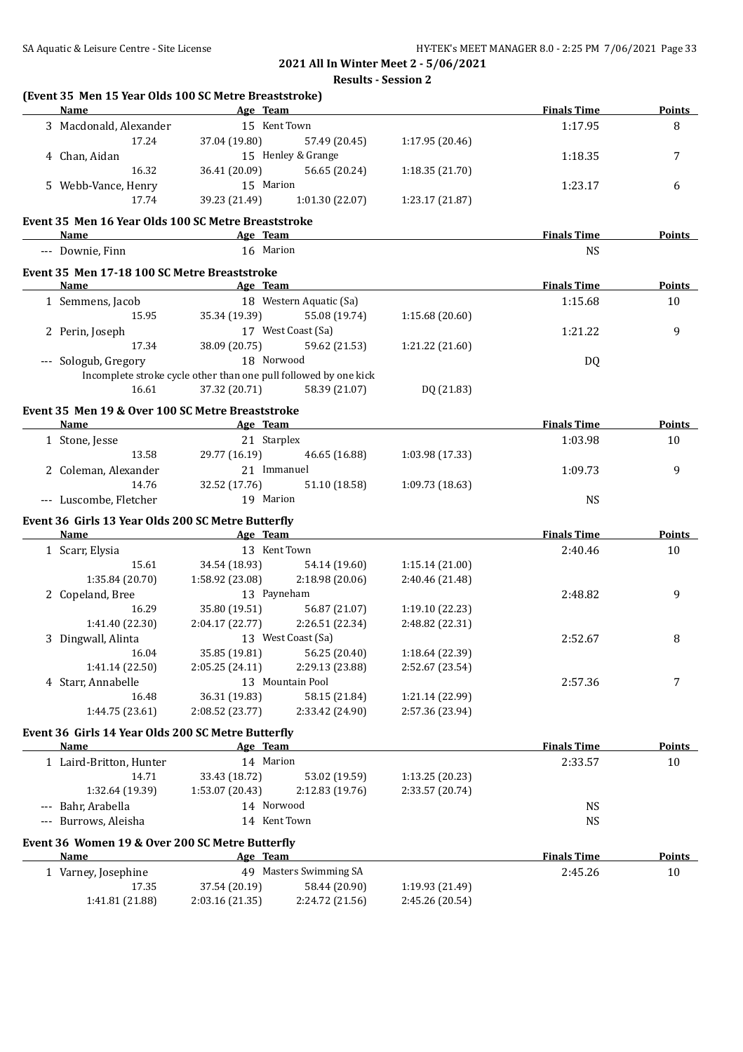**(Event 35 Men 15 Year Olds 100 SC Metre Breaststroke)**

# **2021 All In Winter Meet 2 - 5/06/2021 Results - Session 2**

|             | Name                                                                                                                                                                           | <b>Example 2</b> Age Team                                        |                                                    |                                    | <b>Finals Time</b> | Points                         |
|-------------|--------------------------------------------------------------------------------------------------------------------------------------------------------------------------------|------------------------------------------------------------------|----------------------------------------------------|------------------------------------|--------------------|--------------------------------|
|             | 3 Macdonald, Alexander                                                                                                                                                         | 15 Kent Town                                                     |                                                    |                                    | 1:17.95            | 8                              |
|             | 17.24                                                                                                                                                                          |                                                                  | 37.04 (19.80) 57.49 (20.45)                        | 1:17.95 (20.46)                    |                    |                                |
|             | 4 Chan, Aidan                                                                                                                                                                  | 15 Henley & Grange                                               |                                                    |                                    | 1:18.35            | 7                              |
|             | 16.32                                                                                                                                                                          |                                                                  | 36.41 (20.09) 56.65 (20.24)                        | 1:18.35 (21.70)                    |                    |                                |
|             | 5 Webb-Vance, Henry                                                                                                                                                            | 15 Marion                                                        |                                                    |                                    | 1:23.17            | 6                              |
|             | 17.74                                                                                                                                                                          |                                                                  | 39.23 (21.49) 1:01.30 (22.07)                      | 1:23.17 (21.87)                    |                    |                                |
|             | Event 35 Men 16 Year Olds 100 SC Metre Breaststroke                                                                                                                            |                                                                  |                                                    |                                    |                    |                                |
|             | <b>Name</b>                                                                                                                                                                    | <b>Example 2</b> Age Team                                        |                                                    |                                    | <b>Finals Time</b> | <b>Points</b>                  |
|             | --- Downie, Finn                                                                                                                                                               | 16 Marion                                                        |                                                    |                                    | <b>NS</b>          |                                |
|             | Event 35 Men 17-18 100 SC Metre Breaststroke                                                                                                                                   |                                                                  |                                                    |                                    |                    |                                |
|             |                                                                                                                                                                                |                                                                  |                                                    |                                    | <b>Finals Time</b> | <b>Points</b>                  |
|             | 1 Semmens, Jacob                                                                                                                                                               | 18 Western Aquatic (Sa)                                          |                                                    |                                    | 1:15.68            | 10                             |
|             |                                                                                                                                                                                |                                                                  | 15.95 35.34 (19.39) 55.08 (19.74)                  | 1:15.68 (20.60)                    |                    |                                |
|             | 2 Perin, Joseph                                                                                                                                                                | 17 West Coast (Sa)                                               |                                                    |                                    | 1:21.22            | 9                              |
|             | 17.34                                                                                                                                                                          |                                                                  | 38.09 (20.75) 59.62 (21.53)                        | 1:21.22 (21.60)                    |                    |                                |
|             | --- Sologub, Gregory                                                                                                                                                           | 18 Norwood                                                       |                                                    |                                    | <b>DQ</b>          |                                |
|             |                                                                                                                                                                                | Incomplete stroke cycle other than one pull followed by one kick |                                                    |                                    |                    |                                |
|             | 16.61                                                                                                                                                                          |                                                                  | 37.32 (20.71) 58.39 (21.07)                        | DQ (21.83)                         |                    |                                |
|             | Event 35 Men 19 & Over 100 SC Metre Breaststroke                                                                                                                               |                                                                  |                                                    |                                    |                    |                                |
|             | Name <b>Age Team Age Age Team <i>Age Team Age Team Age Team Age Team Age Team Age Team Age Team Age Team Age Team Age Team Age Team Age Team Age Team Age Team Age Tea</i></b> |                                                                  |                                                    |                                    | <b>Finals Time</b> | <b>Points</b>                  |
|             | 1 Stone, Jesse                                                                                                                                                                 | 21 Starplex                                                      |                                                    |                                    | 1:03.98            | 10                             |
|             | 13.58                                                                                                                                                                          |                                                                  | 29.77 (16.19) 46.65 (16.88)                        | 1:03.98 (17.33)                    |                    |                                |
|             | 2 Coleman, Alexander                                                                                                                                                           | 21 Immanuel                                                      |                                                    |                                    | 1:09.73            | 9                              |
|             | 14.76                                                                                                                                                                          | 32.52 (17.76)                                                    | 51.10 (18.58)                                      | 1:09.73(18.63)                     |                    |                                |
|             | --- Luscombe, Fletcher                                                                                                                                                         | 19 Marion                                                        |                                                    |                                    | <b>NS</b>          |                                |
|             | Event 36 Girls 13 Year Olds 200 SC Metre Butterfly                                                                                                                             |                                                                  |                                                    |                                    |                    |                                |
|             | Name Age Team                                                                                                                                                                  |                                                                  |                                                    |                                    |                    |                                |
|             |                                                                                                                                                                                |                                                                  |                                                    |                                    | <b>Finals Time</b> |                                |
|             | 1 Scarr, Elysia                                                                                                                                                                | 13 Kent Town                                                     |                                                    |                                    | 2:40.46            | 10                             |
|             |                                                                                                                                                                                | 15.61 34.54 (18.93) 54.14 (19.60)                                |                                                    | 1:15.14(21.00)                     |                    |                                |
|             | 1:35.84 (20.70)                                                                                                                                                                | $1:58.92(23.08)$ $2:18.98(20.06)$                                |                                                    | 2:40.46 (21.48)                    |                    |                                |
|             | 2 Copeland, Bree                                                                                                                                                               | 13 Payneham                                                      |                                                    |                                    | 2:48.82            | 9                              |
|             | 16.29                                                                                                                                                                          | 35.80 (19.51) 56.87 (21.07)                                      |                                                    | 1:19.10(22.23)                     |                    |                                |
|             | 1:41.40 (22.30)                                                                                                                                                                | $2:04.17(22.77)$ $2:26.51(22.34)$                                |                                                    | 2:48.82 (22.31)                    |                    |                                |
|             | 3 Dingwall, Alinta                                                                                                                                                             | 13 West Coast (Sa)                                               |                                                    |                                    | 2:52.67            | 8                              |
|             | 16.04                                                                                                                                                                          | 35.85 (19.81) 56.25 (20.40)                                      |                                                    | 1:18.64 (22.39)                    |                    |                                |
|             |                                                                                                                                                                                |                                                                  | $1:41.14(22.50)$ $2:05.25(24.11)$ $2:29.13(23.88)$ | 2:52.67 (23.54)                    |                    |                                |
|             | 4 Starr, Annabelle                                                                                                                                                             |                                                                  | 13 Mountain Pool                                   |                                    | 2:57.36            | 7                              |
|             | 16.48                                                                                                                                                                          | 36.31 (19.83)                                                    | 58.15 (21.84)                                      | 1:21.14 (22.99)                    |                    |                                |
|             | 1:44.75 (23.61)                                                                                                                                                                | 2:08.52 (23.77)                                                  | 2:33.42 (24.90)                                    | 2:57.36 (23.94)                    |                    |                                |
|             | Event 36 Girls 14 Year Olds 200 SC Metre Butterfly                                                                                                                             |                                                                  |                                                    |                                    |                    |                                |
|             | Name                                                                                                                                                                           | Age Team                                                         |                                                    |                                    | <b>Finals Time</b> |                                |
|             | 1 Laird-Britton, Hunter                                                                                                                                                        | 14 Marion                                                        |                                                    |                                    | 2:33.57            | 10                             |
|             | 14.71                                                                                                                                                                          | 33.43 (18.72)                                                    | 53.02 (19.59)                                      | 1:13.25 (20.23)                    |                    |                                |
|             | 1:32.64 (19.39)                                                                                                                                                                | 1:53.07 (20.43)                                                  | 2:12.83 (19.76)                                    | 2:33.57 (20.74)                    |                    |                                |
| $-\, -\, -$ | Bahr, Arabella                                                                                                                                                                 | 14 Norwood                                                       |                                                    |                                    | NS                 |                                |
|             | --- Burrows, Aleisha                                                                                                                                                           | 14 Kent Town                                                     |                                                    |                                    | <b>NS</b>          |                                |
|             | Event 36 Women 19 & Over 200 SC Metre Butterfly                                                                                                                                |                                                                  |                                                    |                                    |                    |                                |
|             | Name                                                                                                                                                                           | Age Team                                                         |                                                    |                                    | <b>Finals Time</b> |                                |
|             | 1 Varney, Josephine                                                                                                                                                            |                                                                  | 49 Masters Swimming SA                             |                                    | 2:45.26            | <b>Points</b><br>10            |
|             | 17.35<br>1:41.81 (21.88)                                                                                                                                                       | 37.54 (20.19)<br>2:03.16 (21.35)                                 | 58.44 (20.90)<br>2:24.72 (21.56)                   | 1:19.93 (21.49)<br>2:45.26 (20.54) |                    | <b>Points</b><br><b>Points</b> |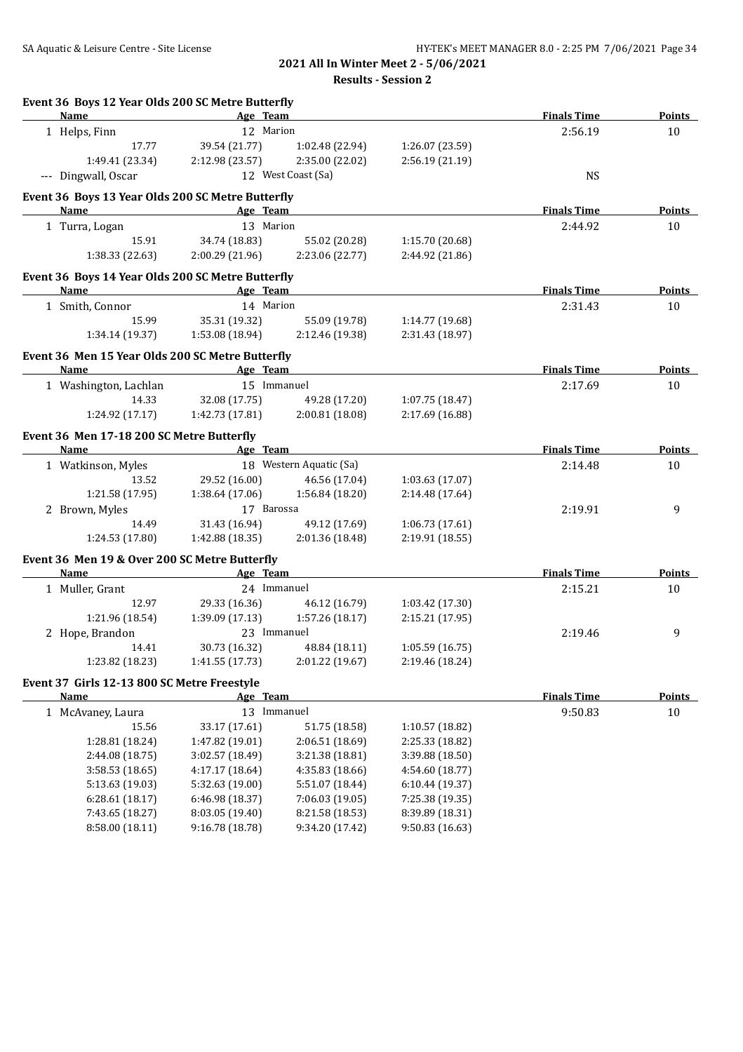**Results - Session 2**

| Event 36 Boys 12 Year Olds 200 SC Metre Butterfly<br>Name                  | Age Team                           |                                    |                                    | <b>Finals Time</b> | <b>Points</b> |
|----------------------------------------------------------------------------|------------------------------------|------------------------------------|------------------------------------|--------------------|---------------|
| 1 Helps, Finn                                                              | 12 Marion                          |                                    |                                    | 2:56.19            | 10            |
| 17.77                                                                      | 39.54 (21.77)                      | 1:02.48 (22.94)                    | 1:26.07 (23.59)                    |                    |               |
| 1:49.41 (23.34)                                                            | 2:12.98 (23.57)                    | 2:35.00 (22.02)                    | 2:56.19 (21.19)                    |                    |               |
| --- Dingwall, Oscar                                                        |                                    | 12 West Coast (Sa)                 |                                    | <b>NS</b>          |               |
| Event 36 Boys 13 Year Olds 200 SC Metre Butterfly                          |                                    |                                    |                                    |                    |               |
| Name                                                                       | Age Team                           |                                    |                                    | <b>Finals Time</b> | <b>Points</b> |
| 1 Turra, Logan                                                             | 13 Marion                          |                                    |                                    | 2:44.92            | 10            |
| 15.91                                                                      | 34.74 (18.83)                      | 55.02 (20.28)                      | 1:15.70 (20.68)                    |                    |               |
| 1:38.33 (22.63)                                                            | 2:00.29(21.96)                     | 2:23.06 (22.77)                    | 2:44.92 (21.86)                    |                    |               |
| Event 36 Boys 14 Year Olds 200 SC Metre Butterfly                          |                                    |                                    |                                    |                    |               |
| <b>Name</b><br>the control of the control of the control of the control of | Age Team                           |                                    |                                    | <b>Finals Time</b> | <b>Points</b> |
| 1 Smith, Connor                                                            | 14 Marion                          |                                    |                                    | 2:31.43            | 10            |
| 15.99                                                                      | 35.31 (19.32)                      | 55.09 (19.78)                      | 1:14.77 (19.68)                    |                    |               |
| 1:34.14 (19.37)                                                            | 1:53.08 (18.94)                    | 2:12.46 (19.38)                    | 2:31.43 (18.97)                    |                    |               |
| Event 36 Men 15 Year Olds 200 SC Metre Butterfly                           |                                    |                                    |                                    |                    |               |
| Name                                                                       | Age Team                           |                                    |                                    | <b>Finals Time</b> | <b>Points</b> |
| 1 Washington, Lachlan                                                      | 15 Immanuel                        |                                    |                                    | 2:17.69            | 10            |
| 14.33                                                                      | 32.08 (17.75)                      | 49.28 (17.20)                      | 1:07.75 (18.47)                    |                    |               |
| 1:24.92 (17.17)                                                            | 1:42.73 (17.81)                    | 2:00.81 (18.08)                    | 2:17.69 (16.88)                    |                    |               |
| Event 36 Men 17-18 200 SC Metre Butterfly                                  |                                    |                                    |                                    |                    |               |
| Name                                                                       | <b>Example 2</b> Age Team          |                                    |                                    | <b>Finals Time</b> | <b>Points</b> |
| 1 Watkinson, Myles                                                         |                                    | 18 Western Aquatic (Sa)            |                                    | 2:14.48            | 10            |
| 13.52                                                                      | 29.52 (16.00)                      | 46.56 (17.04)                      | 1:03.63(17.07)                     |                    |               |
| 1:21.58 (17.95)                                                            | 1:38.64 (17.06)                    | 1:56.84 (18.20)                    | 2:14.48 (17.64)                    |                    |               |
| 2 Brown, Myles                                                             | 17 Barossa                         |                                    |                                    | 2:19.91            | 9             |
| 14.49                                                                      | 31.43 (16.94)                      | 49.12 (17.69)                      | 1:06.73(17.61)                     |                    |               |
| 1:24.53 (17.80)                                                            | 1:42.88 (18.35)                    | 2:01.36 (18.48)                    | 2:19.91 (18.55)                    |                    |               |
| Event 36 Men 19 & Over 200 SC Metre Butterfly                              |                                    |                                    |                                    |                    |               |
| Name                                                                       | Age Team                           |                                    |                                    | <b>Finals Time</b> | <b>Points</b> |
| 1 Muller, Grant                                                            | 24 Immanuel                        |                                    |                                    | 2:15.21            | 10            |
| 12.97                                                                      | 29.33 (16.36)                      | 46.12 (16.79)                      | 1:03.42 (17.30)                    |                    |               |
| 1:21.96 (18.54)                                                            | 1:39.09(17.13)                     | 1:57.26 (18.17)                    | 2:15.21 (17.95)                    |                    |               |
| 2 Hope, Brandon                                                            | 23 Immanuel                        |                                    |                                    | 2:19.46            | 9             |
| 14.41                                                                      | 30.73 (16.32)                      | 48.84 (18.11)                      | 1:05.59(16.75)                     |                    |               |
| 1:23.82 (18.23)                                                            | 1:41.55 (17.73)                    | 2:01.22 (19.67)                    | 2:19.46 (18.24)                    |                    |               |
| Event 37 Girls 12-13 800 SC Metre Freestyle                                |                                    |                                    |                                    |                    |               |
| <b>Name</b>                                                                | Age Team                           |                                    |                                    | <b>Finals Time</b> | <b>Points</b> |
| 1 McAvaney, Laura                                                          | 13 Immanuel                        |                                    |                                    | 9:50.83            | $10\,$        |
| 15.56                                                                      | 33.17 (17.61)                      | 51.75 (18.58)                      | 1:10.57 (18.82)                    |                    |               |
| 1:28.81 (18.24)                                                            | 1:47.82 (19.01)                    | 2:06.51 (18.69)                    | 2:25.33 (18.82)                    |                    |               |
| 2:44.08 (18.75)                                                            | 3:02.57 (18.49)                    | 3:21.38 (18.81)                    | 3:39.88 (18.50)                    |                    |               |
| 3:58.53 (18.65)                                                            | 4:17.17 (18.64)                    | 4:35.83 (18.66)                    | 4:54.60 (18.77)                    |                    |               |
| 5:13.63 (19.03)                                                            | 5:32.63 (19.00)                    | 5:51.07 (18.44)                    | 6:10.44 (19.37)                    |                    |               |
| 6:28.61 (18.17)                                                            | 6:46.98 (18.37)                    | 7:06.03 (19.05)                    | 7:25.38 (19.35)                    |                    |               |
|                                                                            |                                    |                                    |                                    |                    |               |
| 7:43.65 (18.27)<br>8:58.00 (18.11)                                         | 8:03.05 (19.40)<br>9:16.78 (18.78) | 8:21.58 (18.53)<br>9:34.20 (17.42) | 8:39.89 (18.31)<br>9:50.83 (16.63) |                    |               |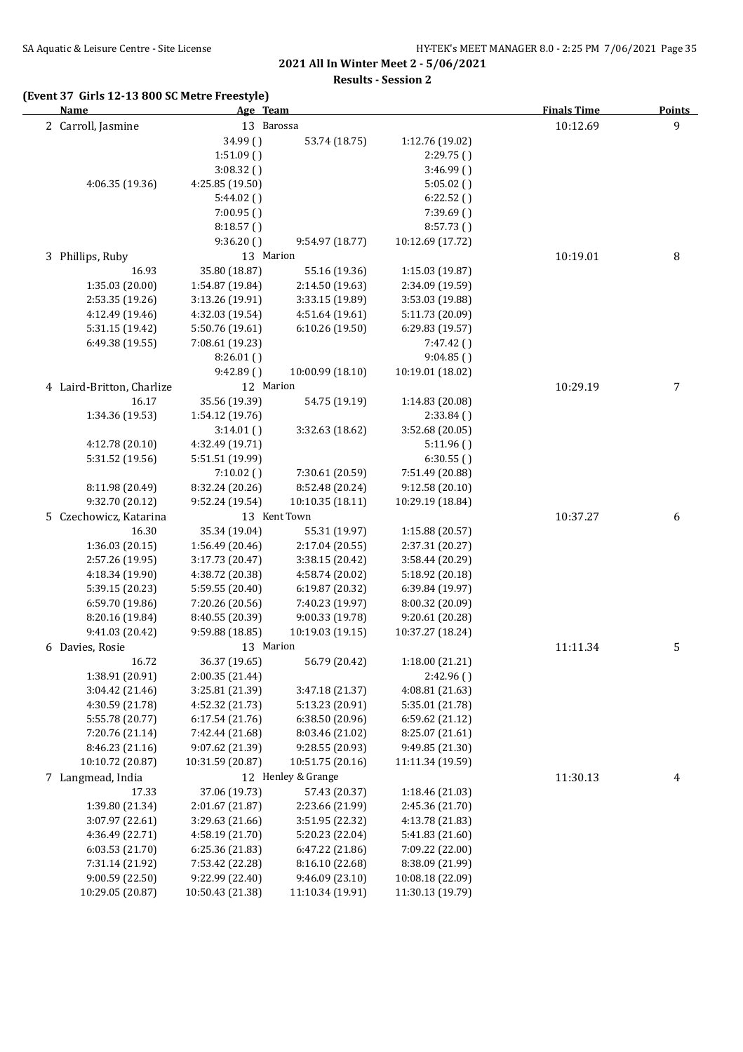**Results - Session 2**

| (Event 37 Girls 12-13 800 SC Metre Freestyle)<br><b>Name</b> |                  | Age Team           |                  | <b>Finals Time</b> | <b>Points</b>    |
|--------------------------------------------------------------|------------------|--------------------|------------------|--------------------|------------------|
| 2 Carroll, Jasmine                                           |                  | 13 Barossa         |                  | 10:12.69           | 9                |
|                                                              | 34.99 ()         | 53.74 (18.75)      | 1:12.76 (19.02)  |                    |                  |
|                                                              | 1:51.09()        |                    | 2:29.75()        |                    |                  |
|                                                              | 3:08.32()        |                    | 3:46.99(         |                    |                  |
| 4:06.35 (19.36)                                              | 4:25.85 (19.50)  |                    | 5:05.02(         |                    |                  |
|                                                              | 5:44.02()        |                    | 6:22.52()        |                    |                  |
|                                                              | 7:00.95()        |                    | 7:39.69()        |                    |                  |
|                                                              | 8:18.57()        |                    | 8:57.73()        |                    |                  |
|                                                              | 9:36.20()        | 9:54.97 (18.77)    | 10:12.69 (17.72) |                    |                  |
| 3 Phillips, Ruby                                             |                  | 13 Marion          |                  | 10:19.01           | $\, 8$           |
| 16.93                                                        | 35.80 (18.87)    | 55.16 (19.36)      | 1:15.03 (19.87)  |                    |                  |
| 1:35.03 (20.00)                                              | 1:54.87 (19.84)  | 2:14.50 (19.63)    | 2:34.09 (19.59)  |                    |                  |
| 2:53.35 (19.26)                                              | 3:13.26 (19.91)  | 3:33.15 (19.89)    | 3:53.03 (19.88)  |                    |                  |
| 4:12.49 (19.46)                                              | 4:32.03 (19.54)  | 4:51.64 (19.61)    | 5:11.73 (20.09)  |                    |                  |
| 5:31.15 (19.42)                                              | 5:50.76 (19.61)  | 6:10.26 (19.50)    | 6:29.83 (19.57)  |                    |                  |
| 6:49.38 (19.55)                                              | 7:08.61 (19.23)  |                    | 7:47.42()        |                    |                  |
|                                                              | 8:26.01()        |                    | 9:04.85()        |                    |                  |
|                                                              | 9:42.89()        | 10:00.99 (18.10)   | 10:19.01 (18.02) |                    |                  |
| 4 Laird-Britton, Charlize                                    |                  | 12 Marion          |                  | 10:29.19           | $\overline{7}$   |
| 16.17                                                        | 35.56 (19.39)    | 54.75 (19.19)      | 1:14.83 (20.08)  |                    |                  |
| 1:34.36 (19.53)                                              | 1:54.12 (19.76)  |                    | 2:33.84(         |                    |                  |
|                                                              |                  |                    |                  |                    |                  |
|                                                              | 3:14.01()        | 3:32.63 (18.62)    | 3:52.68 (20.05)  |                    |                  |
| 4:12.78 (20.10)                                              | 4:32.49 (19.71)  |                    | 5:11.96()        |                    |                  |
| 5:31.52 (19.56)                                              | 5:51.51 (19.99)  |                    | 6:30.55()        |                    |                  |
|                                                              | 7:10.02()        | 7:30.61 (20.59)    | 7:51.49 (20.88)  |                    |                  |
| 8:11.98 (20.49)                                              | 8:32.24 (20.26)  | 8:52.48 (20.24)    | 9:12.58(20.10)   |                    |                  |
| 9:32.70 (20.12)                                              | 9:52.24 (19.54)  | 10:10.35 (18.11)   | 10:29.19 (18.84) |                    |                  |
| 5 Czechowicz, Katarina                                       |                  | 13 Kent Town       |                  | 10:37.27           | $\boldsymbol{6}$ |
| 16.30                                                        | 35.34 (19.04)    | 55.31 (19.97)      | 1:15.88 (20.57)  |                    |                  |
| 1:36.03 (20.15)                                              | 1:56.49 (20.46)  | 2:17.04 (20.55)    | 2:37.31 (20.27)  |                    |                  |
| 2:57.26 (19.95)                                              | 3:17.73 (20.47)  | 3:38.15 (20.42)    | 3:58.44 (20.29)  |                    |                  |
| 4:18.34 (19.90)                                              | 4:38.72 (20.38)  | 4:58.74 (20.02)    | 5:18.92 (20.18)  |                    |                  |
| 5:39.15 (20.23)                                              | 5:59.55 (20.40)  | 6:19.87 (20.32)    | 6:39.84 (19.97)  |                    |                  |
| 6:59.70 (19.86)                                              | 7:20.26 (20.56)  | 7:40.23 (19.97)    | 8:00.32 (20.09)  |                    |                  |
| 8:20.16 (19.84)                                              | 8:40.55 (20.39)  | 9:00.33 (19.78)    | 9:20.61 (20.28)  |                    |                  |
| 9:41.03 (20.42)                                              | 9:59.88 (18.85)  | 10:19.03 (19.15)   | 10:37.27 (18.24) |                    |                  |
| 6 Davies, Rosie                                              |                  | 13 Marion          |                  | 11:11.34           | 5                |
| 16.72                                                        | 36.37 (19.65)    | 56.79 (20.42)      | 1:18.00 (21.21)  |                    |                  |
| 1:38.91 (20.91)                                              | 2:00.35 (21.44)  |                    | 2:42.96()        |                    |                  |
| 3:04.42 (21.46)                                              | 3:25.81 (21.39)  | 3:47.18 (21.37)    | 4:08.81 (21.63)  |                    |                  |
| 4:30.59 (21.78)                                              | 4:52.32 (21.73)  | 5:13.23 (20.91)    | 5:35.01 (21.78)  |                    |                  |
| 5:55.78 (20.77)                                              | 6:17.54 (21.76)  | 6:38.50(20.96)     | 6:59.62 (21.12)  |                    |                  |
| 7:20.76 (21.14)                                              | 7:42.44 (21.68)  | 8:03.46 (21.02)    | 8:25.07 (21.61)  |                    |                  |
| 8:46.23 (21.16)                                              | 9:07.62 (21.39)  | 9:28.55 (20.93)    | 9:49.85 (21.30)  |                    |                  |
| 10:10.72 (20.87)                                             | 10:31.59 (20.87) | 10:51.75 (20.16)   | 11:11.34 (19.59) |                    |                  |
| 7 Langmead, India                                            |                  | 12 Henley & Grange |                  | 11:30.13           | 4                |
| 17.33                                                        | 37.06 (19.73)    | 57.43 (20.37)      | 1:18.46 (21.03)  |                    |                  |
| 1:39.80 (21.34)                                              | 2:01.67 (21.87)  | 2:23.66 (21.99)    | 2:45.36 (21.70)  |                    |                  |
| 3:07.97 (22.61)                                              | 3:29.63 (21.66)  | 3:51.95 (22.32)    | 4:13.78 (21.83)  |                    |                  |
| 4:36.49 (22.71)                                              | 4:58.19 (21.70)  | 5:20.23 (22.04)    | 5:41.83 (21.60)  |                    |                  |
| 6:03.53 (21.70)                                              | 6:25.36 (21.83)  | 6:47.22 (21.86)    | 7:09.22 (22.00)  |                    |                  |
| 7:31.14 (21.92)                                              | 7:53.42 (22.28)  | 8:16.10 (22.68)    | 8:38.09 (21.99)  |                    |                  |
| 9:00.59 (22.50)                                              | 9:22.99 (22.40)  | 9:46.09 (23.10)    | 10:08.18 (22.09) |                    |                  |
| 10:29.05 (20.87)                                             | 10:50.43 (21.38) | 11:10.34 (19.91)   | 11:30.13 (19.79) |                    |                  |
|                                                              |                  |                    |                  |                    |                  |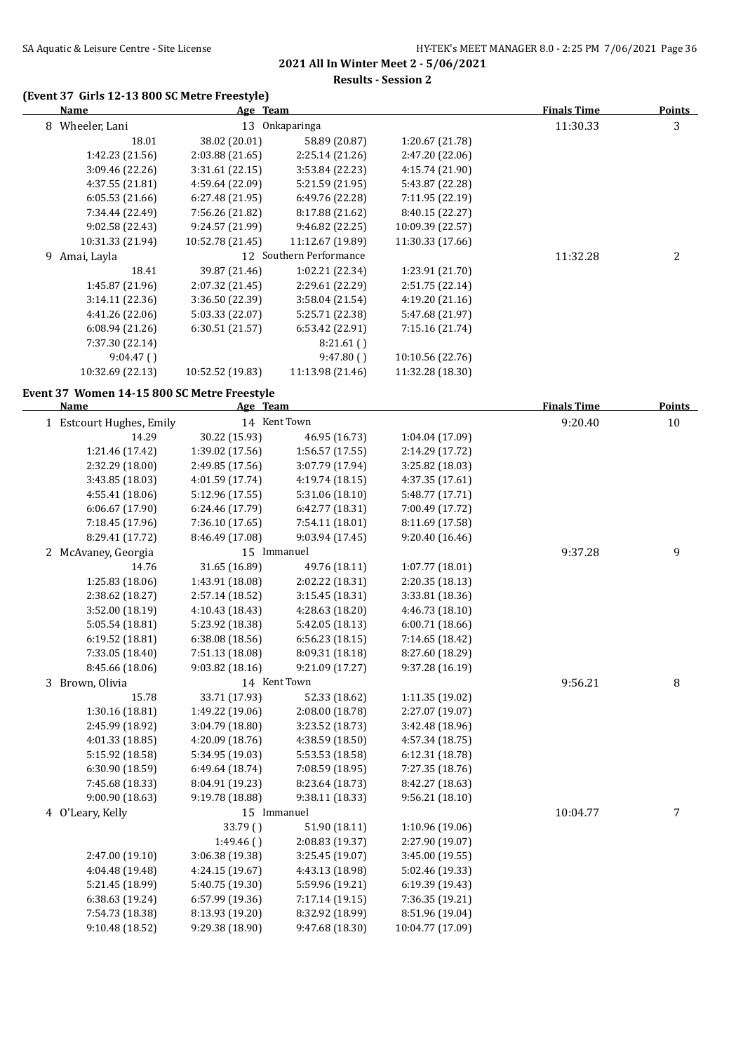**Results - Session 2**

### **(Event 37 Girls 12-13 800 SC Metre Freestyle)**

| <u>Name</u>                                 | Age Team                           |                                    |                                    | <b>Finals Time</b> | <b>Points</b> |
|---------------------------------------------|------------------------------------|------------------------------------|------------------------------------|--------------------|---------------|
| 8 Wheeler, Lani                             |                                    | 13 Onkaparinga                     |                                    | 11:30.33           | 3             |
| 18.01                                       | 38.02 (20.01)                      | 58.89 (20.87)                      | 1:20.67 (21.78)                    |                    |               |
| 1:42.23 (21.56)                             | 2:03.88 (21.65)                    | 2:25.14 (21.26)                    | 2:47.20 (22.06)                    |                    |               |
| 3:09.46 (22.26)                             | 3:31.61(22.15)                     | 3:53.84 (22.23)                    | 4:15.74 (21.90)                    |                    |               |
| 4:37.55 (21.81)                             | 4:59.64 (22.09)                    | 5:21.59 (21.95)                    | 5:43.87 (22.28)                    |                    |               |
| 6:05.53 (21.66)                             | 6:27.48 (21.95)                    | 6:49.76 (22.28)                    | 7:11.95 (22.19)                    |                    |               |
| 7:34.44 (22.49)                             | 7:56.26 (21.82)                    | 8:17.88 (21.62)                    | 8:40.15 (22.27)                    |                    |               |
| 9:02.58 (22.43)                             | 9:24.57 (21.99)                    | 9:46.82 (22.25)                    | 10:09.39 (22.57)                   |                    |               |
| 10:31.33 (21.94)                            | 10:52.78 (21.45)                   | 11:12.67 (19.89)                   | 11:30.33 (17.66)                   |                    |               |
| 9 Amai, Layla                               |                                    | 12 Southern Performance            |                                    | 11:32.28           | 2             |
| 18.41                                       | 39.87 (21.46)                      | 1:02.21 (22.34)                    | 1:23.91 (21.70)                    |                    |               |
| 1:45.87 (21.96)                             | 2:07.32 (21.45)                    | 2:29.61 (22.29)                    | 2:51.75 (22.14)                    |                    |               |
| 3:14.11 (22.36)                             | 3:36.50 (22.39)                    | 3:58.04 (21.54)                    | 4:19.20 (21.16)                    |                    |               |
| 4:41.26 (22.06)                             | 5:03.33 (22.07)                    | 5:25.71 (22.38)                    | 5:47.68 (21.97)                    |                    |               |
| 6:08.94 (21.26)                             | 6:30.51 (21.57)                    | 6:53.42 (22.91)                    | 7:15.16 (21.74)                    |                    |               |
| 7:37.30 (22.14)                             |                                    | 8:21.61()                          |                                    |                    |               |
| 9:04.47()                                   |                                    | 9:47.80()                          | 10:10.56 (22.76)                   |                    |               |
| 10:32.69 (22.13)                            | 10:52.52 (19.83)                   | 11:13.98 (21.46)                   | 11:32.28 (18.30)                   |                    |               |
| Event 37 Women 14-15 800 SC Metre Freestyle |                                    |                                    |                                    |                    |               |
| <b>Name</b>                                 | Age Team                           |                                    |                                    | <b>Finals Time</b> | Points        |
| 1 Estcourt Hughes, Emily                    |                                    | 14 Kent Town                       |                                    | 9:20.40            | 10            |
| 14.29                                       | 30.22 (15.93)                      | 46.95 (16.73)                      | 1:04.04 (17.09)                    |                    |               |
| 1:21.46 (17.42)                             | 1:39.02 (17.56)                    | 1:56.57 (17.55)                    | 2:14.29 (17.72)                    |                    |               |
| 2:32.29 (18.00)                             | 2:49.85 (17.56)                    | 3:07.79 (17.94)                    | 3:25.82 (18.03)                    |                    |               |
| 3:43.85 (18.03)                             | 4:01.59 (17.74)                    | 4:19.74 (18.15)                    | 4:37.35 (17.61)                    |                    |               |
| 4:55.41 (18.06)                             | 5:12.96 (17.55)                    | 5:31.06 (18.10)                    | 5:48.77 (17.71)                    |                    |               |
| 6:06.67 (17.90)                             | 6:24.46 (17.79)                    | 6:42.77 (18.31)                    | 7:00.49 (17.72)                    |                    |               |
| 7:18.45 (17.96)                             | 7:36.10 (17.65)                    | 7:54.11 (18.01)                    | 8:11.69 (17.58)                    |                    |               |
| 8:29.41 (17.72)                             | 8:46.49 (17.08)                    | 9:03.94 (17.45)                    | 9:20.40 (16.46)                    |                    |               |
| 2 McAvaney, Georgia                         |                                    | 15 Immanuel                        |                                    | 9:37.28            | 9             |
| 14.76                                       | 31.65 (16.89)                      | 49.76 (18.11)                      | 1:07.77 (18.01)                    |                    |               |
| 1:25.83 (18.06)                             | 1:43.91 (18.08)                    | 2:02.22 (18.31)                    | 2:20.35 (18.13)                    |                    |               |
| 2:38.62 (18.27)                             | 2:57.14 (18.52)                    | 3:15.45 (18.31)                    | 3:33.81 (18.36)                    |                    |               |
| 3:52.00 (18.19)                             | 4:10.43 (18.43)                    | 4:28.63 (18.20)                    | 4:46.73 (18.10)                    |                    |               |
| 5:05.54 (18.81)                             | 5:23.92 (18.38)                    | 5:42.05 (18.13)                    | 6:00.71 (18.66)                    |                    |               |
| 6:19.52 (18.81)                             | 6:38.08(18.56)                     | 6:56.23(18.15)                     | 7:14.65 (18.42)                    |                    |               |
| 7:33.05 (18.40)                             | 7:51.13 (18.08)                    | 8:09.31 (18.18)                    | 8:27.60 (18.29)                    |                    |               |
| 8:45.66 (18.06)                             | 9:03.82 (18.16)                    | 9:21.09 (17.27)                    | 9:37.28 (16.19)                    |                    |               |
| 3 Brown, Olivia                             |                                    | 14 Kent Town                       |                                    | 9:56.21            | 8             |
| 15.78                                       | 33.71 (17.93)                      | 52.33 (18.62)                      | 1:11.35 (19.02)                    |                    |               |
| 1:30.16 (18.81)                             | 1:49.22 (19.06)                    | 2:08.00 (18.78)                    | 2:27.07 (19.07)                    |                    |               |
| 2:45.99 (18.92)                             | 3:04.79 (18.80)                    | 3:23.52 (18.73)                    | 3:42.48 (18.96)                    |                    |               |
| 4:01.33 (18.85)                             | 4:20.09 (18.76)                    | 4:38.59 (18.50)                    | 4:57.34 (18.75)                    |                    |               |
| 5:15.92 (18.58)                             | 5:34.95 (19.03)                    | 5:53.53 (18.58)                    | 6:12.31 (18.78)                    |                    |               |
| 6:30.90 (18.59)                             | 6:49.64 (18.74)                    | 7:08.59 (18.95)                    | 7:27.35 (18.76)                    |                    |               |
| 7:45.68 (18.33)                             | 8:04.91 (19.23)                    | 8:23.64 (18.73)                    | 8:42.27 (18.63)                    |                    |               |
| 9:00.90 (18.63)                             | 9:19.78 (18.88)                    | 9:38.11 (18.33)                    | 9:56.21 (18.10)                    |                    |               |
| 4 O'Leary, Kelly                            |                                    | 15 Immanuel                        |                                    | 10:04.77           | 7             |
|                                             | 33.79 ()                           | 51.90 (18.11)                      | 1:10.96 (19.06)                    |                    |               |
|                                             | 1:49.46()                          | 2:08.83 (19.37)                    | 2:27.90 (19.07)                    |                    |               |
| 2:47.00 (19.10)                             | 3:06.38 (19.38)                    | 3:25.45 (19.07)                    | 3:45.00 (19.55)                    |                    |               |
| 4:04.48 (19.48)                             | 4:24.15 (19.67)                    | 4:43.13 (18.98)                    | 5:02.46 (19.33)                    |                    |               |
| 5:21.45 (18.99)                             | 5:40.75 (19.30)                    | 5:59.96 (19.21)                    | 6:19.39 (19.43)                    |                    |               |
| 6:38.63 (19.24)<br>7:54.73 (18.38)          | 6:57.99 (19.36)<br>8:13.93 (19.20) | 7:17.14 (19.15)<br>8:32.92 (18.99) | 7:36.35 (19.21)<br>8:51.96 (19.04) |                    |               |
| 9:10.48 (18.52)                             | 9:29.38 (18.90)                    | 9:47.68 (18.30)                    | 10:04.77 (17.09)                   |                    |               |
|                                             |                                    |                                    |                                    |                    |               |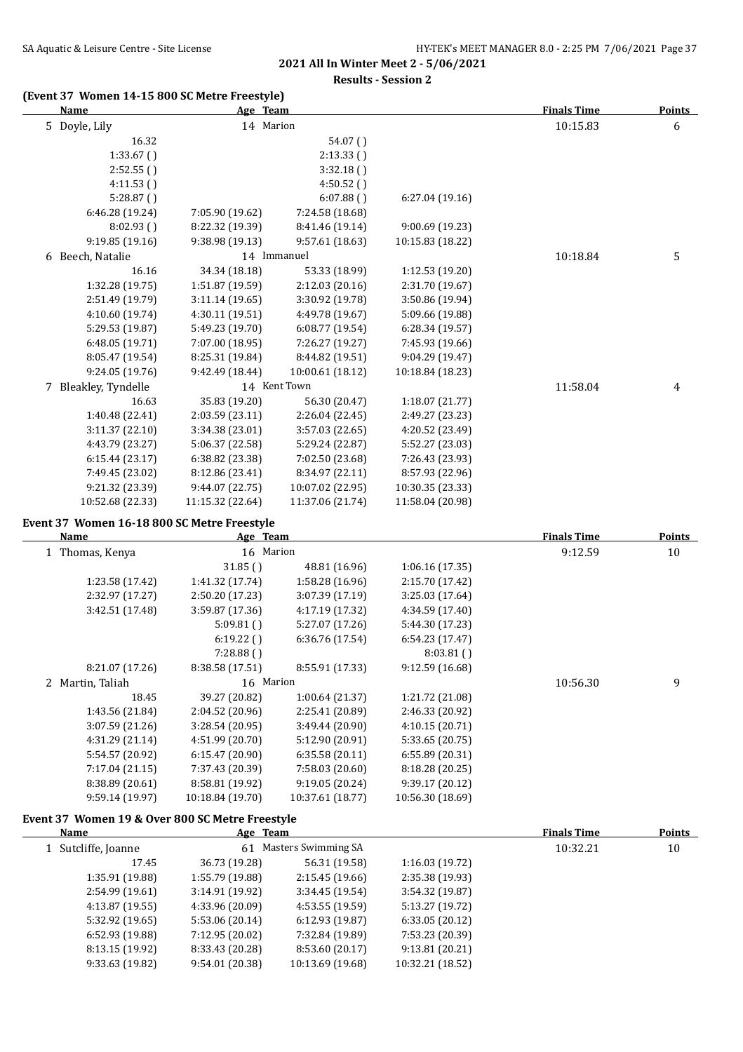**Results - Session 2**

# **(Event 37 Women 14-15 800 SC Metre Freestyle)**

| Name                 | Age Team         |                  |                  | <b>Finals Time</b> | <b>Points</b> |
|----------------------|------------------|------------------|------------------|--------------------|---------------|
| 5 Doyle, Lily        | 14 Marion        |                  |                  | 10:15.83           | 6             |
| 16.32                |                  | 54.07()          |                  |                    |               |
| 1:33.67(             |                  | 2:13.33()        |                  |                    |               |
| 2:52.55()            |                  | 3:32.18()        |                  |                    |               |
| 4:11.53()            |                  | 4:50.52()        |                  |                    |               |
| 5:28.87()            |                  | 6:07.88()        | 6:27.04(19.16)   |                    |               |
| 6:46.28 (19.24)      | 7:05.90 (19.62)  | 7:24.58 (18.68)  |                  |                    |               |
| 8:02.93()            | 8:22.32 (19.39)  | 8:41.46 (19.14)  | 9:00.69 (19.23)  |                    |               |
| 9:19.85(19.16)       | 9:38.98 (19.13)  | 9:57.61 (18.63)  | 10:15.83 (18.22) |                    |               |
| 6 Beech, Natalie     | 14 Immanuel      |                  |                  | 10:18.84           | 5             |
| 16.16                | 34.34 (18.18)    | 53.33 (18.99)    | 1:12.53 (19.20)  |                    |               |
| 1:32.28 (19.75)      | 1:51.87 (19.59)  | 2:12.03 (20.16)  | 2:31.70 (19.67)  |                    |               |
| 2:51.49 (19.79)      | 3:11.14(19.65)   | 3:30.92 (19.78)  | 3:50.86 (19.94)  |                    |               |
| 4:10.60 (19.74)      | 4:30.11 (19.51)  | 4:49.78 (19.67)  | 5:09.66 (19.88)  |                    |               |
| 5:29.53 (19.87)      | 5:49.23 (19.70)  | 6:08.77 (19.54)  | 6:28.34 (19.57)  |                    |               |
| 6:48.05 (19.71)      | 7:07.00 (18.95)  | 7:26.27 (19.27)  | 7:45.93 (19.66)  |                    |               |
| 8:05.47 (19.54)      | 8:25.31 (19.84)  | 8:44.82 (19.51)  | 9:04.29 (19.47)  |                    |               |
| 9:24.05 (19.76)      | 9:42.49 (18.44)  | 10:00.61 (18.12) | 10:18.84 (18.23) |                    |               |
| 7 Bleakley, Tyndelle |                  | 14 Kent Town     |                  | 11:58.04           | 4             |
| 16.63                | 35.83 (19.20)    | 56.30 (20.47)    | 1:18.07(21.77)   |                    |               |
| 1:40.48 (22.41)      | 2:03.59 (23.11)  | 2:26.04 (22.45)  | 2:49.27 (23.23)  |                    |               |
| 3:11.37(22.10)       | 3:34.38 (23.01)  | 3:57.03 (22.65)  | 4:20.52 (23.49)  |                    |               |
| 4:43.79 (23.27)      | 5:06.37 (22.58)  | 5:29.24 (22.87)  | 5:52.27 (23.03)  |                    |               |
| 6:15.44(23.17)       | 6:38.82 (23.38)  | 7:02.50 (23.68)  | 7:26.43 (23.93)  |                    |               |
| 7:49.45 (23.02)      | 8:12.86 (23.41)  | 8:34.97 (22.11)  | 8:57.93 (22.96)  |                    |               |
| 9:21.32 (23.39)      | 9:44.07 (22.75)  | 10:07.02 (22.95) | 10:30.35 (23.33) |                    |               |
| 10:52.68 (22.33)     | 11:15.32 (22.64) | 11:37.06 (21.74) | 11:58.04 (20.98) |                    |               |

| Name             | Age Team         |                  |                  | <b>Finals Time</b> | <b>Points</b> |
|------------------|------------------|------------------|------------------|--------------------|---------------|
| Thomas, Kenya    | 16 Marion        |                  |                  | 9:12.59            | 10            |
|                  | 31.85()          | 48.81 (16.96)    | 1:06.16(17.35)   |                    |               |
| 1:23.58 (17.42)  | 1:41.32 (17.74)  | 1:58.28 (16.96)  | 2:15.70 (17.42)  |                    |               |
| 2:32.97 (17.27)  | 2:50.20 (17.23)  | 3:07.39 (17.19)  | 3:25.03 (17.64)  |                    |               |
| 3:42.51 (17.48)  | 3:59.87(17.36)   | 4:17.19 (17.32)  | 4:34.59 (17.40)  |                    |               |
|                  | 5:09.81()        | 5:27.07 (17.26)  | 5:44.30 (17.23)  |                    |               |
|                  | 6:19.22()        | 6:36.76 (17.54)  | 6:54.23(17.47)   |                    |               |
|                  | 7:28.88()        |                  | 8:03.81()        |                    |               |
| 8:21.07 (17.26)  | 8:38.58 (17.51)  | 8:55.91 (17.33)  | 9:12.59(16.68)   |                    |               |
| 2 Martin, Taliah | 16 Marion        |                  |                  | 10:56.30           | 9             |
| 18.45            | 39.27 (20.82)    | 1:00.64(21.37)   | 1:21.72 (21.08)  |                    |               |
| 1:43.56 (21.84)  | 2:04.52 (20.96)  | 2:25.41 (20.89)  | 2:46.33 (20.92)  |                    |               |
| 3:07.59 (21.26)  | 3:28.54(20.95)   | 3:49.44 (20.90)  | 4:10.15(20.71)   |                    |               |
| 4:31.29 (21.14)  | 4:51.99 (20.70)  | 5:12.90 (20.91)  | 5:33.65 (20.75)  |                    |               |
| 5:54.57 (20.92)  | 6:15.47 (20.90)  | 6:35.58(20.11)   | 6:55.89 (20.31)  |                    |               |
| 7:17.04(21.15)   | 7:37.43 (20.39)  | 7:58.03 (20.60)  | 8:18.28 (20.25)  |                    |               |
| 8:38.89 (20.61)  | 8:58.81 (19.92)  | 9:19.05 (20.24)  | 9:39.17 (20.12)  |                    |               |
| 9:59.14 (19.97)  | 10:18.84 (19.70) | 10:37.61 (18.77) | 10:56.30 (18.69) |                    |               |

#### **Event 37 Women 19 & Over 800 SC Metre Freestyle**

| Name                | <u>Age Team</u>           |                  |                  | <b>Finals Time</b> | <b>Points</b> |  |
|---------------------|---------------------------|------------------|------------------|--------------------|---------------|--|
| 1 Sutcliffe, Joanne | Masters Swimming SA<br>61 |                  |                  | 10:32.21           | 10            |  |
| 17.45               | 36.73 (19.28)             | 56.31 (19.58)    | 1:16.03(19.72)   |                    |               |  |
| 1:35.91 (19.88)     | 1:55.79 (19.88)           | 2:15.45(19.66)   | 2:35.38 (19.93)  |                    |               |  |
| 2:54.99 (19.61)     | 3:14.91(19.92)            | 3:34.45(19.54)   | 3:54.32(19.87)   |                    |               |  |
| 4:13.87 (19.55)     | 4:33.96 (20.09)           | 4:53.55(19.59)   | 5:13.27 (19.72)  |                    |               |  |
| 5:32.92(19.65)      | 5:53.06 (20.14)           | 6:12.93(19.87)   | 6:33.05(20.12)   |                    |               |  |
| 6:52.93(19.88)      | 7:12.95 (20.02)           | 7:32.84 (19.89)  | 7:53.23 (20.39)  |                    |               |  |
| 8:13.15 (19.92)     | 8:33.43 (20.28)           | 8:53.60 (20.17)  | 9:13.81(20.21)   |                    |               |  |
| 9:33.63 (19.82)     | 9:54.01 (20.38)           | 10:13.69 (19.68) | 10:32.21 (18.52) |                    |               |  |
|                     |                           |                  |                  |                    |               |  |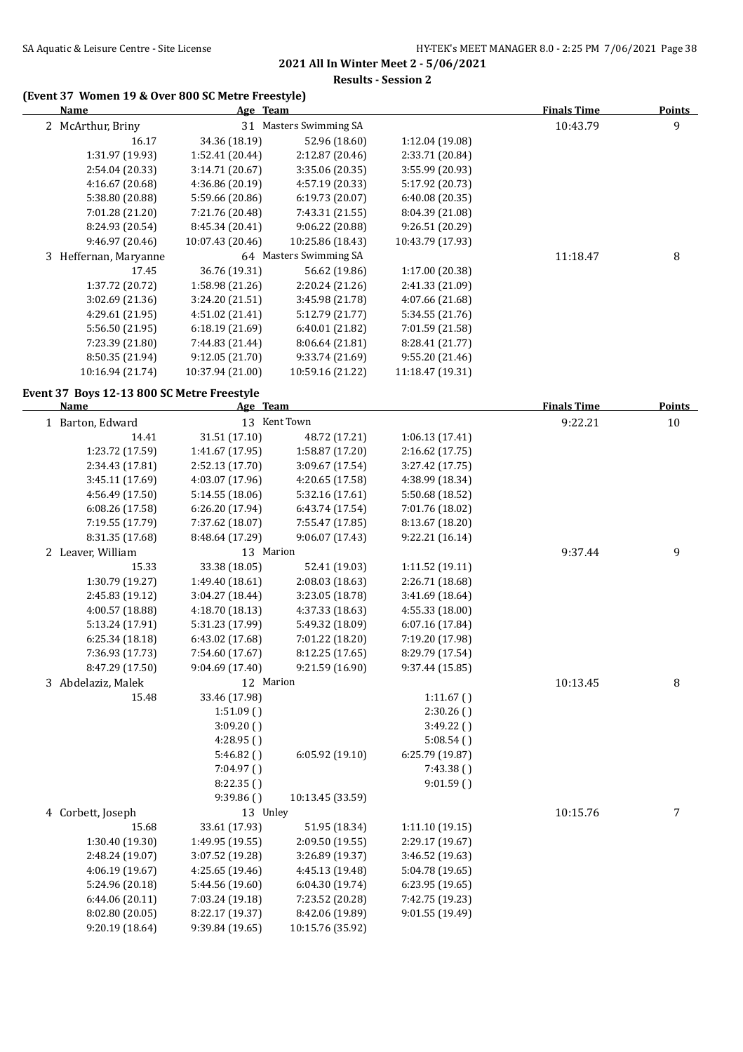# **(Event 37 Women 19 & Over 800 SC Metre Freestyle)**

| <b>Name</b>                                |                  | Age Team               |                  | <b>Finals Time</b> | <b>Points</b> |
|--------------------------------------------|------------------|------------------------|------------------|--------------------|---------------|
| 2 McArthur, Briny                          |                  | 31 Masters Swimming SA |                  | 10:43.79           | 9             |
| 16.17                                      | 34.36 (18.19)    | 52.96 (18.60)          | 1:12.04 (19.08)  |                    |               |
| 1:31.97 (19.93)                            | 1:52.41 (20.44)  | 2:12.87 (20.46)        | 2:33.71 (20.84)  |                    |               |
| 2:54.04 (20.33)                            | 3:14.71 (20.67)  | 3:35.06 (20.35)        | 3:55.99 (20.93)  |                    |               |
| 4:16.67 (20.68)                            | 4:36.86 (20.19)  | 4:57.19 (20.33)        | 5:17.92 (20.73)  |                    |               |
| 5:38.80 (20.88)                            | 5:59.66 (20.86)  | 6:19.73(20.07)         | 6:40.08 (20.35)  |                    |               |
| 7:01.28 (21.20)                            | 7:21.76 (20.48)  | 7:43.31 (21.55)        | 8:04.39 (21.08)  |                    |               |
| 8:24.93 (20.54)                            | 8:45.34 (20.41)  | 9:06.22 (20.88)        | 9:26.51 (20.29)  |                    |               |
| 9:46.97 (20.46)                            | 10:07.43 (20.46) | 10:25.86 (18.43)       | 10:43.79 (17.93) |                    |               |
| 3 Heffernan, Maryanne                      |                  | 64 Masters Swimming SA |                  | 11:18.47           | 8             |
| 17.45                                      | 36.76 (19.31)    | 56.62 (19.86)          | 1:17.00 (20.38)  |                    |               |
| 1:37.72 (20.72)                            | 1:58.98 (21.26)  | 2:20.24 (21.26)        | 2:41.33 (21.09)  |                    |               |
| 3:02.69 (21.36)                            | 3:24.20 (21.51)  | 3:45.98 (21.78)        | 4:07.66 (21.68)  |                    |               |
| 4:29.61 (21.95)                            | 4:51.02 (21.41)  | 5:12.79 (21.77)        | 5:34.55 (21.76)  |                    |               |
| 5:56.50 (21.95)                            | 6:18.19 (21.69)  | 6:40.01 (21.82)        | 7:01.59 (21.58)  |                    |               |
| 7:23.39 (21.80)                            | 7:44.83 (21.44)  | 8:06.64 (21.81)        | 8:28.41 (21.77)  |                    |               |
| 8:50.35 (21.94)                            | 9:12.05 (21.70)  | 9:33.74 (21.69)        | 9:55.20 (21.46)  |                    |               |
| 10:16.94 (21.74)                           | 10:37.94 (21.00) | 10:59.16 (21.22)       | 11:18.47 (19.31) |                    |               |
| Event 37 Boys 12-13 800 SC Metre Freestyle |                  |                        |                  |                    |               |
| <b>Name</b>                                | Age Team         |                        |                  | <b>Finals Time</b> | Points        |
| 1 Barton, Edward                           |                  | 13 Kent Town           |                  | 9:22.21            | 10            |
| 14.41                                      | 31.51 (17.10)    | 48.72 (17.21)          | 1:06.13 (17.41)  |                    |               |
| 1:23.72 (17.59)                            | 1:41.67 (17.95)  | 1:58.87 (17.20)        | 2:16.62 (17.75)  |                    |               |
| 2:34.43 (17.81)                            | 2:52.13 (17.70)  | 3:09.67 (17.54)        | 3:27.42 (17.75)  |                    |               |
| 3:45.11 (17.69)                            | 4:03.07 (17.96)  | 4:20.65 (17.58)        | 4:38.99 (18.34)  |                    |               |
| 4:56.49 (17.50)                            | 5:14.55 (18.06)  | 5:32.16 (17.61)        | 5:50.68 (18.52)  |                    |               |
| 6:08.26 (17.58)                            | 6:26.20 (17.94)  | 6:43.74 (17.54)        | 7:01.76 (18.02)  |                    |               |
| 7:19.55 (17.79)                            | 7:37.62 (18.07)  | 7:55.47 (17.85)        | 8:13.67 (18.20)  |                    |               |
| 8:31.35 (17.68)                            | 8:48.64 (17.29)  | 9:06.07 (17.43)        | 9:22.21 (16.14)  |                    |               |
| 2 Leaver, William                          | 13 Marion        |                        |                  | 9:37.44            | 9             |
| 15.33                                      | 33.38 (18.05)    | 52.41 (19.03)          | 1:11.52(19.11)   |                    |               |
| 1:30.79 (19.27)                            | 1:49.40 (18.61)  | 2:08.03 (18.63)        | 2:26.71 (18.68)  |                    |               |
| 2:45.83 (19.12)                            | 3:04.27 (18.44)  | 3:23.05 (18.78)        | 3:41.69 (18.64)  |                    |               |
| 4:00.57 (18.88)                            | 4:18.70 (18.13)  | 4:37.33 (18.63)        | 4:55.33 (18.00)  |                    |               |
| 5:13.24 (17.91)                            | 5:31.23 (17.99)  | 5:49.32 (18.09)        | 6:07.16 (17.84)  |                    |               |
| 6:25.34 (18.18)                            | 6:43.02 (17.68)  | 7:01.22 (18.20)        | 7:19.20 (17.98)  |                    |               |
| 7:36.93 (17.73)                            | 7:54.60 (17.67)  | 8:12.25 (17.65)        | 8:29.79 (17.54)  |                    |               |
| 8:47.29 (17.50)                            | 9:04.69 (17.40)  | 9:21.59 (16.90)        | 9:37.44 (15.85)  |                    |               |
| 3 Abdelaziz, Malek                         | 12 Marion        |                        |                  | 10:13.45           | 8             |
| 15.48                                      | 33.46 (17.98)    |                        | 1:11.67()        |                    |               |
|                                            | 1:51.09()        |                        | 2:30.26()        |                    |               |
|                                            | 3:09.20()        |                        | 3:49.22()        |                    |               |
|                                            | 4:28.95()        |                        | 5:08.54(         |                    |               |
|                                            | 5:46.82()        | 6:05.92 (19.10)        | 6:25.79 (19.87)  |                    |               |
|                                            | 7:04.97()        |                        | 7:43.38()        |                    |               |
|                                            | 8:22.35()        |                        | 9:01.59()        |                    |               |
| 9:39.86()<br>10:13.45 (33.59)              |                  |                        |                  |                    |               |
| 4 Corbett, Joseph                          | 13 Unley         |                        |                  | 10:15.76           | 7             |
| 15.68                                      | 33.61 (17.93)    | 51.95 (18.34)          | 1:11.10 (19.15)  |                    |               |
| 1:30.40 (19.30)                            | 1:49.95 (19.55)  | 2:09.50 (19.55)        | 2:29.17 (19.67)  |                    |               |
| 2:48.24 (19.07)                            | 3:07.52 (19.28)  | 3:26.89 (19.37)        | 3:46.52 (19.63)  |                    |               |
| 4:06.19 (19.67)                            | 4:25.65 (19.46)  | 4:45.13 (19.48)        | 5:04.78 (19.65)  |                    |               |
| 5:24.96 (20.18)                            | 5:44.56 (19.60)  | 6:04.30 (19.74)        | 6:23.95 (19.65)  |                    |               |
| 6:44.06 (20.11)                            | 7:03.24 (19.18)  | 7:23.52 (20.28)        | 7:42.75 (19.23)  |                    |               |
| 8:02.80 (20.05)                            | 8:22.17 (19.37)  | 8:42.06 (19.89)        | 9:01.55 (19.49)  |                    |               |
| 9:20.19 (18.64)                            | 9:39.84 (19.65)  | 10:15.76 (35.92)       |                  |                    |               |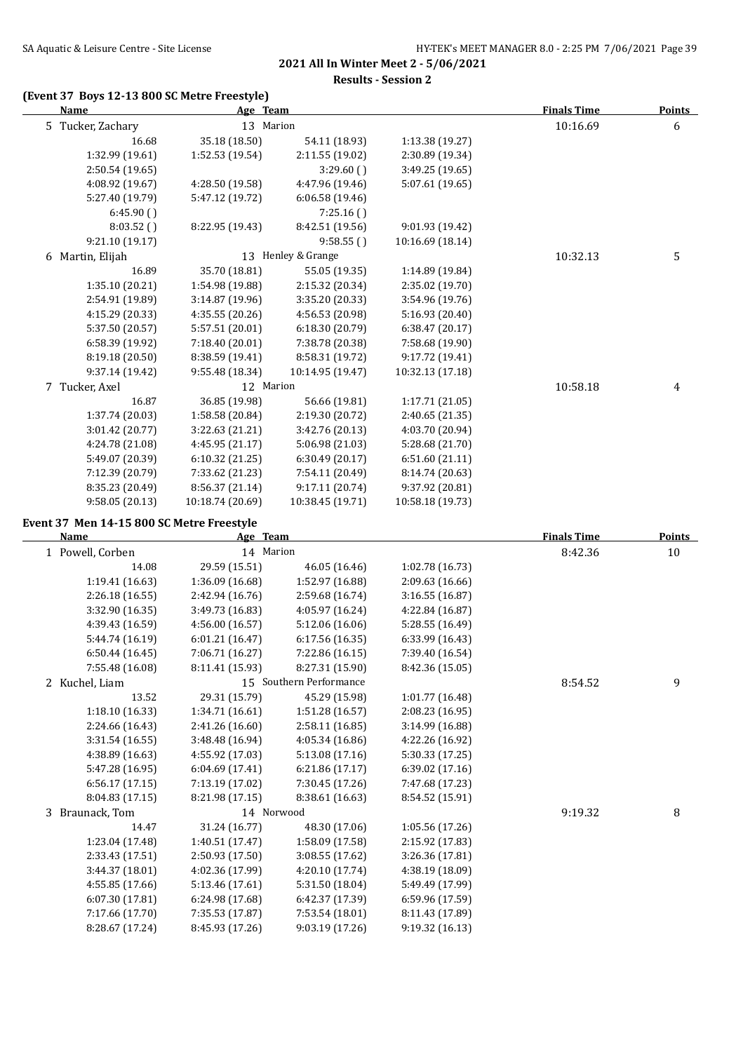**Results - Session 2**

### **(Event 37 Boys 12-13 800 SC Metre Freestyle)**

| <b>Name</b>       | Age Team           |                  |                  | <b>Finals Time</b> | <b>Points</b> |
|-------------------|--------------------|------------------|------------------|--------------------|---------------|
| 5 Tucker, Zachary | 13 Marion          |                  |                  | 10:16.69           | 6             |
| 16.68             | 35.18 (18.50)      | 54.11 (18.93)    | 1:13.38 (19.27)  |                    |               |
| 1:32.99 (19.61)   | 1:52.53(19.54)     | 2:11.55 (19.02)  | 2:30.89 (19.34)  |                    |               |
| 2:50.54(19.65)    |                    | 3:29.60()        | 3:49.25 (19.65)  |                    |               |
| 4:08.92 (19.67)   | 4:28.50 (19.58)    | 4:47.96 (19.46)  | 5:07.61 (19.65)  |                    |               |
| 5:27.40 (19.79)   | 5:47.12 (19.72)    | 6:06.58(19.46)   |                  |                    |               |
| 6:45.90()         |                    | 7:25.16()        |                  |                    |               |
| 8:03.52()         | 8:22.95 (19.43)    | 8:42.51 (19.56)  | 9:01.93 (19.42)  |                    |               |
| 9:21.10 (19.17)   |                    | 9:58.55()        | 10:16.69 (18.14) |                    |               |
| 6 Martin, Elijah  | 13 Henley & Grange |                  |                  | 10:32.13           | 5             |
| 16.89             | 35.70 (18.81)      | 55.05 (19.35)    | 1:14.89 (19.84)  |                    |               |
| 1:35.10 (20.21)   | 1:54.98 (19.88)    | 2:15.32 (20.34)  | 2:35.02 (19.70)  |                    |               |
| 2:54.91 (19.89)   | 3:14.87 (19.96)    | 3:35.20 (20.33)  | 3:54.96 (19.76)  |                    |               |
| 4:15.29 (20.33)   | 4:35.55 (20.26)    | 4:56.53 (20.98)  | 5:16.93 (20.40)  |                    |               |
| 5:37.50 (20.57)   | 5:57.51 (20.01)    | 6:18.30 (20.79)  | 6:38.47 (20.17)  |                    |               |
| 6:58.39 (19.92)   | 7:18.40 (20.01)    | 7:38.78 (20.38)  | 7:58.68 (19.90)  |                    |               |
| 8:19.18 (20.50)   | 8:38.59 (19.41)    | 8:58.31 (19.72)  | 9:17.72 (19.41)  |                    |               |
| 9:37.14 (19.42)   | 9:55.48 (18.34)    | 10:14.95 (19.47) | 10:32.13 (17.18) |                    |               |
| 7 Tucker, Axel    | 12 Marion          |                  |                  | 10:58.18           | 4             |
| 16.87             | 36.85 (19.98)      | 56.66 (19.81)    | 1:17.71 (21.05)  |                    |               |
| 1:37.74 (20.03)   | 1:58.58 (20.84)    | 2:19.30 (20.72)  | 2:40.65 (21.35)  |                    |               |
| 3:01.42 (20.77)   | 3:22.63 (21.21)    | 3:42.76 (20.13)  | 4:03.70 (20.94)  |                    |               |
| 4:24.78 (21.08)   | 4:45.95(21.17)     | 5:06.98 (21.03)  | 5:28.68 (21.70)  |                    |               |
| 5:49.07 (20.39)   | 6:10.32(21.25)     | 6:30.49(20.17)   | 6:51.60(21.11)   |                    |               |
| 7:12.39 (20.79)   | 7:33.62 (21.23)    | 7:54.11 (20.49)  | 8:14.74 (20.63)  |                    |               |
| 8:35.23 (20.49)   | 8:56.37 (21.14)    | 9:17.11 (20.74)  | 9:37.92 (20.81)  |                    |               |
| 9:58.05 (20.13)   | 10:18.74 (20.69)   | 10:38.45 (19.71) | 10:58.18 (19.73) |                    |               |

#### **Event 37 Men 14-15 800 SC Metre Freestyle**

| Name               | Age Team<br>14 Marion   |                 |                 | <b>Finals Time</b> | Points<br>10 |
|--------------------|-------------------------|-----------------|-----------------|--------------------|--------------|
| 1 Powell, Corben   |                         |                 |                 | 8:42.36            |              |
| 14.08              | 29.59 (15.51)           | 46.05 (16.46)   | 1:02.78(16.73)  |                    |              |
| 1:19.41 (16.63)    | 1:36.09 (16.68)         | 1:52.97 (16.88) | 2:09.63 (16.66) |                    |              |
| 2:26.18 (16.55)    | 2:42.94 (16.76)         | 2:59.68 (16.74) | 3:16.55 (16.87) |                    |              |
| 3:32.90 (16.35)    | 3:49.73 (16.83)         | 4:05.97 (16.24) | 4:22.84 (16.87) |                    |              |
| 4:39.43 (16.59)    | 4:56.00 (16.57)         | 5:12.06 (16.06) | 5:28.55 (16.49) |                    |              |
| 5:44.74 (16.19)    | 6:01.21(16.47)          | 6:17.56 (16.35) | 6:33.99 (16.43) |                    |              |
| 6:50.44(16.45)     | 7:06.71 (16.27)         | 7:22.86 (16.15) | 7:39.40 (16.54) |                    |              |
| 7:55.48 (16.08)    | 8:11.41 (15.93)         | 8:27.31 (15.90) | 8:42.36 (15.05) |                    |              |
| 2 Kuchel, Liam     | 15 Southern Performance |                 |                 | 8:54.52            | 9            |
| 13.52              | 29.31 (15.79)           | 45.29 (15.98)   | 1:01.77(16.48)  |                    |              |
| 1:18.10 (16.33)    | 1:34.71 (16.61)         | 1:51.28 (16.57) | 2:08.23 (16.95) |                    |              |
| 2:24.66 (16.43)    | 2:41.26 (16.60)         | 2:58.11 (16.85) | 3:14.99 (16.88) |                    |              |
| 3:31.54 (16.55)    | 3:48.48 (16.94)         | 4:05.34 (16.86) | 4:22.26 (16.92) |                    |              |
| 4:38.89 (16.63)    | 4:55.92 (17.03)         | 5:13.08 (17.16) | 5:30.33 (17.25) |                    |              |
| 5:47.28 (16.95)    | 6:04.69 (17.41)         | 6:21.86 (17.17) | 6:39.02 (17.16) |                    |              |
| 6:56.17 (17.15)    | 7:13.19 (17.02)         | 7:30.45 (17.26) | 7:47.68 (17.23) |                    |              |
| 8:04.83 (17.15)    | 8:21.98 (17.15)         | 8:38.61 (16.63) | 8:54.52 (15.91) |                    |              |
| Braunack, Tom<br>3 | 14 Norwood              |                 |                 | 9:19.32            | 8            |
| 14.47              | 31.24 (16.77)           | 48.30 (17.06)   | 1:05.56(17.26)  |                    |              |
| 1:23.04 (17.48)    | 1:40.51 (17.47)         | 1:58.09 (17.58) | 2:15.92 (17.83) |                    |              |
| 2:33.43 (17.51)    | 2:50.93 (17.50)         | 3:08.55 (17.62) | 3:26.36 (17.81) |                    |              |
| 3:44.37 (18.01)    | 4:02.36 (17.99)         | 4:20.10 (17.74) | 4:38.19 (18.09) |                    |              |
| 4:55.85 (17.66)    | 5:13.46 (17.61)         | 5:31.50 (18.04) | 5:49.49 (17.99) |                    |              |
| 6:07.30 (17.81)    | 6:24.98 (17.68)         | 6:42.37 (17.39) | 6:59.96 (17.59) |                    |              |
| 7:17.66 (17.70)    | 7:35.53 (17.87)         | 7:53.54 (18.01) | 8:11.43 (17.89) |                    |              |
| 8:28.67 (17.24)    | 8:45.93 (17.26)         | 9:03.19(17.26)  | 9:19.32 (16.13) |                    |              |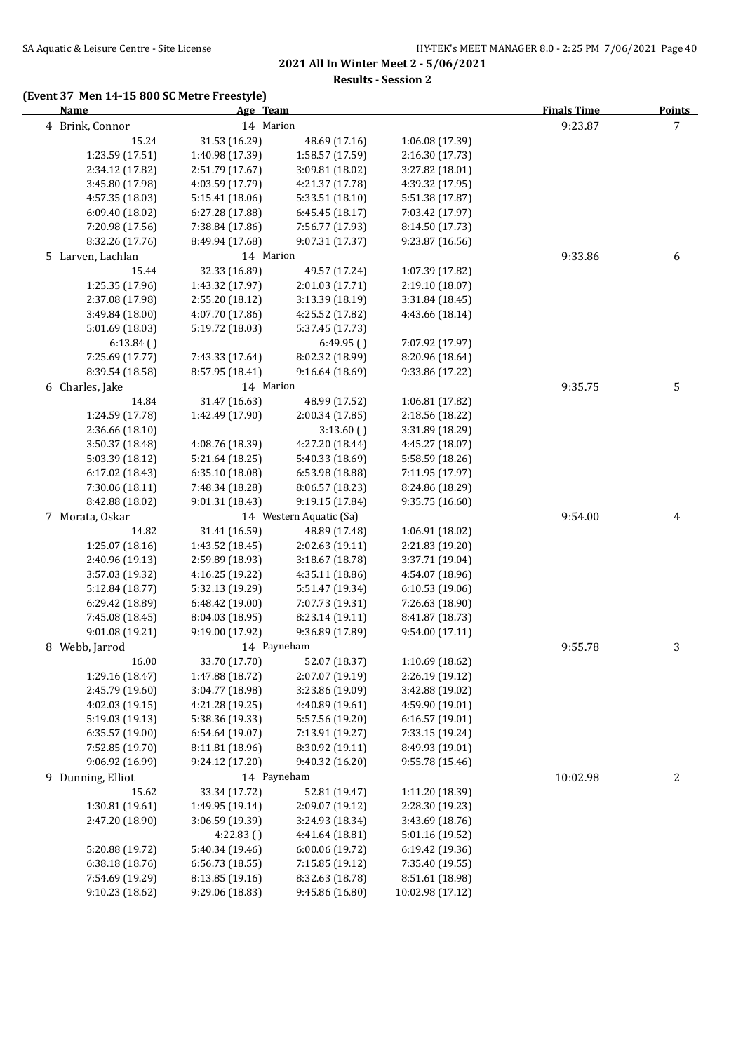**Results - Session 2**

### **(Event 37 Men 14-15 800 SC Metre Freestyle)**

| <b>Name</b>       | Age Team        |                         |                  | <b>Finals Time</b> | <b>Points</b> |
|-------------------|-----------------|-------------------------|------------------|--------------------|---------------|
| 4 Brink, Connor   | 14 Marion       |                         |                  | 9:23.87            | 7             |
| 15.24             | 31.53 (16.29)   | 48.69 (17.16)           | 1:06.08 (17.39)  |                    |               |
| 1:23.59 (17.51)   | 1:40.98 (17.39) | 1:58.57 (17.59)         | 2:16.30 (17.73)  |                    |               |
| 2:34.12 (17.82)   | 2:51.79 (17.67) | 3:09.81 (18.02)         | 3:27.82 (18.01)  |                    |               |
| 3:45.80 (17.98)   | 4:03.59 (17.79) | 4:21.37 (17.78)         | 4:39.32 (17.95)  |                    |               |
| 4:57.35 (18.03)   | 5:15.41 (18.06) | 5:33.51 (18.10)         | 5:51.38 (17.87)  |                    |               |
| 6:09.40(18.02)    | 6:27.28 (17.88) | 6:45.45 (18.17)         | 7:03.42 (17.97)  |                    |               |
| 7:20.98 (17.56)   | 7:38.84 (17.86) | 7:56.77 (17.93)         | 8:14.50 (17.73)  |                    |               |
| 8:32.26 (17.76)   | 8:49.94 (17.68) | 9:07.31 (17.37)         | 9:23.87 (16.56)  |                    |               |
| 5 Larven, Lachlan | 14 Marion       |                         |                  | 9:33.86            | 6             |
| 15.44             | 32.33 (16.89)   | 49.57 (17.24)           | 1:07.39 (17.82)  |                    |               |
| 1:25.35 (17.96)   | 1:43.32 (17.97) | 2:01.03 (17.71)         | 2:19.10 (18.07)  |                    |               |
| 2:37.08 (17.98)   | 2:55.20 (18.12) | 3:13.39 (18.19)         | 3:31.84 (18.45)  |                    |               |
| 3:49.84 (18.00)   | 4:07.70 (17.86) | 4:25.52 (17.82)         | 4:43.66 (18.14)  |                    |               |
| 5:01.69 (18.03)   | 5:19.72 (18.03) | 5:37.45 (17.73)         |                  |                    |               |
| 6:13.84()         |                 | 6:49.95()               | 7:07.92 (17.97)  |                    |               |
| 7:25.69 (17.77)   | 7:43.33 (17.64) | 8:02.32 (18.99)         | 8:20.96 (18.64)  |                    |               |
| 8:39.54 (18.58)   | 8:57.95 (18.41) | 9:16.64 (18.69)         | 9:33.86 (17.22)  |                    |               |
| 6 Charles, Jake   | 14 Marion       |                         |                  | 9:35.75            | 5             |
| 14.84             | 31.47 (16.63)   | 48.99 (17.52)           | 1:06.81 (17.82)  |                    |               |
| 1:24.59 (17.78)   | 1:42.49 (17.90) | 2:00.34 (17.85)         | 2:18.56 (18.22)  |                    |               |
| 2:36.66 (18.10)   |                 | 3:13.60()               | 3:31.89 (18.29)  |                    |               |
| 3:50.37 (18.48)   | 4:08.76 (18.39) | 4:27.20 (18.44)         | 4:45.27 (18.07)  |                    |               |
| 5:03.39 (18.12)   | 5:21.64(18.25)  | 5:40.33 (18.69)         | 5:58.59 (18.26)  |                    |               |
| 6:17.02 (18.43)   | 6:35.10 (18.08) | 6:53.98 (18.88)         | 7:11.95 (17.97)  |                    |               |
| 7:30.06 (18.11)   | 7:48.34 (18.28) | 8:06.57 (18.23)         | 8:24.86 (18.29)  |                    |               |
| 8:42.88 (18.02)   | 9:01.31 (18.43) | 9:19.15 (17.84)         | 9:35.75 (16.60)  |                    |               |
| 7 Morata, Oskar   |                 | 14 Western Aquatic (Sa) |                  | 9:54.00            | 4             |
| 14.82             | 31.41 (16.59)   | 48.89 (17.48)           | 1:06.91 (18.02)  |                    |               |
| 1:25.07 (18.16)   | 1:43.52 (18.45) | 2:02.63 (19.11)         | 2:21.83 (19.20)  |                    |               |
| 2:40.96 (19.13)   | 2:59.89 (18.93) | 3:18.67 (18.78)         | 3:37.71 (19.04)  |                    |               |
| 3:57.03 (19.32)   | 4:16.25 (19.22) | 4:35.11 (18.86)         | 4:54.07 (18.96)  |                    |               |
| 5:12.84 (18.77)   | 5:32.13 (19.29) | 5:51.47 (19.34)         | 6:10.53 (19.06)  |                    |               |
| 6:29.42 (18.89)   | 6:48.42 (19.00) | 7:07.73 (19.31)         | 7:26.63 (18.90)  |                    |               |
| 7:45.08 (18.45)   | 8:04.03 (18.95) | 8:23.14 (19.11)         | 8:41.87 (18.73)  |                    |               |
| 9:01.08 (19.21)   | 9:19.00 (17.92) | 9:36.89 (17.89)         | 9:54.00 (17.11)  |                    |               |
| 8 Webb, Jarrod    | 14 Payneham     |                         |                  | 9:55.78            | 3             |
| 16.00             | 33.70 (17.70)   | 52.07 (18.37)           | 1:10.69 (18.62)  |                    |               |
| 1:29.16 (18.47)   | 1:47.88 (18.72) | 2:07.07 (19.19)         | 2:26.19 (19.12)  |                    |               |
| 2:45.79 (19.60)   | 3:04.77 (18.98) | 3:23.86 (19.09)         | 3:42.88 (19.02)  |                    |               |
| 4:02.03 (19.15)   | 4:21.28 (19.25) | 4:40.89 (19.61)         | 4:59.90 (19.01)  |                    |               |
| 5:19.03 (19.13)   | 5:38.36 (19.33) | 5:57.56 (19.20)         | 6:16.57 (19.01)  |                    |               |
| 6:35.57 (19.00)   | 6:54.64 (19.07) | 7:13.91 (19.27)         | 7:33.15 (19.24)  |                    |               |
| 7:52.85 (19.70)   | 8:11.81 (18.96) | 8:30.92 (19.11)         | 8:49.93 (19.01)  |                    |               |
| 9:06.92 (16.99)   | 9:24.12 (17.20) | 9:40.32 (16.20)         | 9:55.78 (15.46)  |                    |               |
| 9 Dunning, Elliot | 14 Payneham     |                         |                  | 10:02.98           | 2             |
| 15.62             | 33.34 (17.72)   | 52.81 (19.47)           | 1:11.20 (18.39)  |                    |               |
| 1:30.81 (19.61)   | 1:49.95 (19.14) | 2:09.07 (19.12)         | 2:28.30 (19.23)  |                    |               |
| 2:47.20 (18.90)   | 3:06.59 (19.39) | 3:24.93 (18.34)         | 3:43.69 (18.76)  |                    |               |
|                   | 4:22.83()       | 4:41.64 (18.81)         | 5:01.16 (19.52)  |                    |               |
| 5:20.88 (19.72)   | 5:40.34 (19.46) | 6:00.06 (19.72)         | 6:19.42 (19.36)  |                    |               |
| 6:38.18(18.76)    | 6:56.73(18.55)  | 7:15.85 (19.12)         | 7:35.40 (19.55)  |                    |               |
| 7:54.69 (19.29)   | 8:13.85 (19.16) | 8:32.63 (18.78)         | 8:51.61 (18.98)  |                    |               |
| 9:10.23 (18.62)   | 9:29.06 (18.83) | 9:45.86 (16.80)         | 10:02.98 (17.12) |                    |               |
|                   |                 |                         |                  |                    |               |